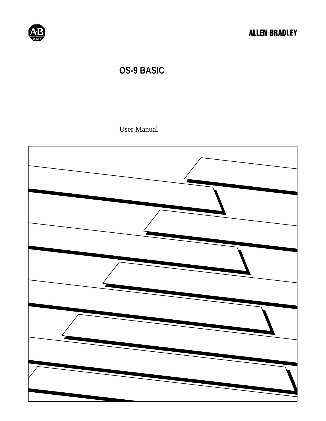

### **OS-9 BASIC**

User Manual

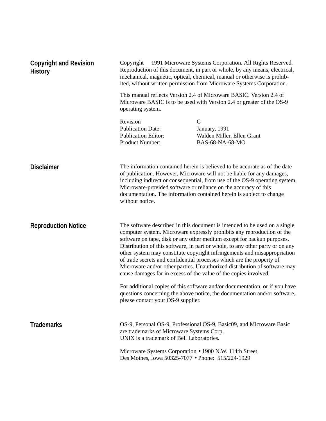| <b>Copyright and Revision</b><br><b>History</b> | Copyright © 1991 Microware Systems Corporation. All Rights Reserved.<br>Reproduction of this document, in part or whole, by any means, electrical,<br>mechanical, magnetic, optical, chemical, manual or otherwise is prohib-<br>ited, without written permission from Microware Systems Corporation. |                                                                                                                                                                                                                                                                                                                                                                                                                                                                                                                                                                                                                                                                                                                                                                                   |  |
|-------------------------------------------------|-------------------------------------------------------------------------------------------------------------------------------------------------------------------------------------------------------------------------------------------------------------------------------------------------------|-----------------------------------------------------------------------------------------------------------------------------------------------------------------------------------------------------------------------------------------------------------------------------------------------------------------------------------------------------------------------------------------------------------------------------------------------------------------------------------------------------------------------------------------------------------------------------------------------------------------------------------------------------------------------------------------------------------------------------------------------------------------------------------|--|
|                                                 | This manual reflects Version 2.4 of Microware BASIC. Version 2.4 of<br>Microware BASIC is to be used with Version 2.4 or greater of the OS-9<br>operating system.                                                                                                                                     |                                                                                                                                                                                                                                                                                                                                                                                                                                                                                                                                                                                                                                                                                                                                                                                   |  |
|                                                 | Revision<br><b>Publication Date:</b><br><b>Publication Editor:</b><br>Product Number:                                                                                                                                                                                                                 | G<br>January, 1991<br>Walden Miller, Ellen Grant<br>BAS-68-NA-68-MO                                                                                                                                                                                                                                                                                                                                                                                                                                                                                                                                                                                                                                                                                                               |  |
| <b>Disclaimer</b>                               | without notice.                                                                                                                                                                                                                                                                                       | The information contained herein is believed to be accurate as of the date<br>of publication. However, Microware will not be liable for any damages,<br>including indirect or consequential, from use of the OS-9 operating system,<br>Microware-provided software or reliance on the accuracy of this<br>documentation. The information contained herein is subject to change                                                                                                                                                                                                                                                                                                                                                                                                    |  |
| <b>Reproduction Notice</b>                      | please contact your OS-9 supplier.                                                                                                                                                                                                                                                                    | The software described in this document is intended to be used on a single<br>computer system. Microware expressly prohibits any reproduction of the<br>software on tape, disk or any other medium except for backup purposes.<br>Distribution of this software, in part or whole, to any other party or on any<br>other system may constitute copyright infringements and misappropriation<br>of trade secrets and confidential processes which are the property of<br>Microware and/or other parties. Unauthorized distribution of software may<br>cause damages far in excess of the value of the copies involved.<br>For additional copies of this software and/or documentation, or if you have<br>questions concerning the above notice, the documentation and/or software, |  |
| <b>Trademarks</b>                               | are trademarks of Microware Systems Corp.<br>UNIX is a trademark of Bell Laboratories.                                                                                                                                                                                                                | OS-9, Personal OS-9, Professional OS-9, Basic09, and Microware Basic                                                                                                                                                                                                                                                                                                                                                                                                                                                                                                                                                                                                                                                                                                              |  |
|                                                 | Microware Systems Corporation • 1900 N.W. 114th Street<br>Des Moines, Iowa 50325-7077 • Phone: 515/224-1929                                                                                                                                                                                           |                                                                                                                                                                                                                                                                                                                                                                                                                                                                                                                                                                                                                                                                                                                                                                                   |  |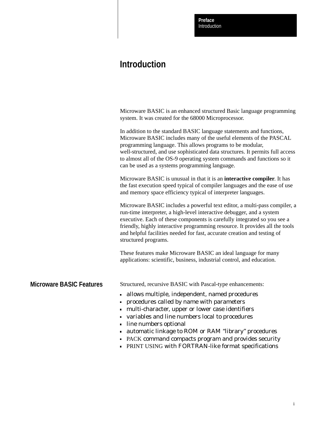Introduction **Preface**

### **Introduction**

|                                 | Microware BASIC is an enhanced structured Basic language programming<br>system. It was created for the 68000 Microprocessor.                                                                                                                                                                                                                                                                                           |
|---------------------------------|------------------------------------------------------------------------------------------------------------------------------------------------------------------------------------------------------------------------------------------------------------------------------------------------------------------------------------------------------------------------------------------------------------------------|
|                                 | In addition to the standard BASIC language statements and functions,<br>Microware BASIC includes many of the useful elements of the PASCAL<br>programming language. This allows programs to be modular,<br>well-structured, and use sophisticated data structures. It permits full access<br>to almost all of the OS-9 operating system commands and functions so it<br>can be used as a systems programming language. |
|                                 | Microware BASIC is unusual in that it is an <b>interactive compiler</b> . It has<br>the fast execution speed typical of compiler languages and the ease of use<br>and memory space efficiency typical of interpreter languages.                                                                                                                                                                                        |
|                                 | Microware BASIC includes a powerful text editor, a multi-pass compiler, a<br>run-time interpreter, a high-level interactive debugger, and a system<br>executive. Each of these components is carefully integrated so you see a<br>friendly, highly interactive programming resource. It provides all the tools<br>and helpful facilities needed for fast, accurate creation and testing of<br>structured programs.     |
|                                 | These features make Microware BASIC an ideal language for many<br>applications: scientific, business, industrial control, and education.                                                                                                                                                                                                                                                                               |
| <b>Microware BASIC Features</b> | Structured, recursive BASIC with Pascal-type enhancements:                                                                                                                                                                                                                                                                                                                                                             |
|                                 | - allows multiple, independent, named procedures<br>procedures called by name with parameters<br>- multi-character, upper or lower case identifiers<br>variables and line numbers local to procedures<br>line numbers optional<br>• automatic linkage to ROM or RAM "library" procedures<br>• PACK command compacts program and provides security<br>• PRINT USING with FORTRAN-like format specifications             |
|                                 |                                                                                                                                                                                                                                                                                                                                                                                                                        |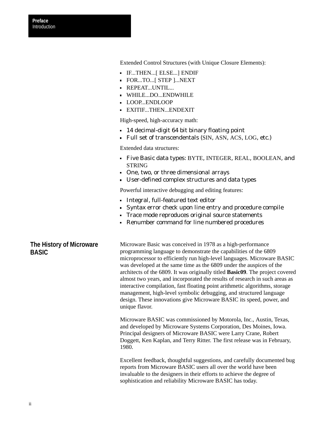Extended Control Structures (with Unique Closure Elements):

- IF...THEN...[ ELSE...] ENDIF
- FOR...TO...[ STEP ]...NEXT
- **REPEAT...UNTIL...**
- WHILE...DO...ENDWHILE
- LOOP...ENDLOOP
- EXITIF...THEN...ENDEXIT

High-speed, high-accuracy math:

- 14 decimal-digit 64 bit binary floating point
- Full set of transcendentals (SIN, ASN, ACS, LOG, etc.)

Extended data structures:

- Five Basic data types: BYTE, INTEGER, REAL, BOOLEAN, and **STRING**
- One, two, or three dimensional arrays
- User-defined complex structures and data types

Powerful interactive debugging and editing features:

- Integral, full-featured text editor
- Syntax error check upon line entry and procedure compile
- Trace mode reproduces original source statements
- Renumber command for line numbered procedures

### **The History of Microware BASIC**

Microware Basic was conceived in 1978 as a high-performance programming language to demonstrate the capabilities of the 6809 microprocessor to efficiently run high-level languages. Microware BASIC was developed at the same time as the 6809 under the auspices of the architects of the 6809. It was originally titled **Basic09**. The project covered almost two years, and incorporated the results of research in such areas as interactive compilation, fast floating point arithmetic algorithms, storage management, high-level symbolic debugging, and structured language design. These innovations give Microware BASIC its speed, power, and unique flavor.

Microware BASIC was commissioned by Motorola, Inc., Austin, Texas, and developed by Microware Systems Corporation, Des Moines, Iowa. Principal designers of Microware BASIC were Larry Crane, Robert Doggett, Ken Kaplan, and Terry Ritter. The first release was in February, 1980.

Excellent feedback, thoughtful suggestions, and carefully documented bug reports from Microware BASIC users all over the world have been invaluable to the designers in their efforts to achieve the degree of sophistication and reliability Microware BASIC has today.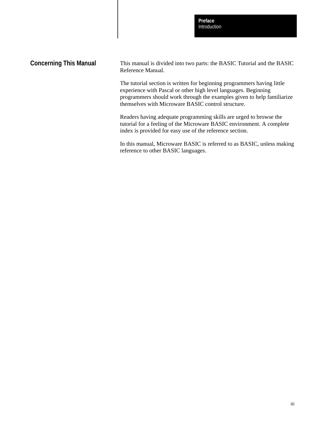Introduction **Preface**

### **Concerning This Manual**

This manual is divided into two parts: the BASIC Tutorial and the BASIC Reference Manual.

The tutorial section is written for beginning programmers having little experience with Pascal or other high level languages. Beginning programmers should work through the examples given to help familiarize themselves with Microware BASIC control structure.

Readers having adequate programming skills are urged to browse the tutorial for a feeling of the Microware BASIC environment. A complete index is provided for easy use of the reference section.

In this manual, Microware BASIC is referred to as BASIC, unless making reference to other BASIC languages.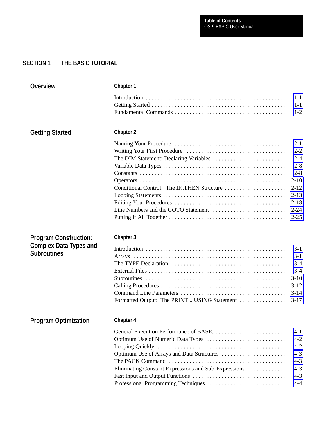### **SECTION 1 THE BASIC TUTORIAL**

| <b>Overview</b>               | <b>Chapter 1</b>                                     |          |
|-------------------------------|------------------------------------------------------|----------|
|                               |                                                      | $1 - 1$  |
|                               |                                                      | $1 - 1$  |
|                               |                                                      | $1-2$    |
| <b>Getting Started</b>        | <b>Chapter 2</b>                                     |          |
|                               |                                                      | $2 - 1$  |
|                               |                                                      | $2 - 2$  |
|                               |                                                      | $2 - 4$  |
|                               |                                                      | $2 - 8$  |
|                               |                                                      | $2 - 8$  |
|                               |                                                      | $2 - 10$ |
|                               | Conditional Control: The IF. THEN Structure          | $2 - 12$ |
|                               |                                                      | $2 - 13$ |
|                               |                                                      | $2 - 18$ |
|                               |                                                      | $2 - 24$ |
|                               |                                                      | $2 - 25$ |
| <b>Program Construction:</b>  | Chapter 3                                            |          |
| <b>Complex Data Types and</b> |                                                      | $3 - 1$  |
| <b>Subroutines</b>            |                                                      | $3 - 1$  |
|                               |                                                      | $3 - 4$  |
|                               |                                                      | $3-4$    |
|                               |                                                      | $3-10$   |
|                               |                                                      | $3 - 12$ |
|                               |                                                      | $3-14$   |
|                               | Formatted Output: The PRINT  USING Statement         | $3 - 17$ |
| <b>Program Optimization</b>   | <b>Chapter 4</b>                                     |          |
|                               | General Execution Performance of BASIC               | 4-1      |
|                               |                                                      | $4 - 2$  |
|                               |                                                      | $4 - 2$  |
|                               |                                                      | $4 - 3$  |
|                               |                                                      | $4 - 3$  |
|                               | Eliminating Constant Expressions and Sub-Expressions | $4 - 3$  |
|                               |                                                      |          |
|                               |                                                      | $4 - 3$  |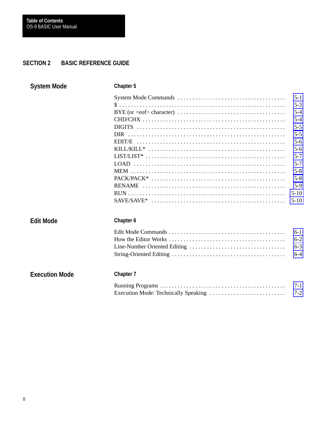### **SECTION 2 BASIC REFERENCE GUIDE**

| <b>System Mode</b>    | <b>Chapter 5</b> |                    |
|-----------------------|------------------|--------------------|
|                       |                  | $5 - 1$<br>$5 - 3$ |
|                       |                  | $5 - 4$            |
|                       |                  | $5 - 4$            |
|                       |                  | $5 - 5$            |
|                       |                  | $5 - 5$            |
|                       |                  | $5 - 6$            |
|                       |                  | $5 - 6$            |
|                       |                  | $5 - 7$            |
|                       |                  | $5 - 7$            |
|                       |                  | $5 - 8$            |
|                       |                  | $5 - 8$            |
|                       |                  | $5-9$              |
|                       |                  | $5-10$             |
|                       |                  | $5-10$             |
| <b>Edit Mode</b>      | Chapter 6        |                    |
|                       |                  | $6-1$              |
|                       |                  | $6 - 2$            |
|                       |                  | $6 - 3$            |
|                       |                  | $6 - 4$            |
| <b>Execution Mode</b> | Chapter 7        |                    |
|                       |                  | $7-1$              |
|                       |                  | $7 - 2$            |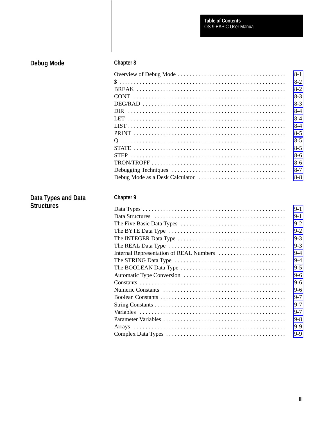Table of Contents<br>OS-9 BASIC User Manual

# Debug Mode

### Chapter 8

| $8 - 1$ |
|---------|
| $8-2$   |
| $8-2$   |
| $8-3$   |
| $8-3$   |
| $8-4$   |
| $8-4$   |
| $8-4$   |
| $8-5$   |
| $8-5$   |
| $8-5$   |
| $8-6$   |
| $8-6$   |
| $8 - 7$ |
| $8 - 8$ |

## Data Types and Data<br>Structures

### Chapter 9

| $9-1$   |  |
|---------|--|
|         |  |
| $9 - 1$ |  |
| $9 - 2$ |  |
| $9 - 2$ |  |
| $9 - 3$ |  |
| $9 - 3$ |  |
| $9 - 4$ |  |
| $9 - 4$ |  |
| $9 - 5$ |  |
| $9-6$   |  |
| $9-6$   |  |
| $9-6$   |  |
| $9 - 7$ |  |
| $9 - 7$ |  |
| $9 - 7$ |  |
| $9 - 8$ |  |
| $9 - 9$ |  |
| $9 - 9$ |  |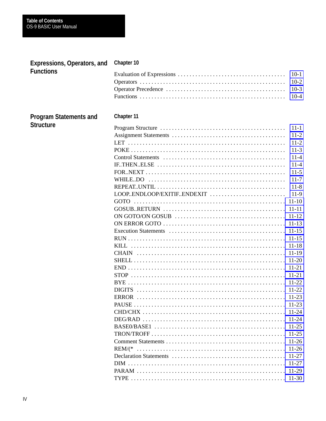| <b>Expressions, Operators, and</b> | Chapter 10                                           |           |
|------------------------------------|------------------------------------------------------|-----------|
| <b>Functions</b>                   |                                                      | $10-1$    |
|                                    |                                                      | $10-2$    |
|                                    |                                                      | $10-3$    |
|                                    |                                                      | $10-4$    |
|                                    |                                                      |           |
| <b>Program Statements and</b>      | Chapter 11                                           |           |
| <b>Structure</b>                   |                                                      | $11 - 1$  |
|                                    |                                                      | $11-2$    |
|                                    |                                                      | $11-2$    |
|                                    |                                                      | $11-3$    |
|                                    |                                                      | $11 - 4$  |
|                                    | $IF. THEN. ELSE \n \n \n \n \n \n \n \n \n \n \n \n$ | $11 - 4$  |
|                                    |                                                      | $11-5$    |
|                                    | WHILEDO                                              | $11-7$    |
|                                    |                                                      | $11-8$    |
|                                    | LOOP.ENDLOOP/EXITIF.ENDEXIT                          | $11-9$    |
|                                    | GOTO                                                 | $11 - 10$ |
|                                    |                                                      | $11 - 11$ |
|                                    |                                                      | $11 - 12$ |
|                                    |                                                      |           |
|                                    |                                                      |           |
|                                    |                                                      |           |
|                                    |                                                      | $11 - 18$ |
|                                    |                                                      | $11-19$   |
|                                    |                                                      |           |
|                                    |                                                      | $11 - 21$ |
|                                    |                                                      | $11 - 21$ |
|                                    |                                                      |           |
|                                    |                                                      |           |
|                                    |                                                      |           |
|                                    |                                                      |           |
|                                    |                                                      |           |
|                                    |                                                      |           |
|                                    |                                                      |           |
|                                    |                                                      |           |
|                                    |                                                      |           |
|                                    |                                                      |           |
|                                    |                                                      |           |
|                                    |                                                      |           |
|                                    |                                                      | $11-29$   |
|                                    |                                                      |           |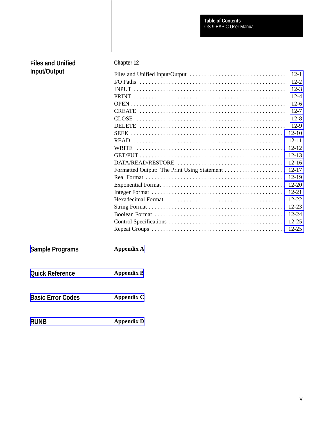| <b>Files and Unified</b> | Chapter 12        |
|--------------------------|-------------------|
| Input/Output             | $12 - 1$          |
|                          | $12 - 2$          |
|                          | $12 - 3$          |
|                          | $12 - 4$          |
|                          | $12-6$            |
|                          | $12 - 7$          |
|                          | $12 - 8$          |
|                          | $12-9$            |
|                          | $12 - 10$         |
|                          | $12 - 11$         |
|                          | $12 - 12$         |
|                          |                   |
|                          |                   |
|                          |                   |
|                          |                   |
|                          | $12 - 20$         |
|                          |                   |
|                          |                   |
|                          | $12 - 23$         |
|                          |                   |
|                          |                   |
|                          |                   |
| <b>Sample Programs</b>   | <b>Appendix A</b> |
| <b>Quick Reference</b>   | <b>Appendix B</b> |
| <b>Basic Error Codes</b> | <b>Appendix C</b> |
|                          |                   |

**[Appendix D](#page-193-0)**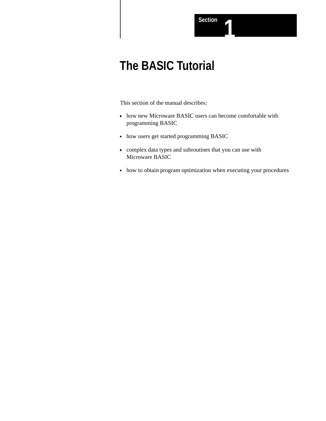## **The BASIC Tutorial**

This section of the manual describes:

- how new Microware BASIC users can become comfortable with programming BASIC
- how users get started programming BASIC
- complex data types and subroutines that you can use with Microware BASIC
- how to obtain program optimization when executing your procedures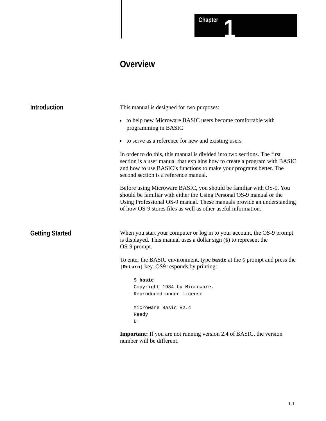### **Overview**

<span id="page-11-0"></span>

| <b>Introduction</b>    | This manual is designed for two purposes:                                                                                                                                                                                                                                              |
|------------------------|----------------------------------------------------------------------------------------------------------------------------------------------------------------------------------------------------------------------------------------------------------------------------------------|
|                        | to help new Microware BASIC users become comfortable with<br>$\blacksquare$<br>programming in BASIC                                                                                                                                                                                    |
|                        | • to serve as a reference for new and existing users                                                                                                                                                                                                                                   |
|                        | In order to do this, this manual is divided into two sections. The first<br>section is a user manual that explains how to create a program with BASIC<br>and how to use BASIC's functions to make your programs better. The<br>second section is a reference manual.                   |
|                        | Before using Microware BASIC, you should be familiar with OS-9. You<br>should be familiar with either the Using Personal OS-9 manual or the<br>Using Professional OS-9 manual. These manuals provide an understanding<br>of how OS-9 stores files as well as other useful information. |
| <b>Getting Started</b> | When you start your computer or log in to your account, the OS-9 prompt<br>is displayed. This manual uses a dollar sign $(s)$ to represent the<br>OS-9 prompt.                                                                                                                         |
|                        | To enter the BASIC environment, type basic at the $\beta$ prompt and press the<br>[Return] key. OS9 responds by printing:                                                                                                                                                              |
|                        | \$ basic                                                                                                                                                                                                                                                                               |
|                        | Copyright 1984 by Microware.<br>Reproduced under license                                                                                                                                                                                                                               |
|                        | Microware Basic V2.4                                                                                                                                                                                                                                                                   |
|                        | Ready<br>B:                                                                                                                                                                                                                                                                            |
|                        | <b>Important:</b> If you are not running version 2.4 of BASIC, the version                                                                                                                                                                                                             |

number will be different.

1-1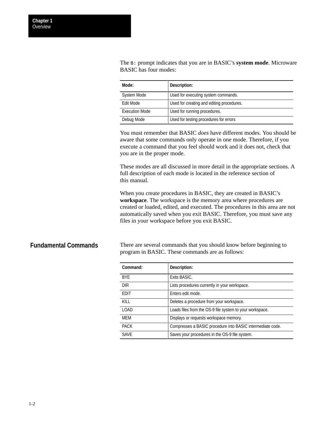<span id="page-12-0"></span>The B: prompt indicates that you are in BASIC's **system mode**. Microware BASIC has four modes:

| Mode:                 | Description:                              |
|-----------------------|-------------------------------------------|
| <b>System Mode</b>    | Used for executing system commands.       |
| Edit Mode             | Used for creating and editing procedures. |
| <b>Execution Mode</b> | Used for running procedures.              |
| Debug Mode            | Used for testing procedures for errors    |

You must remember that BASIC *does* have different modes. You should be aware that some commands only operate in one mode. Therefore, if you execute a command that you feel should work and it does not, check that you are in the proper mode.

These modes are all discussed in more detail in the appropriate sections. A full description of each mode is located in the reference section of this manual.

When you create procedures in BASIC, they are created in BASIC's **workspace**. The workspace is the memory area where procedures are created or loaded, edited, and executed. The procedures in this area are not automatically saved when you exit BASIC. Therefore, you must save any files in your workspace before you exit BASIC.

### **Fundamental Commands**

There are several commands that you should know before beginning to program in BASIC. These commands are as follows:

| Command:    | Description:                                               |
|-------------|------------------------------------------------------------|
| <b>BYF</b>  | Exits BASIC.                                               |
| <b>DIR</b>  | Lists procedures currently in your workspace.              |
| <b>EDIT</b> | Enters edit mode.                                          |
| KILL.       | Deletes a procedure from your workspace.                   |
| LOAD        | Loads files from the OS-9 file system to your workspace.   |
| <b>MFM</b>  | Displays or requests workspace memory.                     |
| <b>PACK</b> | Compresses a BASIC procedure into BASIC intermediate code. |
| <b>SAVE</b> | Saves your procedures in the OS-9 file system.             |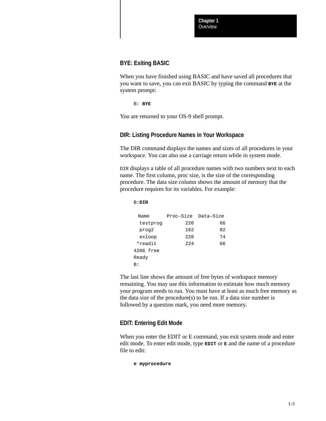### **BYE: Exiting BASIC**

When you have finished using BASIC and have saved all procedures that you want to save, you can exit BASIC by typing the command **BYE** at the system prompt:

B: **BYE**

You are returned to your OS-9 shell prompt.

### **DIR: Listing Procedure Names in Your Workspace**

The DIR command displays the names and sizes of all procedures in your workspace. You can also use a carriage return while in system mode.

DIR displays a table of all procedure names with two numbers next to each name. The first column, proc size, is the size of the corresponding procedure. The data size column shows the amount of memory that the procedure requires for its variables. For example:

B:**DIR** Name Proc-Size Data-Size testprog 226 66 prog2 162 82 exloop 220 74 \*readit 224 66 4266 free Ready B:

The last line shows the amount of free bytes of workspace memory remaining. You may use this information to estimate how much memory your program needs to run. You must have at least as much free memory as the data size of the procedure $(s)$  to be run. If a data size number is followed by a question mark, you need more memory.

### **EDIT: Entering Edit Mode**

When you enter the EDIT or E command, you exit system mode and enter edit mode. To enter edit mode, type **EDIT** or **E** and the name of a procedure file to edit:

**e myprocedure**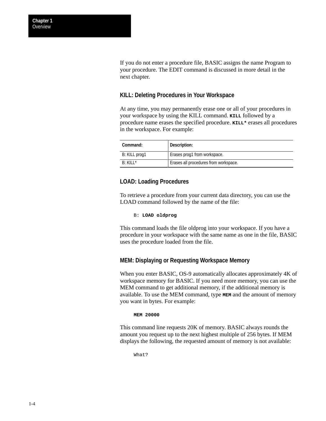**Overview Chapter 1**

> If you do not enter a procedure file, BASIC assigns the name Program to your procedure. The EDIT command is discussed in more detail in the next chapter.

### **KILL: Deleting Procedures in Your Workspace**

At any time, you may permanently erase one or all of your procedures in your workspace by using the KILL command. **KILL** followed by a procedure name erases the specified procedure. **KILL\*** erases all procedures in the workspace. For example:

| Command:      | Description:                          |
|---------------|---------------------------------------|
| B: KILL prog1 | Erases prog1 from workspace.          |
| $B: KII I^*$  | Erases all procedures from workspace. |

### **LOAD: Loading Procedures**

To retrieve a procedure from your current data directory, you can use the LOAD command followed by the name of the file:

B: **LOAD oldprog**

This command loads the file oldprog into your workspace. If you have a procedure in your workspace with the same name as one in the file, BASIC uses the procedure loaded from the file.

### **MEM: Displaying or Requesting Workspace Memory**

When you enter BASIC, OS-9 automatically allocates approximately 4K of workspace memory for BASIC. If you need more memory, you can use the MEM command to get additional memory, if the additional memory is available. To use the MEM command, type **MEM** and the amount of memory you want in bytes. For example:

#### **MEM 20000**

This command line requests 20K of memory. BASIC always rounds the amount you request up to the next highest multiple of 256 bytes. If MEM displays the following, the requested amount of memory is not available:

What?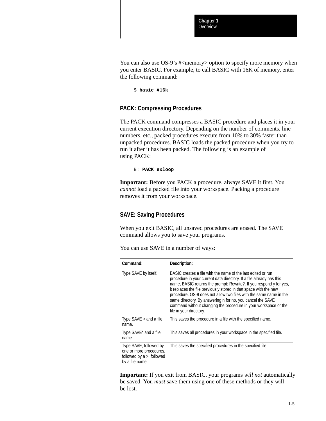You can also use OS-9's #<memory> option to specify more memory when you enter BASIC. For example, to call BASIC with 16K of memory, enter the following command:

\$ **basic #16k**

### **PACK: Compressing Procedures**

The PACK command compresses a BASIC procedure and places it in your current execution directory. Depending on the number of comments, line numbers, etc., packed procedures execute from 10% to 30% faster than unpacked procedures. BASIC loads the packed procedure when you try to run it after it has been packed. The following is an example of using PACK:

B: **PACK exloop**

**Important:** Before you PACK a procedure, always SAVE it first. You *cannot* load a packed file into your workspace. Packing a procedure removes it from your workspace.

### **SAVE: Saving Procedures**

When you exit BASIC, all unsaved procedures are erased. The SAVE command allows you to save your programs.

| Command:                                                                                             | Description:                                                                                                                                                                                                                                                                                                                                                                                                                                                                                                       |
|------------------------------------------------------------------------------------------------------|--------------------------------------------------------------------------------------------------------------------------------------------------------------------------------------------------------------------------------------------------------------------------------------------------------------------------------------------------------------------------------------------------------------------------------------------------------------------------------------------------------------------|
| Type SAVE by itself.                                                                                 | BASIC creates a file with the name of the last edited or run<br>procedure in your current data directory. If a file already has this<br>name, BASIC returns the prompt: Rewrite?. If you respond y for yes,<br>it replaces the file previously stored in that space with the new<br>procedure. OS-9 does not allow two files with the same name in the<br>same directory. By answering n for no, you cancel the SAVE<br>command without changing the procedure in your workspace or the<br>file in your directory. |
| Type $SAVE >$ and a file<br>name.                                                                    | This saves the procedure in a file with the specified name.                                                                                                                                                                                                                                                                                                                                                                                                                                                        |
| Type SAVE* and a file<br>name.                                                                       | This saves all procedures in your workspace in the specified file.                                                                                                                                                                                                                                                                                                                                                                                                                                                 |
| Type SAVE, followed by<br>one or more procedures,<br>followed by $a >$ , followed<br>by a file name. | This saves the specified procedures in the specified file.                                                                                                                                                                                                                                                                                                                                                                                                                                                         |

You can use SAVE in a number of ways:

**Important:** If you exit from BASIC, your programs *will not* automatically be saved. You *must* save them using one of these methods or they will be lost.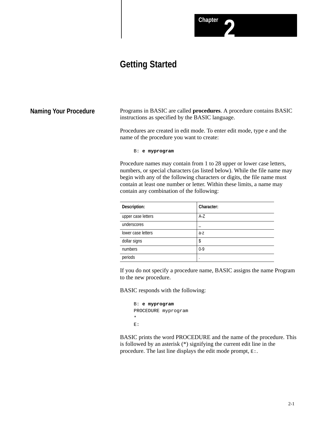### **Chapter**

### **Getting Started**

<span id="page-16-0"></span>**Naming Your Procedure**

Programs in BASIC are called **procedures**. A procedure contains BASIC instructions as specified by the BASIC language.

Procedures are created in edit mode. To enter edit mode, type e and the name of the procedure you want to create:

B: **e myprogram**

Procedure names may contain from 1 to 28 upper or lower case letters, numbers, or special characters (as listed below). While the file name may begin with any of the following characters or digits, the file name must contain at least one number or letter. Within these limits, a name may contain any combination of the following:

| Description:       | Character: |
|--------------------|------------|
| upper case letters | A-Z        |
| underscores        |            |
| lower case letters | a-z        |
| dollar signs       | \$         |
| numbers            | $0-9$      |
| periods            | ٠          |

If you do not specify a procedure name, BASIC assigns the name Program to the new procedure.

BASIC responds with the following:

```
B: e myprogram
PROCEDURE myprogram
*
E:
```
BASIC prints the word PROCEDURE and the name of the procedure. This is followed by an asterisk (\*) signifying the current edit line in the procedure. The last line displays the edit mode prompt,  $E$ :.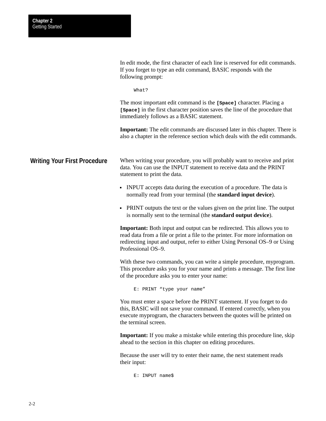<span id="page-17-0"></span>

|                              | In edit mode, the first character of each line is reserved for edit commands.<br>If you forget to type an edit command, BASIC responds with the<br>following prompt:                                                                                               |
|------------------------------|--------------------------------------------------------------------------------------------------------------------------------------------------------------------------------------------------------------------------------------------------------------------|
|                              | What?                                                                                                                                                                                                                                                              |
|                              | The most important edit command is the [space] character. Placing a<br>[space] in the first character position saves the line of the procedure that<br>immediately follows as a BASIC statement.                                                                   |
|                              | <b>Important:</b> The edit commands are discussed later in this chapter. There is<br>also a chapter in the reference section which deals with the edit commands.                                                                                                   |
| Writing Your First Procedure | When writing your procedure, you will probably want to receive and print<br>data. You can use the INPUT statement to receive data and the PRINT<br>statement to print the data.                                                                                    |
|                              | • INPUT accepts data during the execution of a procedure. The data is<br>normally read from your terminal (the <b>standard input device</b> ).                                                                                                                     |
|                              | • PRINT outputs the text or the values given on the print line. The output<br>is normally sent to the terminal (the standard output device).                                                                                                                       |
|                              | <b>Important:</b> Both input and output can be redirected. This allows you to<br>read data from a file or print a file to the printer. For more information on<br>redirecting input and output, refer to either Using Personal OS-9 or Using<br>Professional OS-9. |
|                              | With these two commands, you can write a simple procedure, myprogram.<br>This procedure asks you for your name and prints a message. The first line<br>of the procedure asks you to enter your name:                                                               |
|                              | E: PRINT "type your name"                                                                                                                                                                                                                                          |
|                              | You must enter a space before the PRINT statement. If you forget to do<br>this, BASIC will not save your command. If entered correctly, when you<br>execute myprogram, the characters between the quotes will be printed on<br>the terminal screen.                |
|                              | <b>Important:</b> If you make a mistake while entering this procedure line, skip<br>ahead to the section in this chapter on editing procedures.                                                                                                                    |
|                              | Because the user will try to enter their name, the next statement reads<br>their input:                                                                                                                                                                            |

E: INPUT name\$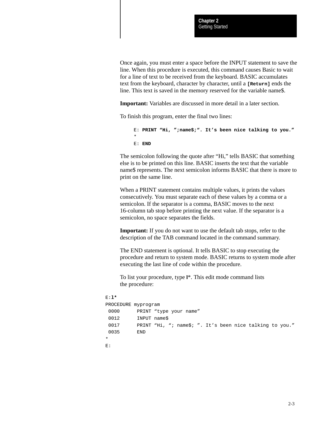Once again, you must enter a space before the INPUT statement to save the line. When this procedure is executed, this command causes Basic to wait for a line of text to be received from the keyboard. BASIC accumulates text from the keyboard, character by character, until a **[Return]** ends the line. This text is saved in the memory reserved for the variable name\$.

**Important:** Variables are discussed in more detail in a later section.

To finish this program, enter the final two lines:

E: **PRINT "Hi, ";name\$;". It's been nice talking to you."** \* E: **END**

The semicolon following the quote after "Hi," tells BASIC that something else is to be printed on this line. BASIC inserts the text that the variable name\$ represents. The next semicolon informs BASIC that there is more to print on the same line.

When a PRINT statement contains multiple values, it prints the values consecutively. You must separate each of these values by a comma or a semicolon. If the separator is a comma, BASIC moves to the next 16-column tab stop before printing the next value. If the separator is a semicolon, no space separates the fields.

**Important:** If you do not want to use the default tab stops, refer to the description of the TAB command located in the command summary.

The END statement is optional. It tells BASIC to stop executing the procedure and return to system mode. BASIC returns to system mode after executing the last line of code within the procedure.

To list your procedure, type **l**\*. This edit mode command lists the procedure:

```
E:l*
PROCEDURE myprogram
0000 PRINT "type your name"
 0012 INPUT name$
 0017 PRINT "Hi, "; name$; ". It's been nice talking to you."
 0035 END
*
E:
```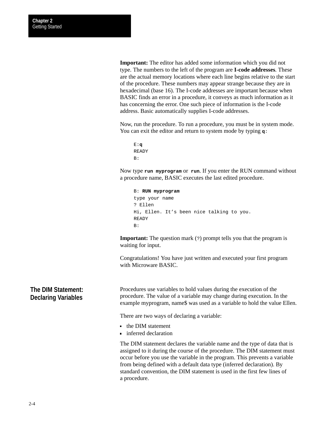<span id="page-19-0"></span>**Important:** The editor has added some information which you did not type. The numbers to the left of the program are **I-code addresses**. These are the actual memory locations where each line begins relative to the start of the procedure. These numbers may appear strange because they are in hexadecimal (base 16). The I-code addresses are important because when BASIC finds an error in a procedure, it conveys as much information as it has concerning the error. One such piece of information is the I-code address. Basic automatically supplies I-code addresses.

Now, run the procedure. To run a procedure, you must be in system mode. You can exit the editor and return to system mode by typing **q**:

```
E:q
READY
B:
```
Now type **run myprogram** or **run**. If you enter the RUN command without a procedure name, BASIC executes the last edited procedure.

```
B: RUN myprogram
type your name
? Ellen
Hi, Ellen. It's been nice talking to you.
READY
B:
```
**Important:** The question mark (?) prompt tells you that the program is waiting for input.

Congratulations! You have just written and executed your first program with Microware BASIC.

Procedures use variables to hold values during the execution of the procedure. The value of a variable may change during execution. In the example myprogram, name\$ was used as a variable to hold the value Ellen.

There are two ways of declaring a variable:

- the DIM statement
- **inferred declaration**

The DIM statement declares the variable name and the type of data that is assigned to it during the course of the procedure. The DIM statement must occur before you use the variable in the program. This prevents a variable from being defined with a default data type (inferred declaration). By standard convention, the DIM statement is used in the first few lines of a procedure.

### **The DIM Statement: Declaring Variables**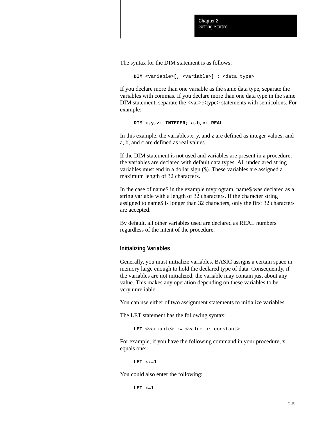The syntax for the DIM statement is as follows:

```
DIM <variable>[, <variable>] : <data type>
```
If you declare more than one variable as the same data type, separate the variables with commas. If you declare more than one data type in the same DIM statement, separate the <var>:<type> statements with semicolons. For example:

**DIM x,y,z: INTEGER; a,b,c: REAL**

In this example, the variables x, y, and z are defined as integer values, and a, b, and c are defined as real values.

If the DIM statement is not used and variables are present in a procedure, the variables are declared with default data types. All undeclared string variables must end in a dollar sign (\$). These variables are assigned a maximum length of 32 characters.

In the case of name\$ in the example myprogram, name\$ was declared as a string variable with a length of 32 characters. If the character string assigned to name\$ is longer than 32 characters, only the first 32 characters are accepted.

By default, all other variables used are declared as REAL numbers regardless of the intent of the procedure.

### **Initializing Variables**

Generally, you must initialize variables. BASIC assigns a certain space in memory large enough to hold the declared type of data. Consequently, if the variables are not initialized, the variable may contain just about any value. This makes any operation depending on these variables to be very unreliable.

You can use either of two assignment statements to initialize variables.

The LET statement has the following syntax:

**LET** <variable> **:=** <value or constant>

For example, if you have the following command in your procedure, x equals one:

**LET x:=1**

You could also enter the following:

**LET x=1**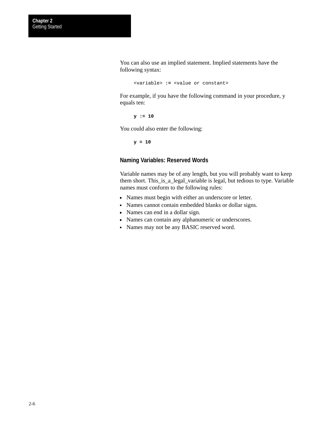You can also use an implied statement. Implied statements have the following syntax:

<variable> **:=** <value or constant>

For example, if you have the following command in your procedure, y equals ten:

**y := 10**

You could also enter the following:

**y = 10**

### **Naming Variables: Reserved Words**

Variable names may be of any length, but you will probably want to keep them short. This\_is\_a\_legal\_variable is legal, but tedious to type. Variable names must conform to the following rules:

- Names must begin with either an underscore or letter.
- Names cannot contain embedded blanks or dollar signs.
- Names can end in a dollar sign.
- Names can contain any alphanumeric or underscores.
- Names may not be any BASIC reserved word.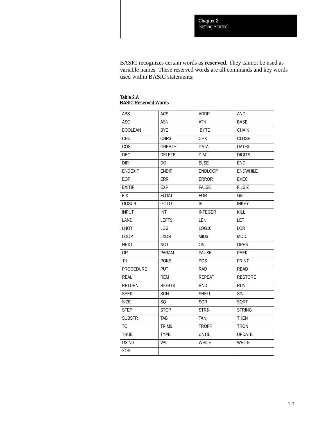BASIC recognizes certain words as **reserved**. They cannot be used as variable names. These reserved words are all commands and key words used within BASIC statements:

| <b>ABS</b>       | <b>ACS</b>    | <b>ADDR</b>    | AND             |
|------------------|---------------|----------------|-----------------|
| <b>ASC</b>       | <b>ASN</b>    | <b>ATN</b>     | <b>BASE</b>     |
| <b>BOOLEAN</b>   | <b>BYE</b>    | <b>BYTE</b>    | <b>CHAIN</b>    |
| CHD              | CHR\$         | <b>CHX</b>     | CLOSE           |
| COS              | <b>CREATE</b> | <b>DATA</b>    | DATE\$          |
| <b>DEG</b>       | <b>DELETE</b> | <b>DIM</b>     | <b>DIGITS</b>   |
| <b>DIR</b>       | DO            | <b>ELSE</b>    | <b>END</b>      |
| <b>ENDEXIT</b>   | <b>ENDIF</b>  | <b>ENDLOOP</b> | <b>ENDWHILE</b> |
| EOF              | ERR           | <b>ERROR</b>   | EXEC            |
| <b>EXITIF</b>    | <b>EXP</b>    | <b>FALSE</b>   | <b>FILSIZ</b>   |
| <b>FIX</b>       | <b>FLOAT</b>  | <b>FOR</b>     | <b>GET</b>      |
| <b>GOSUB</b>     | GOTO          | IF             | <b>INKEY</b>    |
| <b>INPUT</b>     | INT           | <b>INTEGER</b> | KILL            |
| LAND             | LEFT\$        | LEN            | <b>LET</b>      |
| <b>LNOT</b>      | LOG           | <b>LOG10</b>   | LOR             |
| <b>LOOP</b>      | <b>LXOR</b>   | MID\$          | <b>MOD</b>      |
| <b>NEXT</b>      | <b>NOT</b>    | $\mathsf{ON}$  | <b>OPEN</b>     |
| 0R               | PARAM         | <b>PAUSE</b>   | <b>PEEK</b>     |
| PI               | <b>POKE</b>   | <b>POS</b>     | <b>PRINT</b>    |
| <b>PROCEDURE</b> | <b>PUT</b>    | <b>RAD</b>     | <b>READ</b>     |
| <b>REAL</b>      | <b>REM</b>    | <b>REPEAT</b>  | <b>RESTORE</b>  |
| <b>RETURN</b>    | <b>RIGHTS</b> | <b>RND</b>     | <b>RUN</b>      |
| <b>SEEK</b>      | SGN           | <b>SHELL</b>   | <b>SIN</b>      |
| <b>SIZE</b>      | SQ            | SQR            | <b>SQRT</b>     |
| <b>STEP</b>      | <b>STOP</b>   | STR\$          | <b>STRING</b>   |
| <b>SUBSTR</b>    | <b>TAB</b>    | <b>TAN</b>     | <b>THEN</b>     |
| TO.              | <b>TRIMS</b>  | <b>TROFF</b>   | <b>TRON</b>     |
| <b>TRUE</b>      | <b>TYPE</b>   | <b>UNTIL</b>   | <b>UPDATE</b>   |
| <b>USING</b>     | VAL           | WHILE          | <b>WRITE</b>    |
| <b>XOR</b>       |               |                |                 |

| Table 2.A |                             |  |
|-----------|-----------------------------|--|
|           | <b>BASIC Reserved Words</b> |  |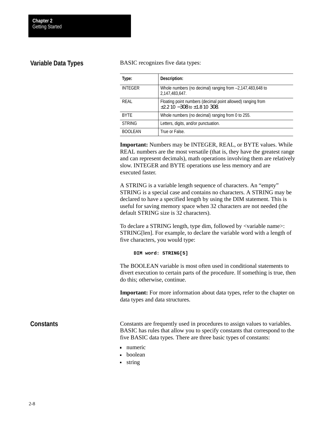### <span id="page-23-0"></span>**Variable Data Types**

#### BASIC recognizes five data types:

| Type:          | Description:                                                                                          |
|----------------|-------------------------------------------------------------------------------------------------------|
| <b>INTEGER</b> | Whole numbers (no decimal) ranging from -2,147,483,648 to<br>2,147,483,647.                           |
| RFAI           | Floating point numbers (decimal point allowed) ranging from<br>$\pm 2.2$ 10 -308 to $\pm 1.8$ 10 308. |
| <b>BYTF</b>    | Whole numbers (no decimal) ranging from 0 to 255.                                                     |
| <b>STRING</b>  | Letters, digits, and/or punctuation.                                                                  |
| <b>BOOLEAN</b> | True or False.                                                                                        |

**Important:** Numbers may be INTEGER, REAL, or BYTE values. While REAL numbers are the most versatile (that is, they have the greatest range and can represent decimals), math operations involving them are relatively slow. INTEGER and BYTE operations use less memory and are executed faster.

A STRING is a variable length sequence of characters. An "empty" STRING is a special case and contains no characters. A STRING may be declared to have a specified length by using the DIM statement. This is useful for saving memory space when 32 characters are not needed (the default STRING size is 32 characters).

To declare a STRING length, type dim, followed by <variable name>: STRING[len]. For example, to declare the variable word with a length of five characters, you would type:

**DIM word: STRING[5]**

The BOOLEAN variable is most often used in conditional statements to divert execution to certain parts of the procedure. If something is true, then do this; otherwise, continue.

**Important:** For more information about data types, refer to the chapter on data types and data structures.

### **Constants**

Constants are frequently used in procedures to assign values to variables. BASIC has rules that allow you to specify constants that correspond to the five BASIC data types. There are three basic types of constants:

- numeric
- boolean
- **string**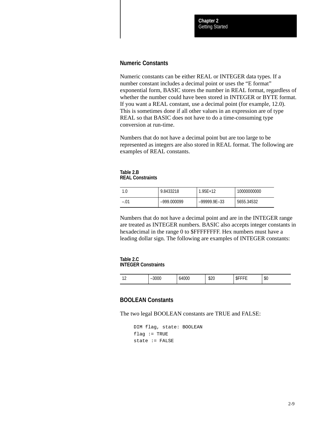### **Numeric Constants**

Numeric constants can be either REAL or INTEGER data types. If a number constant includes a decimal point or uses the "E format" exponential form, BASIC stores the number in REAL format, regardless of whether the number could have been stored in INTEGER or BYTE format. If you want a REAL constant, use a decimal point (for example, 12.0). This is sometimes done if all other values in an expression are of type REAL so that BASIC does not have to do a time-consuming type conversion at run-time.

Numbers that do not have a decimal point but are too large to be represented as integers are also stored in REAL format. The following are examples of REAL constants.

**Table 2.B REAL Constraints**

| 1.0    | 9.8433218   | $1.95E+12$     | 10000000000 |
|--------|-------------|----------------|-------------|
| $-.01$ | -999.000099 | $-99999.9E-33$ | 5655.34532  |

Numbers that do not have a decimal point and are in the INTEGER range are treated as INTEGER numbers. BASIC also accepts integer constants in hexadecimal in the range 0 to \$FFFFFFFF. Hex numbers must have a leading dollar sign. The following are examples of INTEGER constants:

**Table 2.C INTEGER Constraints**

| . . | טע. | 64000 | $\Delta$<br>با∠⊄ | .ъ | $\sim$<br>ิจ∪ |
|-----|-----|-------|------------------|----|---------------|
|-----|-----|-------|------------------|----|---------------|

### **BOOLEAN Constants**

The two legal BOOLEAN constants are TRUE and FALSE:

```
DIM flag, state: BOOLEAN
flag := TRUEstate := FALSE
```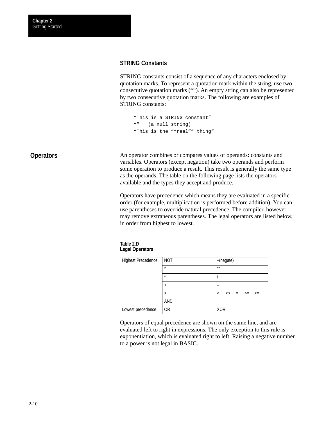### <span id="page-25-0"></span>**STRING Constants**

STRING constants consist of a sequence of any characters enclosed by quotation marks. To represent a quotation mark within the string, use two consecutive quotation marks (**""**). An empty string can also be represented by two consecutive quotation marks. The following are examples of STRING constants:

```
"This is a STRING constant"
"" (a null string)
"This is the ""real"" thing"
```
An operator combines or compares values of operands: constants and variables. Operators (except negation) take two operands and perform some operation to produce a result. This result is generally the same type as the operands. The table on the following page lists the operators available and the types they accept and produce. **Operators**

> Operators have precedence which means they are evaluated in a specific order (for example, multiplication is performed before addition). You can use parentheses to override natural precedence. The compiler, however, may remove extraneous parentheses. The legal operators are listed below, in order from highest to lowest.

**Table 2.D Legal Operators**

| <b>Highest Precedence</b> | <b>NOT</b> | -(negate)           |
|---------------------------|------------|---------------------|
|                           | $\wedge$   | $***$               |
|                           | $\star$    |                     |
|                           |            |                     |
|                           |            | <> = >= <=<br>$\lt$ |
|                           | AND        |                     |
| Lowest precedence         | 0R         | <b>XOR</b>          |

Operators of equal precedence are shown on the same line, and are evaluated left to right in expressions. The only exception to this rule is exponentiation, which is evaluated right to left. Raising a negative number to a power is not legal in BASIC.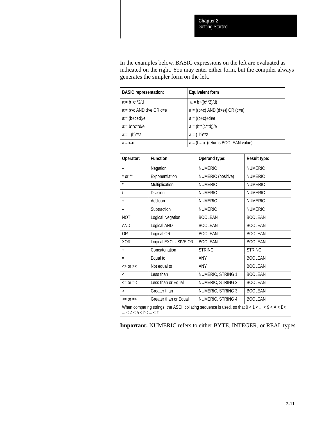In the examples below, BASIC expressions on the left are evaluated as indicated on the right. You may enter either form, but the compiler always generates the simpler form on the left.

| <b>BASIC</b> representation: |                         | <b>Equivalent form</b> |                                                                                                |                     |  |
|------------------------------|-------------------------|------------------------|------------------------------------------------------------------------------------------------|---------------------|--|
| $a:= b + c^{**}2/d$          |                         |                        | $a:= b+ ((c^{**}2)/d)$                                                                         |                     |  |
| a:= b>c AND d>e OR c=e       |                         |                        | $a = ((b>c)$ AND $(d>e)$ ) OR $(c=e)$                                                          |                     |  |
| $a:=(b+c+d)/e$               |                         |                        | $a = ((b+c)+d)/e$                                                                              |                     |  |
| $a:= b^{**}c^{**}d/e$        |                         |                        | $a:= (b^{**}(c^{**}d))/e$                                                                      |                     |  |
| $a:=-(b)**2$                 |                         |                        | $a:= (-b)$ **2                                                                                 |                     |  |
| $a:=b=c$                     |                         |                        | a:= (b=c) (returns BOOLEAN value)                                                              |                     |  |
|                              |                         |                        |                                                                                                |                     |  |
| Operator:                    | <b>Function:</b>        |                        | Operand type:                                                                                  | <b>Result type:</b> |  |
|                              | Negation                |                        | <b>NUMERIC</b>                                                                                 | <b>NUMERIC</b>      |  |
| $^{\wedge}$ or $^{**}$       | Exponentiation          |                        | NUMERIC (positive)                                                                             | <b>NUMERIC</b>      |  |
|                              | Multiplication          |                        | <b>NUMERIC</b>                                                                                 | <b>NUMERIC</b>      |  |
| $\prime$                     | <b>Division</b>         |                        | <b>NUMERIC</b>                                                                                 | <b>NUMERIC</b>      |  |
| $\ddot{}$                    | Addition                |                        | <b>NUMERIC</b>                                                                                 | <b>NUMERIC</b>      |  |
|                              | Subtraction             |                        | <b>NUMERIC</b>                                                                                 | <b>NUMERIC</b>      |  |
| <b>NOT</b>                   | <b>Logical Negation</b> |                        | <b>BOOLEAN</b>                                                                                 | <b>BOOLEAN</b>      |  |
| <b>AND</b>                   | Logical AND             |                        | <b>BOOLEAN</b>                                                                                 | <b>BOOLEAN</b>      |  |
| <b>OR</b>                    | Logical OR              |                        | <b>BOOLEAN</b>                                                                                 | <b>BOOLEAN</b>      |  |
| <b>XOR</b>                   | Logical EXCLUSIVE OR    |                        | <b>BOOLEAN</b>                                                                                 | <b>BOOLEAN</b>      |  |
| $\ddot{}$                    | Concatenation           |                        | <b>STRING</b>                                                                                  | <b>STRING</b>       |  |
| $=$                          | Equal to                |                        | ANY                                                                                            | <b>BOOLEAN</b>      |  |
| $\langle$ > 0r > $\langle$   | Not equal to            |                        | ANY                                                                                            | <b>BOOLEAN</b>      |  |
| $\,<\,$                      | Less than               |                        | NUMERIC, STRING 1                                                                              | <b>BOOLEAN</b>      |  |
| $\leq$ = 0r = $\leq$         | Less than or Equal      |                        | NUMERIC, STRING 2                                                                              | <b>BOOLEAN</b>      |  |
| $\geq$                       | Greater than            |                        | NUMERIC, STRING 3                                                                              | <b>BOOLEAN</b>      |  |
| $>=$ or $=$                  | Greater than or Equal   |                        | NUMERIC, STRING 4                                                                              | <b>BOOLEAN</b>      |  |
|                              |                         |                        | When comparing strings the ASCII collating sequence is used so that $0 < 1 < \sqrt{9} < A < B$ |                     |  |

When comparing strings, the ASCII collating sequence is used, so that  $0 < 1 < ... < 9 < A < B$ ... < Z < a < b< ... < z

**Important:** NUMERIC refers to either BYTE, INTEGER, or REAL types.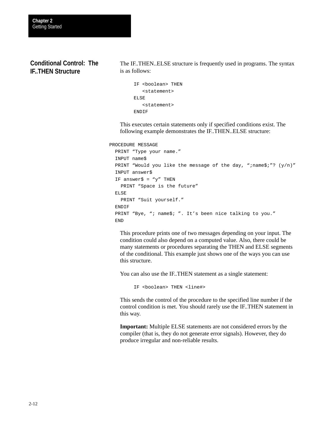### <span id="page-27-0"></span>**Conditional Control: The IF..THEN Structure**

The IF..THEN..ELSE structure is frequently used in programs. The syntax is as follows:

```
IF <boolean> THEN
    <statement>
ELSE
    <statement>
ENDIF
```
This executes certain statements only if specified conditions exist. The following example demonstrates the IF..THEN..ELSE structure:

```
PROCEDURE MESSAGE
```

```
 PRINT "Type your name."
 INPUT name$
PRINT "Would you like the message of the day, ";name$;"? (y/n)"
 INPUT answer$
IF answer\frac{1}{2} = "y" THEN
   PRINT "Space is the future"
 ELSE
   PRINT "Suit yourself."
 ENDIF
PRINT "Bye, "; name$; ". It's been nice talking to you."
 END
```
This procedure prints one of two messages depending on your input. The condition could also depend on a computed value. Also, there could be many statements or procedures separating the THEN and ELSE segments of the conditional. This example just shows one of the ways you can use this structure.

You can also use the IF..THEN statement as a single statement:

IF <boolean> THEN <line#>

This sends the control of the procedure to the specified line number if the control condition is met. You should rarely use the IF..THEN statement in this way.

**Important:** Multiple ELSE statements are not considered errors by the compiler (that is, they do not generate error signals). However, they do produce irregular and non-reliable results.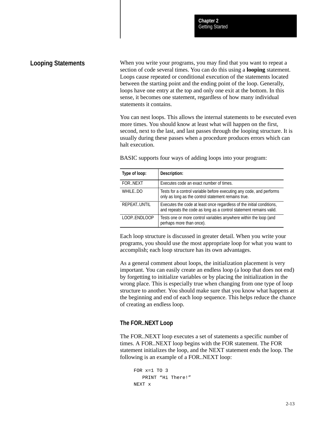### <span id="page-28-0"></span>**Looping Statements**

When you write your programs, you may find that you want to repeat a section of code several times. You can do this using a **looping** statement. Loops cause repeated or conditional execution of the statements located between the starting point and the ending point of the loop. Generally, loops have one entry at the top and only one exit at the bottom. In this sense, it becomes one statement, regardless of how many individual statements it contains.

You can nest loops. This allows the internal statements to be executed even more times. You should know at least what will happen on the first, second, next to the last, and last passes through the looping structure. It is usually during these passes when a procedure produces errors which can halt execution.

| Type of loop: | Description:                                                                                                                                |
|---------------|---------------------------------------------------------------------------------------------------------------------------------------------|
| FORNEXT       | Executes code an exact number of times.                                                                                                     |
| WHILE.DO      | Tests for a control variable before executing any code, and performs<br>only as long as the control statement remains true.                 |
| REPEAT.UNTIL  | Executes the code at least once regardless of the initial conditions,<br>and repeats the code as long as a control statement remains valid. |
| LOOP.ENDLOOP  | Tests one or more control variables anywhere within the loop (and<br>perhaps more than once).                                               |

BASIC supports four ways of adding loops into your program:

Each loop structure is discussed in greater detail. When you write your programs, you should use the most appropriate loop for what you want to accomplish; each loop structure has its own advantages.

As a general comment about loops, the initialization placement is very important. You can easily create an endless loop (a loop that does not end) by forgetting to initialize variables or by placing the initialization in the wrong place. This is especially true when changing from one type of loop structure to another. You should make sure that you know what happens at the beginning and end of each loop sequence. This helps reduce the chance of creating an endless loop.

### **The FOR..NEXT Loop**

The FOR..NEXT loop executes a set of statements a specific number of times. A FOR..NEXT loop begins with the FOR statement. The FOR statement initializes the loop, and the NEXT statement ends the loop. The following is an example of a FOR..NEXT loop:

```
FOR x=1 TO 3
    PRINT "Hi There!"
NEXT x
```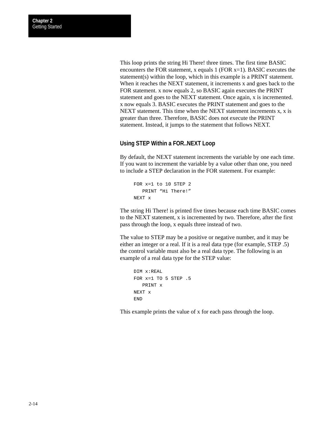This loop prints the string Hi There! three times. The first time BASIC encounters the FOR statement, x equals 1 (FOR x=1). BASIC executes the statement(s) within the loop, which in this example is a PRINT statement. When it reaches the NEXT statement, it increments x and goes back to the FOR statement. x now equals 2, so BASIC again executes the PRINT statement and goes to the NEXT statement. Once again, x is incremented. x now equals 3. BASIC executes the PRINT statement and goes to the NEXT statement. This time when the NEXT statement increments x, x is greater than three. Therefore, BASIC does not execute the PRINT statement. Instead, it jumps to the statement that follows NEXT.

### **Using STEP Within a FOR..NEXT Loop**

By default, the NEXT statement increments the variable by one each time. If you want to increment the variable by a value other than one, you need to include a STEP declaration in the FOR statement. For example:

```
FOR x=1 to 10 STEP 2
    PRINT "Hi There!"
NEXT x
```
The string Hi There! is printed five times because each time BASIC comes to the NEXT statement, x is incremented by two. Therefore, after the first pass through the loop, x equals three instead of two.

The value to STEP may be a positive or negative number, and it may be either an integer or a real. If it is a real data type (for example, STEP .5) the control variable must also be a real data type. The following is an example of a real data type for the STEP value:

```
DIM x:REAL
FOR x=1 TO 5 STEP .5
   PRINT x
NEXT x
END
```
This example prints the value of x for each pass through the loop.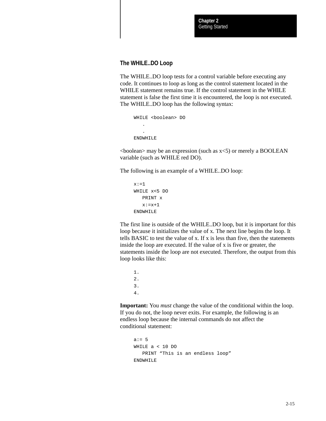### **The WHILE..DO Loop**

The WHILE..DO loop tests for a control variable before executing any code. It continues to loop as long as the control statement located in the WHILE statement remains true. If the control statement in the WHILE statement is false the first time it is encountered, the loop is not executed. The WHILE..DO loop has the following syntax:

```
WHILE <boolean> DO
 .
 .
ENDWHILE
```
 $\leq$ boolean $>$  may be an expression (such as  $x \leq 5$ ) or merely a BOOLEAN variable (such as WHILE red DO).

The following is an example of a WHILE..DO loop:

```
x:=1WHILE x<5 DO
    PRINT x
   x:=x+1ENDWHILE
```
The first line is outside of the WHILE..DO loop, but it is important for this loop because it initializes the value of x. The next line begins the loop. It tells BASIC to test the value of x. If x is less than five, then the statements inside the loop are executed. If the value of x is five or greater, the statements inside the loop are not executed. Therefore, the output from this loop looks like this:

1. 2. 3. 4.

**Important:** You *must* change the value of the conditional within the loop. If you do not, the loop never exits. For example, the following is an endless loop because the internal commands do not affect the conditional statement:

```
a := 5WHILE a < 10 DO
    PRINT "This is an endless loop"
ENDWHILE
```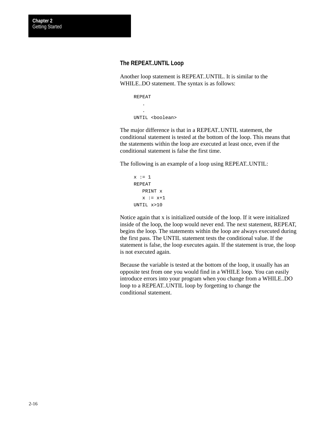### **The REPEAT..UNTIL Loop**

Another loop statement is REPEAT..UNTIL. It is similar to the WHILE..DO statement. The syntax is as follows:

```
REPEAT
    .
 .
UNTIL <boolean>
```
The major difference is that in a REPEAT..UNTIL statement, the conditional statement is tested at the bottom of the loop. This means that the statements within the loop are executed at least once, even if the conditional statement is false the first time.

The following is an example of a loop using REPEAT..UNTIL:

```
x := 1REPEAT
   PRINT x
  x := x+1UNTIL x>10
```
Notice again that x is initialized outside of the loop. If it were initialized inside of the loop, the loop would never end. The next statement, REPEAT, begins the loop. The statements within the loop are always executed during the first pass. The UNTIL statement tests the conditional value. If the statement is false, the loop executes again. If the statement is true, the loop is not executed again.

Because the variable is tested at the bottom of the loop, it usually has an opposite test from one you would find in a WHILE loop. You can easily introduce errors into your program when you change from a WHILE..DO loop to a REPEAT..UNTIL loop by forgetting to change the conditional statement.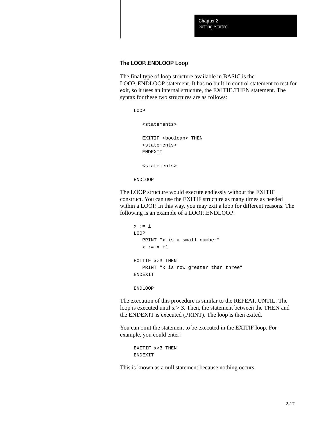### **The LOOP..ENDLOOP Loop**

The final type of loop structure available in BASIC is the LOOP..ENDLOOP statement. It has no built-in control statement to test for exit, so it uses an internal structure, the EXITIF..THEN statement. The syntax for these two structures are as follows:

LOOP

<statements>

EXITIF <boolean> THEN <statements> ENDEXIT

<statements>

ENDLOOP

The LOOP structure would execute endlessly without the EXITIF construct. You can use the EXITIF structure as many times as needed within a LOOP. In this way, you may exit a loop for different reasons. The following is an example of a LOOP..ENDLOOP:

```
x := 1LOOP
  PRINT "x is a small number"
   x := x + 1EXITIF x>3 THEN
   PRINT "x is now greater than three"
ENDEXIT
ENDLOOP
```
The execution of this procedure is similar to the REPEAT..UNTIL. The

loop is executed until  $x > 3$ . Then, the statement between the THEN and the ENDEXIT is executed (PRINT). The loop is then exited.

You can omit the statement to be executed in the EXITIF loop. For example, you could enter:

```
EXITIF x>3 THEN
ENDEXIT
```
This is known as a null statement because nothing occurs.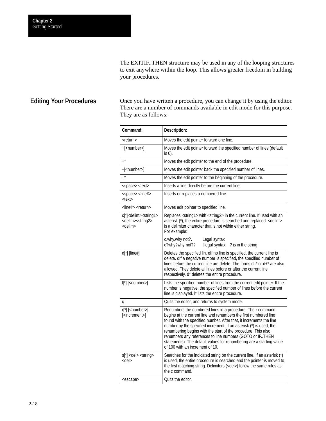The EXITIF..THEN structure may be used in any of the looping structures to exit anywhere within the loop. This allows greater freedom in building your procedures.

### <span id="page-33-0"></span>**Editing Your Procedures**

Once you have written a procedure, you can change it by using the editor. There are a number of commands available in edit mode for this purpose. They are as follows:

| Command:                                                                                           | Description:                                                                                                                                                                                                                                                                                                                                                                                                                                                                                                        |
|----------------------------------------------------------------------------------------------------|---------------------------------------------------------------------------------------------------------------------------------------------------------------------------------------------------------------------------------------------------------------------------------------------------------------------------------------------------------------------------------------------------------------------------------------------------------------------------------------------------------------------|
| <return></return>                                                                                  | Moves the edit pointer forward one line.                                                                                                                                                                                                                                                                                                                                                                                                                                                                            |
| $+$ [ <number>]</number>                                                                           | Moves the edit pointer forward the specified number of lines (default<br>is 0).                                                                                                                                                                                                                                                                                                                                                                                                                                     |
| $+$ *                                                                                              | Moves the edit pointer to the end of the procedure.                                                                                                                                                                                                                                                                                                                                                                                                                                                                 |
| $-[$ <number>]</number>                                                                            | Moves the edit pointer back the specified number of lines.                                                                                                                                                                                                                                                                                                                                                                                                                                                          |
| $\overline{\phantom{a}}$                                                                           | Moves the edit pointer to the beginning of the procedure.                                                                                                                                                                                                                                                                                                                                                                                                                                                           |
| <space> <text></text></space>                                                                      | Inserts a line directly before the current line.                                                                                                                                                                                                                                                                                                                                                                                                                                                                    |
| <space> <line#><br/><text></text></line#></space>                                                  | Inserts or replaces a numbered line.                                                                                                                                                                                                                                                                                                                                                                                                                                                                                |
| <line#> <return></return></line#>                                                                  | Moves edit pointer to specified line.                                                                                                                                                                                                                                                                                                                                                                                                                                                                               |
| c[*] <delim><string1><br/><delim><string2><br/><delim></delim></string2></delim></string1></delim> | Replaces <string1> with <string2> in the current line. If used with an<br/>asterisk (*), the entire procedure is searched and replaced. &lt; delim&gt;<br/>is a delimiter character that is not within either string.<br/>For example:</string2></string1>                                                                                                                                                                                                                                                          |
|                                                                                                    | c.why.why not?.<br>Legal syntax<br>c?why?why not??<br>Illegal syntax: ? is in the string                                                                                                                                                                                                                                                                                                                                                                                                                            |
| $d[$ *] [line#]                                                                                    | Deletes the specified lin. elf no line is specified, the current line is<br>delete. dlf a negative number is specified, the specified number of<br>lines before the current line are delete. The forms d-* or d+* are also<br>allowed. They delete all lines before or after the current line<br>respectively. d* deletes the entire procedure.                                                                                                                                                                     |
| $\mathbb{I}[^*]$ [ <number>]</number>                                                              | Lists the specified number of lines from the current edit pointer. If the<br>number is negative, the specified number of lines before the current<br>line is displayed. I* lists the entire procedure.                                                                                                                                                                                                                                                                                                              |
| q                                                                                                  | Quits the editor, and returns to system mode.                                                                                                                                                                                                                                                                                                                                                                                                                                                                       |
| r[*] [ <number>],<br/>[<increment>]</increment></number>                                           | Renumbers the numbered lines in a procedure. The r command<br>begins at the current line and renumbers the first numbered line<br>found with the specified number. After that, it increments the line<br>number by the specified increment. If an asterisk (*) is used, the<br>renumbering begins with the start of the procedure. This also<br>renumbers any references to line numbers (GOTO or IFTHEN<br>statements). The default values for renumbering are a starting value<br>of 100 with an increment of 10. |
| s[*] <del> <string><br/><del></del></string></del>                                                 | Searches for the indicated string on the current line. If an asterisk (*)<br>is used, the entire procedure is searched and the pointer is moved to<br>the first matching string. Delimiters ( <del>) follow the same rules as<br/>the c command.</del>                                                                                                                                                                                                                                                              |
| <escape></escape>                                                                                  | Quits the editor.                                                                                                                                                                                                                                                                                                                                                                                                                                                                                                   |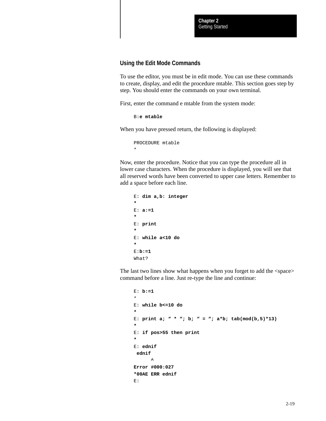### **Using the Edit Mode Commands**

To use the editor, you must be in edit mode. You can use these commands to create, display, and edit the procedure mtable. This section goes step by step. You should enter the commands on your own terminal.

First, enter the command e mtable from the system mode:

```
B:e mtable
```
When you have pressed return, the following is displayed:

```
PROCEDURE mtable
*
```
Now, enter the procedure. Notice that you can type the procedure all in lower case characters. When the procedure is displayed, you will see that all reserved words have been converted to upper case letters. Remember to add a space before each line.

```
E: dim a,b: integer
*
E: a:=1
*
E: print 
*
E: while a<10 do
*
E:b:=1
What?
```
The last two lines show what happens when you forget to add the <space> command before a line. Just re-type the line and continue:

```
E: b:=1
*
E: while b<=10 do
*
E: print a; " * "; b; " = "; a * b; tab(mod(b,5) * 13)*
E: if pos>55 then print
*
E: ednif
  ednif
 ^
Error #000:027
*00AE ERR ednif
E:
```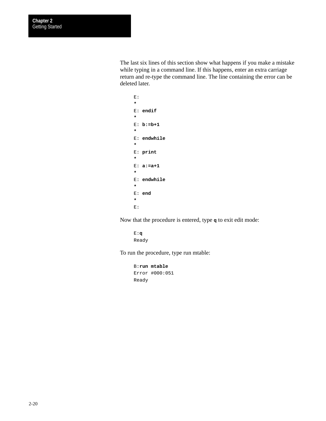The last six lines of this section show what happens if you make a mistake while typing in a command line. If this happens, enter an extra carriage return and re-type the command line. The line containing the error can be deleted later.

```
E:
*
E: endif
*
E: b:=b+1
*
E: endwhile
*
E: print
*
E: a:=a+1
*
E: endwhile
*
E: end
*
E:
```
Now that the procedure is entered, type **q** to exit edit mode:

```
E:q
Ready
```
To run the procedure, type run mtable:

```
B:run mtable
Error #000:051
Ready
```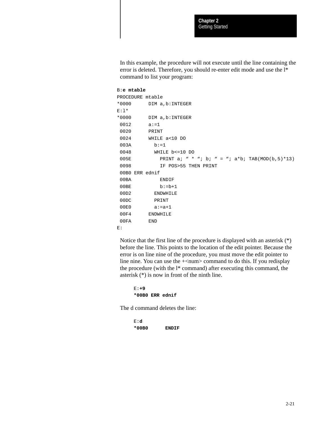In this example, the procedure will not execute until the line containing the error is deleted. Therefore, you should re-enter edit mode and use the l\* command to list your program:

#### B:**e mtable**

```
PROCEDURE mtable
*0000 DIM a,b:INTEGER
E:1**0000 DIM a,b:INTEGER
0012 a:=1 0020 PRINT
 0024 WHILE a<10 DO
 003A b:=1
 0048 WHILE b<=10 DO
005E PRINT a; " * "; b; " = "; a*b; TAB(MOD(b,5)*13)
 0098 IF POS>55 THEN PRINT
 00B0 ERR ednif
 00BA ENDIF
00BE b:=b+1
 00D2 ENDWHILE
 00DC PRINT
 00E0 a:=a+1
 00F4 ENDWHILE
 00FA END
E:
```
Notice that the first line of the procedure is displayed with an asterisk (\*) before the line. This points to the location of the edit pointer. Because the error is on line nine of the procedure, you must move the edit pointer to line nine. You can use the  $+\text{cum}$  command to do this. If you redisplay the procedure (with the l\* command) after executing this command, the asterisk (\*) is now in front of the ninth line.

```
E:+9
*00B0 ERR ednif
```
The d command deletes the line:

```
E:d
*00B0 ENDIF
```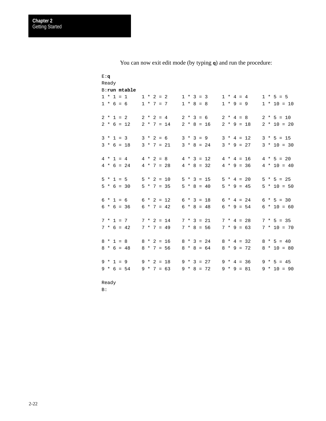| E:q<br>Ready |              |              |                               |
|--------------|--------------|--------------|-------------------------------|
| B:run mtable |              |              |                               |
| $1 * 1 = 1$  | $1 * 2 = 2$  | $1 * 3 = 3$  | $1 * 4 = 4$<br>$1 * 5 = 5$    |
| $1 * 6 = 6$  | $1 * 7 = 7$  | $1 * 8 = 8$  | $1 * 9 = 9$<br>$1 * 10 = 10$  |
| $2 * 1 = 2$  | $2 * 2 = 4$  | $2 * 3 = 6$  | $2 * 4 = 8$<br>$2 * 5 = 10$   |
| $2 * 6 = 12$ | $2 * 7 = 14$ | $2 * 8 = 16$ | $2 * 9 = 18$<br>$2 * 10 = 20$ |
|              |              |              |                               |
| $3 * 1 = 3$  | $3 * 2 = 6$  | $3 * 3 = 9$  | $3 * 4 = 12$<br>$3 * 5 = 15$  |
| $3 * 6 = 18$ | $3 * 7 = 21$ | $3 * 8 = 24$ | $3 * 9 = 27$<br>$3 * 10 = 30$ |
|              |              |              |                               |
| $4 * 1 = 4$  | $4 * 2 = 8$  | $4 * 3 = 12$ | $4 * 4 = 16$<br>$4 * 5 = 20$  |
| $4 * 6 = 24$ | $4 * 7 = 28$ | $4 * 8 = 32$ | $4 * 9 = 36$<br>$4 * 10 = 40$ |
| $5 * 1 = 5$  | $5 * 2 = 10$ | $5 * 3 = 15$ | $5 * 4 = 20$<br>$5 * 5 = 25$  |
|              |              |              |                               |
| $5 * 6 = 30$ | $5 * 7 = 35$ | $5 * 8 = 40$ | $5 * 9 = 45$<br>$5 * 10 = 50$ |
| $6 * 1 = 6$  | $6 * 2 = 12$ | $6 * 3 = 18$ | $6 * 4 = 24$<br>$6 * 5 = 30$  |
| $6 * 6 = 36$ | $6 * 7 = 42$ | $6 * 8 = 48$ | $6 * 9 = 54$<br>$6 * 10 = 60$ |
|              |              |              |                               |
| $7 * 1 = 7$  | $7 * 2 = 14$ | $7 * 3 = 21$ | $7 * 4 = 28$<br>$7 * 5 = 35$  |
| $7 * 6 = 42$ | $7 * 7 = 49$ | $7 * 8 = 56$ | $7 * 9 = 63$<br>$7 * 10 = 70$ |
|              |              |              |                               |
| $8 * 1 = 8$  | $8 * 2 = 16$ | $8 * 3 = 24$ | $8 * 4 = 32$<br>$8 * 5 = 40$  |
| $8 * 6 = 48$ | $8 * 7 = 56$ | $8 * 8 = 64$ | $8 * 9 = 72$<br>$8 * 10 = 80$ |
|              |              |              |                               |
| $9 * 1 = 9$  | $9 * 2 = 18$ | $9 * 3 = 27$ | $9 * 4 = 36$<br>$9 * 5 = 45$  |
| $9 * 6 = 54$ | $9 * 7 = 63$ | $9 * 8 = 72$ | $9 * 9 = 81$<br>$9 * 10 = 90$ |
|              |              |              |                               |

You can now exit edit mode (by typing **q**) and run the procedure:

Ready

B: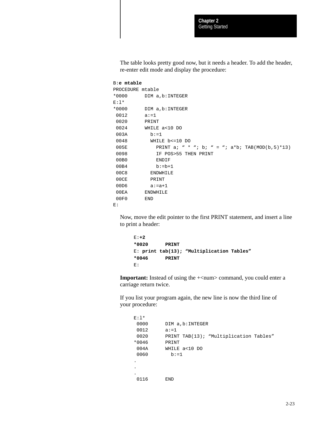The table looks pretty good now, but it needs a header. To add the header, re-enter edit mode and display the procedure:

```
B:e mtable
```

```
PROCEDURE mtable
*0000 DIM a,b:INTEGER
E:l*
*0000 DIM a,b:INTEGER
0012 a:=1
 0020 PRINT
 0024 WHILE a<10 DO
 003A b:=1
 0048 WHILE b<=10 DO
005E PRINT a; " * "; b; " = "; a*b; TAB(MOD(b,5)*13)
0098 IF POS>55 THEN PRINT
 00B0 ENDIF
00B4 b:=b+1
 00C8 ENDWHILE
 00CE PRINT
 00D6 a:=a+1
 00EA ENDWHILE
 00F0 END
E:
```
Now, move the edit pointer to the first PRINT statement, and insert a line to print a header:

E:**+2 \*0020 PRINT** E: **print tab(13); "Multiplication Tables" \*0046 PRINT** E:

**Important:** Instead of using the  $+\text{}{num}$  command, you could enter a carriage return twice.

If you list your program again, the new line is now the third line of your procedure:

```
E:1*0000 DIM a, b: INTEGER
0012 a:=1
0020 PRINT TAB(13); "Multiplication Tables"
*0046 PRINT
 004A WHILE a<10 DO
0060 b:=1
.
.
.
 0116 END
```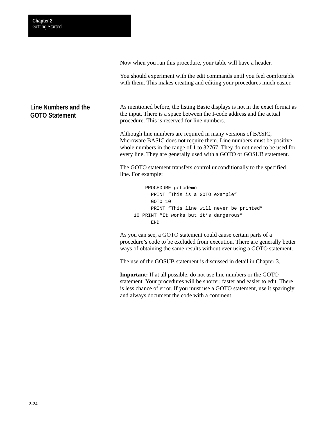Now when you run this procedure, your table will have a header.

You should experiment with the edit commands until you feel comfortable with them. This makes creating and editing your procedures much easier.

## **Line Numbers and the GOTO Statement**

As mentioned before, the listing Basic displays is not in the exact format as the input. There is a space between the I-code address and the actual procedure. This is reserved for line numbers.

Although line numbers are required in many versions of BASIC, Microware BASIC does not require them. Line numbers must be positive whole numbers in the range of 1 to 32767. They do not need to be used for every line. They are generally used with a GOTO or GOSUB statement.

The GOTO statement transfers control unconditionally to the specified line. For example:

```
 PROCEDURE gotodemo
       PRINT "This is a GOTO example"
       GOTO 10
       PRINT "This line will never be printed"
10 PRINT "It works but it's dangerous"
       END
```
As you can see, a GOTO statement could cause certain parts of a procedure's code to be excluded from execution. There are generally better ways of obtaining the same results without ever using a GOTO statement.

The use of the GOSUB statement is discussed in detail in Chapter 3.

**Important:** If at all possible, do not use line numbers or the GOTO statement. Your procedures will be shorter, faster and easier to edit. There is less chance of error. If you must use a GOTO statement, use it sparingly and always document the code with a comment.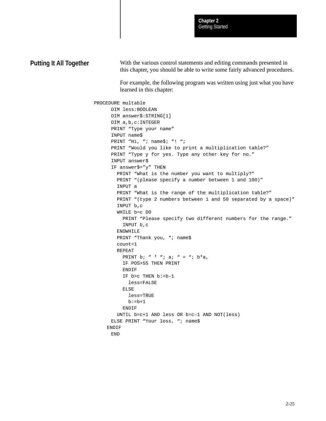```
With the various control statements and editing commands presented in
                                  this chapter, you should be able to write some fairly advanced procedures.
                                  For example, the following program was written using just what you have
                                  learned in this chapter:
                        PROCEDURE multable
                               DIM less:BOOLEAN
                               DIM answer$:STRING[1]
                               DIM a,b,c:INTEGER
                               PRINT "Type your name"
                               INPUT name$
                              PRINT "Hi, "; name$; "! ";
                               PRINT "Would you like to print a multiplication table?"
                              PRINT "Type y for yes. Type any other key for no."
                               INPUT answer$
                               IF answer$="y" THEN
                                 PRINT "What is the number you want to multiply?"
                                 PRINT "(please specify a number between 1 and 100)"
                                 INPUT a
                                 PRINT "What is the range of the multiplication table?"
                                 PRINT "(type 2 numbers between 1 and 50 separated by a space)"
                                 INPUT b,c
                                 WHILE b=c DO
                                   PRINT "Please specify two different numbers for the range."
                                   INPUT b,c
                                 ENDWHILE
                                PRINT "Thank you, "; name$
                                 count=1
                                 REPEAT
                                  PRINT b; " * "; a; " = "; b*a,
                                   IF POS>55 THEN PRINT
                                   ENDIF
                                   IF b>c THEN b:=b–1
                                      less=FALSE
                                    ELSE
                                      less=TRUE
                                    b:=b+1 ENDIF
                                 UNTIL b=c+1 AND less OR b=c–1 AND NOT(less)
                               ELSE PRINT "Your loss, "; name$
                              ENDIF
                               END
Putting It All Together
```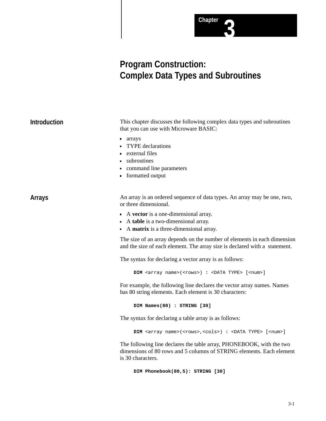

## **Program Construction: Complex Data Types and Subroutines**

| <b>Introduction</b> | This chapter discusses the following complex data types and subroutines<br>that you can use with Microware BASIC:                                                 |  |  |
|---------------------|-------------------------------------------------------------------------------------------------------------------------------------------------------------------|--|--|
|                     | <b>arrays</b><br><b>TYPE</b> declarations<br>external files<br>ubroutines<br>command line parameters<br>• formatted output                                        |  |  |
| <b>Arrays</b>       | An array is an ordered sequence of data types. An array may be one, two,<br>or three dimensional.                                                                 |  |  |
|                     | A vector is a one-dimensional array.<br>A table is a two-dimensional array.<br>• A matrix is a three-dimensional array.                                           |  |  |
|                     | The size of an array depends on the number of elements in each dimension<br>and the size of each element. The array size is declared with a statement.            |  |  |
|                     | The syntax for declaring a vector array is as follows:                                                                                                            |  |  |
|                     | DIM <array name="">(<rows>) : <data type=""> [<num>]</num></data></rows></array>                                                                                  |  |  |
|                     | For example, the following line declares the vector array names. Names<br>has 80 string elements. Each element is 30 characters:                                  |  |  |
|                     | DIM Names(80) : STRING [30]                                                                                                                                       |  |  |
|                     | The syntax for declaring a table array is as follows:                                                                                                             |  |  |
|                     | DIM <array name="">(<rows>,<cols>) : <data type=""> [<num>]</num></data></cols></rows></array>                                                                    |  |  |
|                     | The following line declares the table array, PHONEBOOK, with the two<br>dimensions of 80 rows and 5 columns of STRING elements. Each element<br>is 30 characters. |  |  |
|                     | DIM Phonebook(80,5): STRING [30]                                                                                                                                  |  |  |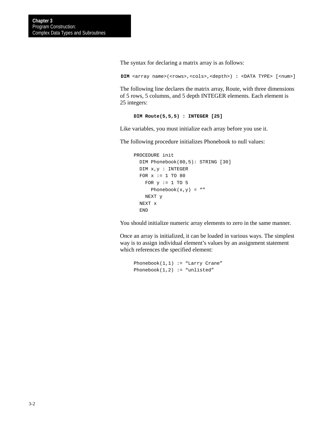The syntax for declaring a matrix array is as follows:

```
DIM <array name>(<rows>,<cols>,<depth>) : <DATA TYPE> [<num>]
```
The following line declares the matrix array, Route, with three dimensions of 5 rows, 5 columns, and 5 depth INTEGER elements. Each element is 25 integers:

```
DIM Route(5,5,5) : INTEGER [25]
```
Like variables, you must initialize each array before you use it.

The following procedure initializes Phonebook to null values:

```
PROCEDURE init
  DIM Phonebook(80,5): STRING [30]
  DIM x,y : INTEGER
  FOR x := 1 TO 80
   FOR y := 1 TO 5
      Phonebook(x,y) = " NEXT y
  NEXT x
   END
```
You should initialize numeric array elements to zero in the same manner.

Once an array is initialized, it can be loaded in various ways. The simplest way is to assign individual element's values by an assignment statement which references the specified element:

```
Phonebook(1,1) := "Larry Crane"
Phonebook(1,2) := "unlisted"
```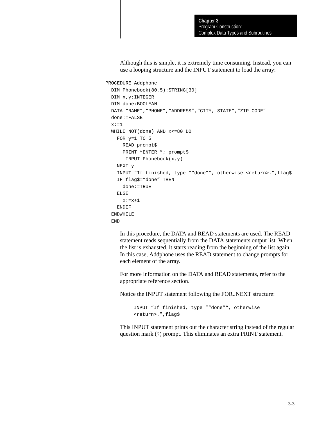Although this is simple, it is extremely time consuming. Instead, you can use a looping structure and the INPUT statement to load the array:

PROCEDURE Addphone

```
 DIM Phonebook(80,5):STRING[30]
 DIM x,y:INTEGER
 DIM done:BOOLEAN
DATA "NAME", "PHONE", "ADDRESS", "CITY, STATE", "ZIP CODE"
 done:=FALSE
x:=1 WHILE NOT(done) AND x<=80 DO
  FOR y=1 TO 5
     READ prompt$
    PRINT "ENTER "; prompt$
      INPUT Phonebook(x,y)
   NEXT y
   INPUT "If finished, type ""done"", otherwise <return>.",flag$
   IF flag$="done" THEN
     done:=TRUE
   ELSE
    x:=x+1 ENDIF
 ENDWHILE
 END
```
In this procedure, the DATA and READ statements are used. The READ statement reads sequentially from the DATA statements output list. When the list is exhausted, it starts reading from the beginning of the list again. In this case, Addphone uses the READ statement to change prompts for each element of the array.

For more information on the DATA and READ statements, refer to the appropriate reference section.

Notice the INPUT statement following the FOR..NEXT structure:

```
INPUT "If finished, type ""done"", otherwise
<return>.",flag$
```
This INPUT statement prints out the character string instead of the regular question mark (?) prompt. This eliminates an extra PRINT statement.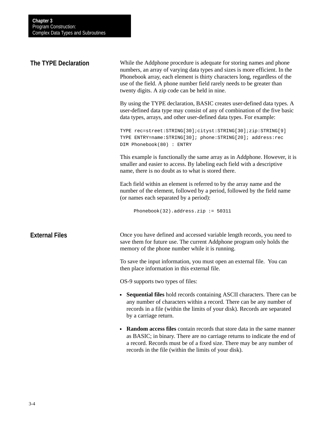| The TYPE Declaration  | While the Addphone procedure is adequate for storing names and phone<br>numbers, an array of varying data types and sizes is more efficient. In the<br>Phonebook array, each element is thirty characters long, regardless of the<br>use of the field. A phone number field rarely needs to be greater than<br>twenty digits. A zip code can be held in nine. |  |
|-----------------------|---------------------------------------------------------------------------------------------------------------------------------------------------------------------------------------------------------------------------------------------------------------------------------------------------------------------------------------------------------------|--|
|                       | By using the TYPE declaration, BASIC creates user-defined data types. A<br>user-defined data type may consist of any of combination of the five basic<br>data types, arrays, and other user-defined data types. For example:                                                                                                                                  |  |
|                       | TYPE rec=street: STRING[30]; cityst: STRING[30]; zip: STRING[9]<br>TYPE ENTRY=name: STRING[30]; phone: STRING[20]; address: rec<br>DIM Phonebook(80) : ENTRY                                                                                                                                                                                                  |  |
|                       | This example is functionally the same array as in Addphone. However, it is<br>smaller and easier to access. By labeling each field with a descriptive<br>name, there is no doubt as to what is stored there.                                                                                                                                                  |  |
|                       | Each field within an element is referred to by the array name and the<br>number of the element, followed by a period, followed by the field name<br>(or names each separated by a period):                                                                                                                                                                    |  |
|                       | Phonebook(32).address.zip := $50311$                                                                                                                                                                                                                                                                                                                          |  |
| <b>External Files</b> | Once you have defined and accessed variable length records, you need to<br>save them for future use. The current Addphone program only holds the<br>memory of the phone number while it is running.                                                                                                                                                           |  |
|                       | To save the input information, you must open an external file. You can<br>then place information in this external file.                                                                                                                                                                                                                                       |  |
|                       | OS-9 supports two types of files:                                                                                                                                                                                                                                                                                                                             |  |
|                       | • Sequential files hold records containing ASCII characters. There can be<br>any number of characters within a record. There can be any number of<br>records in a file (within the limits of your disk). Records are separated<br>by a carriage return.                                                                                                       |  |
|                       | <b>Random access files</b> contain records that store data in the same manner<br>$\blacksquare$<br>as BASIC; in binary. There are no carriage returns to indicate the end of                                                                                                                                                                                  |  |

a record. Records must be of a fixed size. There may be any number of

records in the file (within the limits of your disk).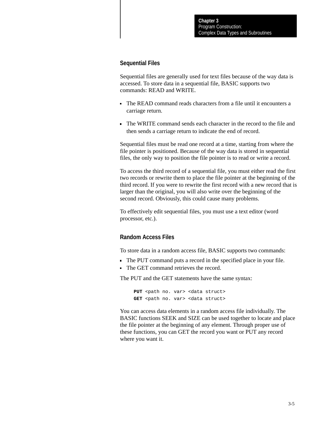#### **Sequential Files**

Sequential files are generally used for text files because of the way data is accessed. To store data in a sequential file, BASIC supports two commands: READ and WRITE.

- The READ command reads characters from a file until it encounters a carriage return.
- The WRITE command sends each character in the record to the file and then sends a carriage return to indicate the end of record.

Sequential files must be read one record at a time, starting from where the file pointer is positioned. Because of the way data is stored in sequential files, the only way to position the file pointer is to read or write a record.

To access the third record of a sequential file, you must either read the first two records or rewrite them to place the file pointer at the beginning of the third record. If you were to rewrite the first record with a new record that is larger than the original, you will also write over the beginning of the second record. Obviously, this could cause many problems.

To effectively edit sequential files, you must use a text editor (word processor, etc.).

#### **Random Access Files**

To store data in a random access file, BASIC supports two commands:

- The PUT command puts a record in the specified place in your file.
- The GET command retrieves the record.

The PUT and the GET statements have the same syntax:

PUT <path no. var> <data struct> GET <path no. var> <data struct>

You can access data elements in a random access file individually. The BASIC functions SEEK and SIZE can be used together to locate and place the file pointer at the beginning of any element. Through proper use of these functions, you can GET the record you want or PUT any record where you want it.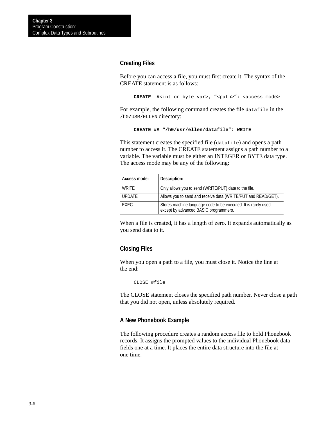#### **Creating Files**

Before you can access a file, you must first create it. The syntax of the CREATE statement is as follows:

**CREATE #**<int or byte var>**, "**<path>**":** <access mode>

For example, the following command creates the file datafile in the /h0/USR/ELLEN directory:

```
CREATE #A "/h0/usr/ellen/datafile": WRITE
```
This statement creates the specified file (datafile) and opens a path number to access it. The CREATE statement assigns a path number to a variable. The variable must be either an INTEGER or BYTE data type. The access mode may be any of the following:

| Access mode:  | Description:                                                                                            |
|---------------|---------------------------------------------------------------------------------------------------------|
| WRITE         | Only allows you to send (WRITE/PUT) data to the file.                                                   |
| <b>UPDATE</b> | Allows you to send and receive data (WRITE/PUT and READ/GET).                                           |
| <b>FXFC</b>   | Stores machine language code to be executed. It is rarely used<br>except by advanced BASIC programmers. |

When a file is created, it has a length of zero. It expands automatically as you send data to it.

#### **Closing Files**

When you open a path to a file, you must close it. Notice the line at the end:

CLOSE #file

The CLOSE statement closes the specified path number. Never close a path that you did not open, unless absolutely required.

#### **A New Phonebook Example**

The following procedure creates a random access file to hold Phonebook records. It assigns the prompted values to the individual Phonebook data fields one at a time. It places the entire data structure into the file at one time.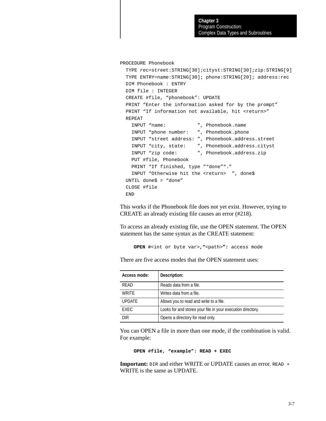PROCEDURE Phonebook

```
 TYPE rec=street:STRING[30];cityst:STRING[30];zip:STRING[9]
 TYPE ENTRY=name:STRING[30]; phone:STRING[20]; address:rec
 DIM Phonebook : ENTRY
 DIM file : INTEGER
 CREATE #file, "phonebook": UPDATE
 PRINT "Enter the information asked for by the prompt"
PRINT "If information not available, hit <return>"
 REPEAT
   INPUT "name: ", Phonebook.name
   INPUT "phone number: ", Phonebook.phone
  INPUT "street address: ", Phonebook.address.street
   INPUT "city, state: ", Phonebook.address.cityst
   INPUT "zip code: ", Phonebook.address.zip
   PUT #file, Phonebook
  PRINT "If finished, type ""done""."
  INPUT "Otherwise hit the <return> ", done$
 UNTIL done$ = "done"
 CLOSE #file
 END
```
This works if the Phonebook file does not yet exist. However, trying to CREATE an already existing file causes an error (#218).

To access an already existing file, use the OPEN statement. The OPEN statement has the same syntax as the CREATE statement:

```
OPEN #<int or byte var>,"<path>": access mode
```
There are five access modes that the OPEN statement uses:

| Access mode:  | Description:                                                |
|---------------|-------------------------------------------------------------|
| RFAD          | Reads data from a file.                                     |
| <b>WRITE</b>  | Writes data from a file.                                    |
| <b>UPDATE</b> | Allows you to read and write to a file.                     |
| <b>FXFC</b>   | Looks for and stores your file in your execution directory. |
| DIR           | Opens a directory for read only.                            |

You can OPEN a file in more than one mode, if the combination is valid. For example:

```
OPEN #file, "example": READ + EXEC
```
**Important:** DIR and either WRITE or UPDATE causes an error. READ + WRITE is the same as UPDATE.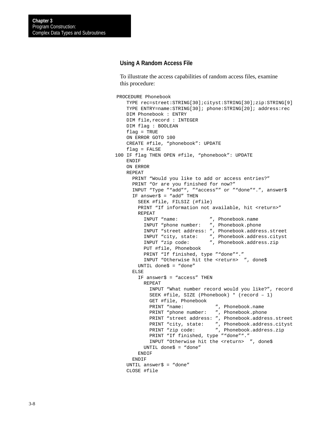#### **Using A Random Access File**

To illustrate the access capabilities of random access files, examine this procedure:

```
PROCEDURE Phonebook
     TYPE rec=street:STRING[30];cityst:STRING[30];zip:STRING[9]
     TYPE ENTRY=name:STRING[30]; phone:STRING[20]; address:rec
     DIM Phonebook : ENTRY
    DIM file, record : INTEGER
     DIM flag : BOOLEAN
     flag = TRUE
     ON ERROR GOTO 100
     CREATE #file, "phonebook": UPDATE
     flag = FALSE
100 IF flag THEN OPEN #file, "phonebook": UPDATE
     ENDIF
     ON ERROR
     REPEAT
      PRINT "Would you like to add or access entries?"
       PRINT "Or are you finished for now?"
       INPUT "Type ""add"", ""access"" or ""done"".", answer$
      IF answer\frac{1}{2} = "add" THEN
         SEEK #file, FILSIZ (#file)
        PRINT "If information not available, hit <return>"
         REPEAT
           INPUT "name: ", Phonebook.name
           INPUT "phone number: ", Phonebook.phone
           INPUT "street address: ", Phonebook.address.street
           INPUT "city, state: ", Phonebook.address.cityst
           INPUT "zip code: ", Phonebook.address.zip
           PUT #file, Phonebook
           PRINT "If finished, type ""done""."
          INPUT "Otherwise hit the <return> ", done$
         UNTIL done$ = "done"
       ELSE
        IF answer\frac{1}{2} = "access" THEN
           REPEAT
             INPUT "What number record would you like?", record
             SEEK #file, SIZE (Phonebook) * (record – 1)
            GET #file, Phonebook<br>PRINT "name:
                                    ", Phonebook.name
            PRINT "phone number: ", Phonebook.phone
             PRINT "street address: ", Phonebook.address.street
             PRINT "city, state: ", Phonebook.address.cityst
             PRINT "zip code: ", Phonebook.address.zip
            PRINT "If finished, type ""done""."
            INPUT "Otherwise hit the <return> ", done$
           UNTIL done$ = "done"
         ENDIF
       ENDIF
     UNTIL answer$ = "done"
     CLOSE #file
```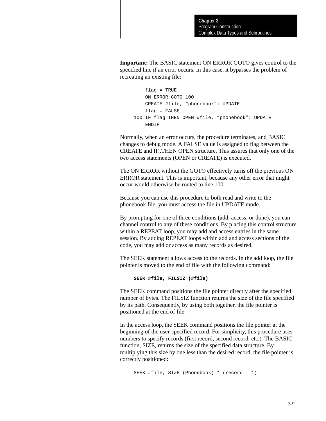**Important:** The BASIC statement ON ERROR GOTO gives control to the specified line if an error occurs. In this case, it bypasses the problem of recreating an existing file:

```
 flag = TRUE
     ON ERROR GOTO 100
     CREATE #file, "phonebook": UPDATE
     flag = FALSE
100 IF flag THEN OPEN #file, "phonebook": UPDATE
     ENDIF
```
Normally, when an error occurs, the procedure terminates, and BASIC changes to debug mode. A FALSE value is assigned to flag between the CREATE and IF..THEN OPEN structure. This assures that only one of the two access statements (OPEN or CREATE) is executed.

The ON ERROR without the GOTO effectively turns off the previous ON ERROR statement. This is important, because any other error that might occur would otherwise be routed to line 100.

Because you can use this procedure to both read and write to the phonebook file, you must access the file in UPDATE mode.

By prompting for one of three conditions (add, access, or done), you can channel control to any of these conditions. By placing this control structure within a REPEAT loop, you may add and access entries in the same session. By adding REPEAT loops within add and access sections of the code, you may add or access as many records as desired.

The SEEK statement allows access to the records. In the add loop, the file pointer is moved to the end of file with the following command:

**SEEK #file, FILSIZ (#file)**

The SEEK command positions the file pointer directly after the specified number of bytes. The FILSIZ function returns the size of the file specified by its path. Consequently, by using both together, the file pointer is positioned at the end of file.

In the access loop, the SEEK command positions the file pointer at the beginning of the user-specified record. For simplicity, this procedure uses numbers to specify records (first record, second record, etc.). The BASIC function, SIZE, returns the size of the specified data structure. By multiplying this size by one less than the desired record, the file pointer is correctly positioned:

SEEK #file, SIZE (Phonebook) \* (record – 1)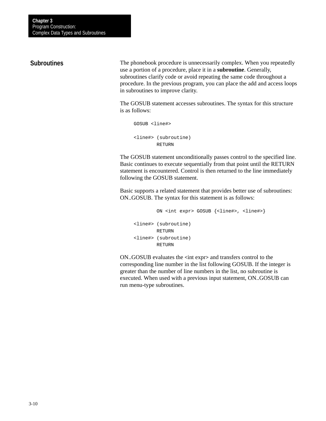#### **Subroutines**

The phonebook procedure is unnecessarily complex. When you repeatedly use a portion of a procedure, place it in a **subroutine**. Generally, subroutines clarify code or avoid repeating the same code throughout a procedure. In the previous program, you can place the add and access loops in subroutines to improve clarity.

The GOSUB statement accesses subroutines. The syntax for this structure is as follows:

```
GOSUB <line#>
<line#> (subroutine)
         RETURN
```
The GOSUB statement unconditionally passes control to the specified line. Basic continues to execute sequentially from that point until the RETURN statement is encountered. Control is then returned to the line immediately following the GOSUB statement.

Basic supports a related statement that provides better use of subroutines: ON..GOSUB. The syntax for this statement is as follows:

```
 ON <int expr> GOSUB {<line#>, <line#>}
<line#> (subroutine)
         RETURN
<line#> (subroutine)
         RETURN
```
ON..GOSUB evaluates the **<**int expr**>** and transfers control to the corresponding line number in the list following GOSUB. If the integer is greater than the number of line numbers in the list, no subroutine is executed. When used with a previous input statement, ON..GOSUB can run menu-type subroutines.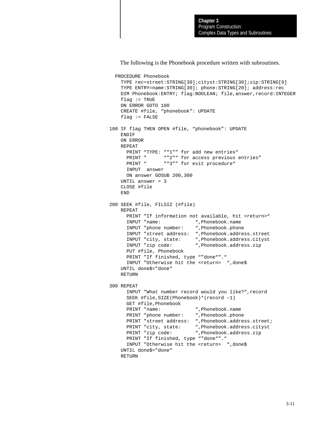The following is the Phonebook procedure written with subroutines.

```
 PROCEDURE Phonebook
    TYPE rec=street:STRING[30];cityst:STRING[30];zip:STRING[9]
    TYPE ENTRY=name:STRING[30]; phone:STRING[20]; address:rec
    DIM Phonebook:ENTRY; flag:BOOLEAN; file,answer,record:INTEGER
   flag := TRUE ON ERROR GOTO 100
    CREATE #file, "phonebook": UPDATE
    flag := FALSE100 IF flag THEN OPEN #file, "phonebook": UPDATE
    ENDIF
     ON ERROR
    REPEAT
     PRINT "TYPE: ""1"" for add new entries"
     PRINT " ""2"" for access previous entries"
     PRINT " ""3"" for exit procedure"
      INPUT answer
      ON answer GOSUB 200,300
    UNTIL answer = 3
    CLOSE #file
    END
200 SEEK #file, FILSIZ (#file)
    REPEAT
     PRINT "If information not available, hit <return>"
     INPUT "name: ", Phonebook.name<br>INPUT "phone number: ", Phonebook.phone
     INPUT "phone number:
      INPUT "street address: ",Phonebook.address.street
      INPUT "city, state: ",Phonebook.address.cityst
      INPUT "zip code: ",Phonebook.address.zip
      PUT #file, Phonebook
     PRINT "If finished, type ""done""."
     INPUT "Otherwise hit the <return> ",done$
    UNTIL done$="done"
    RETURN
300 REPEAT
      INPUT "What number record would you like?",record
      SEEK #file,SIZE(Phonebook)*(record –1)
      GET #file,Phonebook
     PRINT "name: ", Phonebook.name
     PRINT "phone number: ", Phonebook.phone
      PRINT "street address: ",Phonebook.address.street;
      PRINT "city, state: ",Phonebook.address.cityst
     PRINT "zip code: ", Phonebook.address.zip
     PRINT "If finished, type ""done""."
     INPUT "Otherwise hit the <return> ",done$
    UNTIL done$="done"
    RETURN
```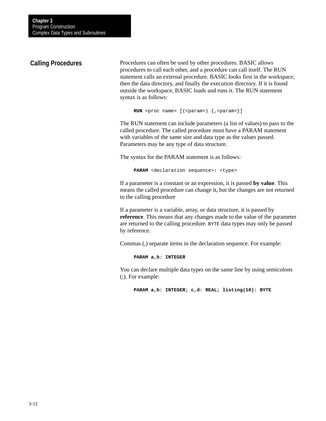### **Calling Procedures**

Procedures can often be used by other procedures. BASIC allows procedures to call each other, and a procedure can call itself. The RUN statement calls an external procedure. BASIC looks first in the workspace, then the data directory, and finally the execution directory. If it is found outside the workspace, BASIC loads and runs it. The RUN statement syntax is as follows:

```
RUN <proc name> [ (<param>) \{ , <param>\}]
```
The RUN statement can include parameters (a list of values) to pass to the called procedure. The called procedure must have a PARAM statement with variables of the same size and data type as the values passed. Parameters may be any type of data structure.

The syntax for the PARAM statement is as follows:

**PARAM** <declaration sequence>**:** <type>

If a parameter is a constant or an expression, it is passed **by value**. This means the called procedure can change it, but the changes are not returned to the calling procedure

If a parameter is a variable, array, or data structure, it is passed by **reference**. This means that any changes made to the value of the parameter are returned to the calling procedure. BYTE data types may only be passed by reference.

Commas (,) separate items in the declaration sequence. For example:

**PARAM a,b: INTEGER**

You can declare multiple data types on the same line by using semicolons (;). For example:

**PARAM a,b: INTEGER; c,d: REAL; listing(10): BYTE**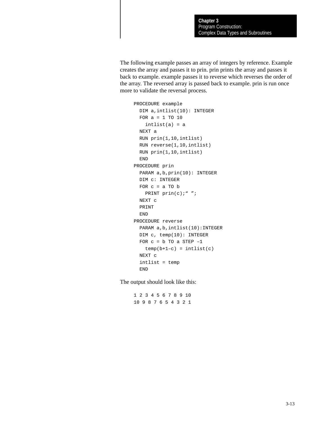The following example passes an array of integers by reference. Example creates the array and passes it to prin. prin prints the array and passes it back to example. example passes it to reverse which reverses the order of the array. The reversed array is passed back to example. prin is run once more to validate the reversal process.

```
PROCEDURE example
  DIM a,intlist(10): INTEGER
  FOR a = 1 TO 10
   intlist(a) = a NEXT a
  RUN prin(1,10,intlist)
  RUN reverse(1,10,intlist)
  RUN prin(1,10,intlist)
  END
PROCEDURE prin
  PARAM a,b,prin(10): INTEGER
  DIM c: INTEGER
 FOR c = a TO bPRINT prin(c);" ";
  NEXT c
  PRINT
  END
PROCEDURE reverse
  PARAM a,b,intlist(10):INTEGER
  DIM c, temp(10): INTEGER
 FOR c = b TO a STEP -1temp(b+1-c) = intlist(c) NEXT c
   intlist = temp
   END
```
The output should look like this:

1 2 3 4 5 6 7 8 9 10 10 9 8 7 6 5 4 3 2 1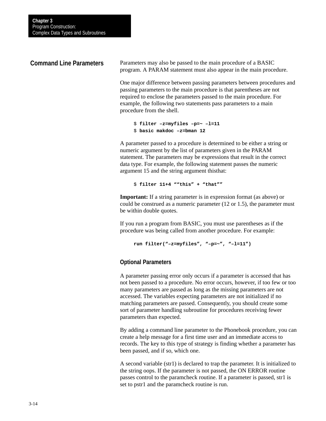### **Command Line Parameters**

Parameters may also be passed to the main procedure of a BASIC program. A PARAM statement must also appear in the main procedure.

One major difference between passing parameters between procedures and passing parameters to the main procedure is that parentheses are not required to enclose the parameters passed to the main procedure. For example, the following two statements pass parameters to a main procedure from the shell.

```
$ filter –z=myfiles –p=~ –l=11
$ basic makdoc –z=bman 12
```
A parameter passed to a procedure is determined to be either a string or numeric argument by the list of parameters given in the PARAM statement. The parameters may be expressions that result in the correct data type. For example, the following statement passes the numeric argument 15 and the string argument thisthat:

\$ **filter 11+4 ""this" + "that""**

**Important:** If a string parameter is in expression format (as above) or could be construed as a numeric parameter (12 or 1.5), the parameter must be within double quotes.

If you run a program from BASIC, you must use parentheses as if the procedure was being called from another procedure. For example:

**run filter("–z=myfiles", "–p=~", "–l=11")**

#### **Optional Parameters**

A parameter passing error only occurs if a parameter is accessed that has not been passed to a procedure. No error occurs, however, if too few or too many parameters are passed as long as the missing parameters are not accessed. The variables expecting parameters are not initialized if no matching parameters are passed. Consequently, you should create some sort of parameter handling subroutine for procedures receiving fewer parameters than expected.

By adding a command line parameter to the Phonebook procedure, you can create a help message for a first time user and an immediate access to records. The key to this type of strategy is finding whether a parameter has been passed, and if so, which one.

A second variable (str1) is declared to trap the parameter. It is initialized to the string oops. If the parameter is not passed, the ON ERROR routine passes control to the paramcheck routine. If a parameter is passed, str1 is set to pstr1 and the paramcheck routine is run.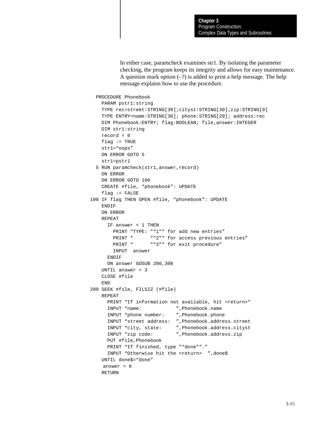In either case, paramcheck examines str1. By isolating the parameter checking, the program keeps its integrity and allows for easy maintenance. A question mark option  $(-?)$  is added to print a help message. The help message explains how to use the procedure.

```
 PROCEDURE Phonebook
    PARAM pstr1:string
    TYPE rec=street:STRING[30];cityst:STRING[30];zip:STRING[9]
    TYPE ENTRY=name:STRING[30]; phone:STRING[20]; address:rec
    DIM Phonebook:ENTRY; flag:BOOLEAN; file,answer:INTEGER
    DIM str1:string
    record = 0
   flag := TRUE str1="oops"
    ON ERROR GOTO 5
    str1=pstr1
  5 RUN paramcheck(str1,answer,record)
    ON ERROR
    ON ERROR GOTO 100
    CREATE #file, "phonebook": UPDATE
   flag := FALSE100 IF flag THEN OPEN #file, "phonebook": UPDATE
    ENDIF
    ON ERROR
    REPEAT
      IF answer < 1 THEN
       PRINT "TYPE: ""1"" for add new entries"
       PRINT " ""2"" for access previous entries"
       PRINT " ""3"" for exit procedure"
        INPUT answer
     ENDIF
      ON answer GOSUB 200,300
    UNTIL answer = 3
    CLOSE #file
    END
200 SEEK #file, FILSIZ (#file)
    REPEAT
     PRINT "If information not available, hit <return>"
      INPUT "name: ",Phonebook.name
      INPUT "phone number: ",Phonebook.phone
      INPUT "street address: ",Phonebook.address.street
      INPUT "city, state: ",Phonebook.address.cityst
      INPUT "zip code: ",Phonebook.address.zip
      PUT #file,Phonebook
     PRINT "If finished, type ""done""."
      INPUT "Otherwise hit the <return> ",done$
    UNTIL done$="done"
    answer = 0 RETURN
```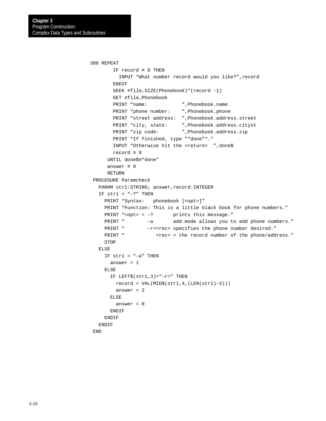```
300 REPEAT
        IF record = 0 THEN
         INPUT "What number record would you like?",record
        ENDIF
        SEEK #file,SIZE(Phonebook)*(record –1)
        GET #file,Phonebook
       PRINT "name: ", Phonebook.name
        PRINT "phone number: ",Phonebook.phone
        PRINT "street address: ",Phonebook.address.street
        PRINT "city, state: ",Phonebook.address.cityst
       PRINT "zip code: ", Phonebook.address.zip
        PRINT "If finished, type ""done""."
       INPUT "Otherwise hit the <return> ",done$
        record = 0
      UNTIL done$="done"
      answer = 0
      RETURN
 PROCEDURE Paramcheck
  PARAM str1:STRING; answer, record: INTEGER
  IF str1 = "-?" THEN
    PRINT "Syntax: phonebook [<opt>]"
     PRINT "Function: This is a little black book for phone numbers."
    PRINT "<opt> = -? prints this message."
     PRINT " –a add mode allows you to add phone numbers."
    PRINT " -r=<rec> specifies the phone number desired."
    PRINT " <rec> = the record number of the phone/address."
     STOP
   ELSE
    IF str1 = "-a" THEN
      answer = 1
     ELSE
      IF LEFT$(str1,3)="-r=" THEN
         record = VAL(MID$(str1,4,(LEN(str1)–3)))
         answer = 2
       ELSE
        answer = 0 ENDIF
     ENDIF
   ENDIF
 END
```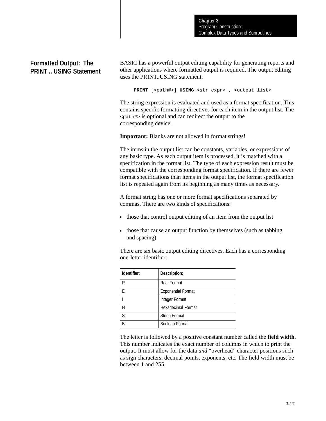## **Formatted Output: The PRINT .. USING Statement**

BASIC has a powerful output editing capability for generating reports and other applications where formatted output is required. The output editing uses the PRINT..USING statement:

**PRINT** [<path#>] **USING** <str expr> **,** <output list>

The string expression is evaluated and used as a format specification. This contains specific formatting directives for each item in the output list. The <path#> is optional and can redirect the output to the corresponding device.

**Important:** Blanks are not allowed in format strings!

The items in the output list can be constants, variables, or expressions of any basic type. As each output item is processed, it is matched with a specification in the format list. The type of each expression result must be compatible with the corresponding format specification. If there are fewer format specifications than items in the output list, the format specification list is repeated again from its beginning as many times as necessary.

A format string has one or more format specifications separated by commas. There are two kinds of specifications:

- those that control output editing of an item from the output list
- those that cause an output function by themselves (such as tabbing and spacing)

| Identifier: | Description:              |
|-------------|---------------------------|
| R           | <b>Real Format</b>        |
| F           | <b>Exponential Format</b> |
|             | Integer Format            |
| Н           | <b>Hexadecimal Format</b> |
| S           | <b>String Format</b>      |
| R           | Boolean Format            |

There are six basic output editing directives. Each has a corresponding one-letter identifier:

The letter is followed by a positive constant number called the **field width**. This number indicates the exact number of columns in which to print the output. It must allow for the data *and* "overhead" character positions such as sign characters, decimal points, exponents, etc. The field width must be between 1 and 255.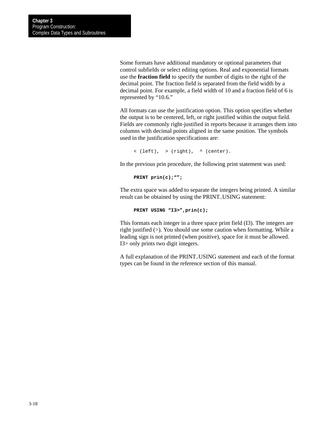Some formats have additional mandatory or optional parameters that control subfields or select editing options. Real and exponential formats use the **fraction field** to specify the number of digits to the right of the decimal point. The fraction field is separated from the field width by a decimal point. For example, a field width of 10 and a fraction field of 6 is represented by "10.6."

All formats can use the justification option. This option specifies whether the output is to be centered, left, or right justified within the output field. Fields are commonly right-justified in reports because it arranges them into columns with decimal points aligned in the same position. The symbols used in the justification specifications are:

```
\langle (left), > (right), \land (center).
```
In the previous prin procedure, the following print statement was used:

**PRINT prin(c);"";**

The extra space was added to separate the integers being printed. A similar result can be obtained by using the PRINT..USING statement:

**PRINT USING "I3>",prin(c);**

This formats each integer in a three space print field (I3). The integers are right justified (>). You should use some caution when formatting. While a leading sign is not printed (when positive), space for it must be allowed. I3> only prints two digit integers.

A full explanation of the PRINT..USING statement and each of the format types can be found in the reference section of this manual.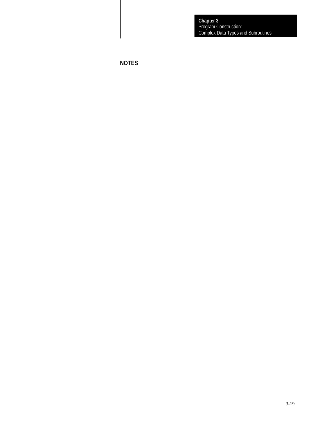Program Construction: Complex Data Types and Subroutines **Chapter 3**

**NOTES**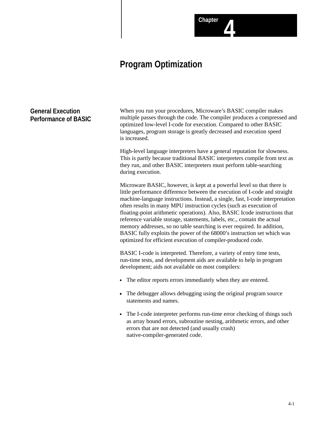## **Program Optimization**

## **General Execution Performance of BASIC**

When you run your procedures, Microware's BASIC compiler makes multiple passes through the code. The compiler produces a compressed and optimized low-level I-code for execution. Compared to other BASIC languages, program storage is greatly decreased and execution speed is increased.

**Chapter 4**

High-level language interpreters have a general reputation for slowness. This is partly because traditional BASIC interpreters compile from text as they run, and other BASIC interpreters must perform table-searching during execution.

Microware BASIC, however, is kept at a powerful level so that there is little performance difference between the execution of I-code and straight machine-language instructions. Instead, a single, fast, I-code interpretation often results in many MPU instruction cycles (such as execution of floating-point arithmetic operations). Also, BASIC Icode instructions that reference variable storage, statements, labels, etc., contain the actual memory addresses, so no table searching is ever required. In addition, BASIC fully exploits the power of the 68000's instruction set which was optimized for efficient execution of compiler-produced code.

BASIC I-code is interpreted. Therefore, a variety of entry time tests, run-time tests, and development aids are available to help in program development; aids not available on most compilers:

- The editor reports errors immediately when they are entered.
- The debugger allows debugging using the original program source statements and names.
- The I-code interpreter performs run-time error checking of things such as array bound errors, subroutine nesting, arithmetic errors, and other errors that are not detected (and usually crash) native-compiler-generated code.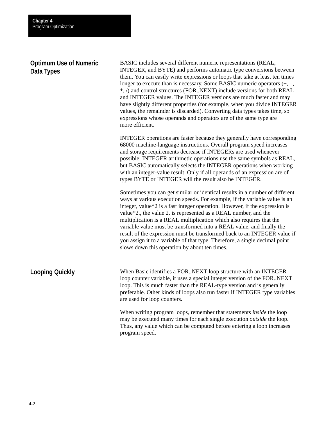### **Optimum Use of Numeric Data Types**

BASIC includes several different numeric representations (REAL, INTEGER, and BYTE) and performs automatic type conversions between them. You can easily write expressions or loops that take at least ten times longer to execute than is necessary. Some BASIC numeric operators (+, –, \*, /) and control structures (FOR..NEXT) include versions for both REAL and INTEGER values. The INTEGER versions are much faster and may have slightly different properties (for example, when you divide INTEGER values, the remainder is discarded). Converting data types takes time, so expressions whose operands and operators are of the same type are more efficient.

INTEGER operations are faster because they generally have corresponding 68000 machine-language instructions. Overall program speed increases and storage requirements decrease if INTEGERs are used whenever possible. INTEGER arithmetic operations use the same symbols as REAL, but BASIC automatically selects the INTEGER operations when working with an integer-value result. Only if all operands of an expression are of types BYTE or INTEGER will the result also be INTEGER.

Sometimes you can get similar or identical results in a number of different ways at various execution speeds. For example, if the variable value is an integer, value\*2 is a fast integer operation. However, if the expression is value\*2., the value 2. is represented as a REAL number, and the multiplication is a REAL multiplication which also requires that the variable value must be transformed into a REAL value, and finally the result of the expression must be transformed back to an INTEGER value if you assign it to a variable of that type. Therefore, a single decimal point slows down this operation by about ten times.

When Basic identifies a FOR..NEXT loop structure with an INTEGER loop counter variable, it uses a special integer version of the FOR..NEXT loop. This is much faster than the REAL-type version and is generally preferable. Other kinds of loops also run faster if INTEGER type variables are used for loop counters. **Looping Quickly**

> When writing program loops, remember that statements *inside* the loop may be executed many times for each single execution *outside* the loop. Thus, any value which can be computed before entering a loop increases program speed.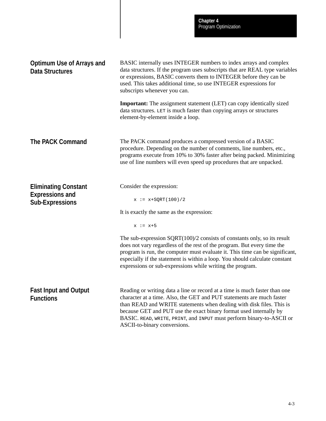|                                                                                 | <b>Chapter 4</b><br>Program Optimization                                                                                                                                                                                                                                                                                                                                          |
|---------------------------------------------------------------------------------|-----------------------------------------------------------------------------------------------------------------------------------------------------------------------------------------------------------------------------------------------------------------------------------------------------------------------------------------------------------------------------------|
| <b>Optimum Use of Arrays and</b><br><b>Data Structures</b>                      | BASIC internally uses INTEGER numbers to index arrays and complex<br>data structures. If the program uses subscripts that are REAL type variables<br>or expressions, BASIC converts them to INTEGER before they can be<br>used. This takes additional time, so use INTEGER expressions for<br>subscripts whenever you can.                                                        |
|                                                                                 | Important: The assignment statement (LET) can copy identically sized<br>data structures. LET is much faster than copying arrays or structures<br>element-by-element inside a loop.                                                                                                                                                                                                |
| <b>The PACK Command</b>                                                         | The PACK command produces a compressed version of a BASIC<br>procedure. Depending on the number of comments, line numbers, etc.,<br>programs execute from 10% to 30% faster after being packed. Minimizing<br>use of line numbers will even speed up procedures that are unpacked.                                                                                                |
| <b>Eliminating Constant</b><br><b>Expressions and</b><br><b>Sub-Expressions</b> | Consider the expression:<br>$x := x + SQRT(100)/2$                                                                                                                                                                                                                                                                                                                                |
|                                                                                 | It is exactly the same as the expression:                                                                                                                                                                                                                                                                                                                                         |
|                                                                                 | $x := x+5$                                                                                                                                                                                                                                                                                                                                                                        |
|                                                                                 | The sub-expression $SQRT(100)/2$ consists of constants only, so its result<br>does not vary regardless of the rest of the program. But every time the<br>program is run, the computer must evaluate it. This time can be significant,<br>especially if the statement is within a loop. You should calculate constant<br>expressions or sub-expressions while writing the program. |
| <b>Fast Input and Output</b><br><b>Functions</b>                                | Reading or writing data a line or record at a time is much faster than one<br>character at a time. Also, the GET and PUT statements are much faster<br>than READ and WRITE statements when dealing with disk files. This is<br>because GET and PUT use the exact binary format used internally by<br>BASIC. READ, WRITE, PRINT, and INPUT must perform binary-to-ASCII or         |

ASCII-to-binary conversions.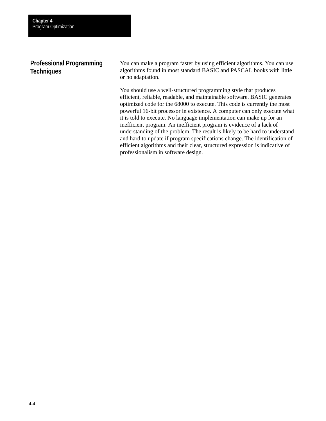## **Professional Programming Techniques**

You can make a program faster by using efficient algorithms. You can use algorithms found in most standard BASIC and PASCAL books with little or no adaptation.

You should use a well-structured programming style that produces efficient, reliable, readable, and maintainable software. BASIC generates optimized code for the 68000 to execute. This code is currently the most powerful 16-bit processor in existence. A computer can only execute what it is told to execute. No language implementation can make up for an inefficient program. An inefficient program is evidence of a lack of understanding of the problem. The result is likely to be hard to understand and hard to update if program specifications change. The identification of efficient algorithms and their clear, structured expression is indicative of professionalism in software design.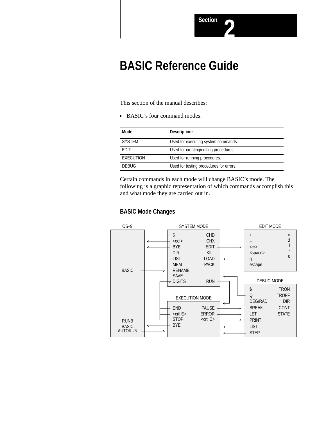# **BASIC Reference Guide**

This section of the manual describes:

BASIC's four command modes:

| Mode:            | Description:                            |
|------------------|-----------------------------------------|
| <b>SYSTEM</b>    | Used for executing system commands.     |
| <b>FDIT</b>      | Used for creating/editing procedures.   |
| <b>EXECUTION</b> | Used for running procedures.            |
| <b>DEBUG</b>     | Used for testing procedures for errors. |

Certain commands in each mode will change BASIC's mode. The following is a graphic representation of which commands accomplish this and what mode they are carried out in.

### **BASIC Mode Changes**

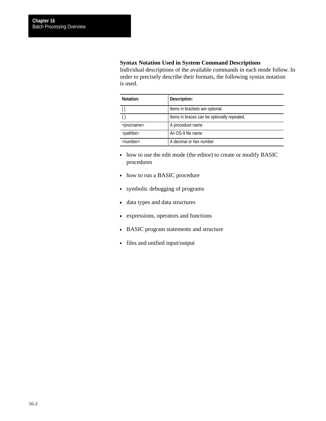#### **Syntax Notation Used in System Command Descriptions**

Individual descriptions of the available commands in each mode follow. In order to precisely describe their formats, the following syntax notation is used.

| Notation:                  | Description:                                |
|----------------------------|---------------------------------------------|
|                            | Items in brackets are optional.             |
|                            | Items in braces can be optionally repeated. |
| <procname></procname>      | A procedure name                            |
| <pathlist></pathlist>      | An OS-9 file name                           |
| $\langle$ number $\rangle$ | A decimal or hex number                     |

- how to use the edit mode (the editor) to create or modify BASIC procedures
- how to run a BASIC procedure
- symbolic debugging of programs
- data types and data structures
- expressions, operators and functions
- BASIC program statements and structure
- files and unified input/output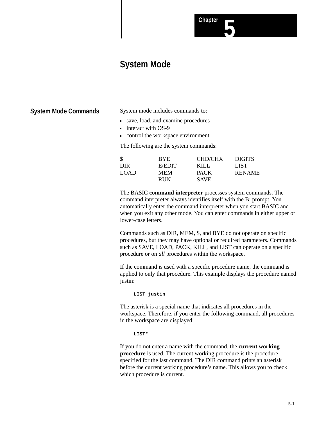## **Chapter 5**

## **System Mode**

#### **System Mode Commands**

System mode includes commands to:

- save, load, and examine procedures
- interact with OS-9
- control the workspace environment

The following are the system commands:

| \$   | <b>BYE</b> | <b>CHD/CHX</b> | <b>DIGITS</b> |
|------|------------|----------------|---------------|
| DIR. | E/EDIT     | KILI.          | LIST          |
| LOAD | <b>MEM</b> | <b>PACK</b>    | <b>RENAME</b> |
|      | <b>RUN</b> | <b>SAVE</b>    |               |

The BASIC **command interpreter** processes system commands. The command interpreter always identifies itself with the B: prompt. You automatically enter the command interpreter when you start BASIC and when you exit any other mode. You can enter commands in either upper or lower-case letters.

Commands such as DIR, MEM, \$, and BYE do not operate on specific procedures, but they may have optional or required parameters. Commands such as SAVE, LOAD, PACK, KILL, and LIST can operate on a specific procedure or on *all* procedures within the workspace.

If the command is used with a specific procedure name, the command is applied to only that procedure. This example displays the procedure named justin:

#### **LIST justin**

The asterisk is a special name that indicates all procedures in the workspace. Therefore, if you enter the following command, all procedures in the workspace are displayed:

#### **LIST\***

If you do not enter a name with the command, the **current working procedure** is used. The current working procedure is the procedure specified for the last command. The DIR command prints an asterisk before the current working procedure's name. This allows you to check which procedure is current.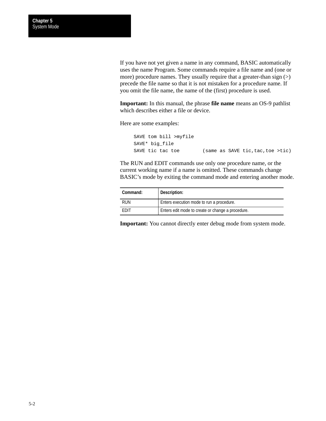If you have not yet given a name in any command, BASIC automatically uses the name Program. Some commands require a file name and (one or more) procedure names. They usually require that a greater-than sign  $(>)$ precede the file name so that it is not mistaken for a procedure name. If you omit the file name, the name of the (first) procedure is used.

**Important:** In this manual, the phrase **file name** means an OS-9 pathlist which describes either a file or device.

Here are some examples:

SAVE tom bill >myfile SAVE\* big\_file SAVE tic tac toe (same as SAVE tic, tac, toe >tic)

The RUN and EDIT commands use only one procedure name, or the current working name if a name is omitted. These commands change BASIC's mode by exiting the command mode and entering another mode.

| Command:    | Description:                                      |
|-------------|---------------------------------------------------|
| <b>RUN</b>  | Enters execution mode to run a procedure.         |
| <b>FDIT</b> | Enters edit mode to create or change a procedure. |

**Important:** You cannot directly enter debug mode from system mode.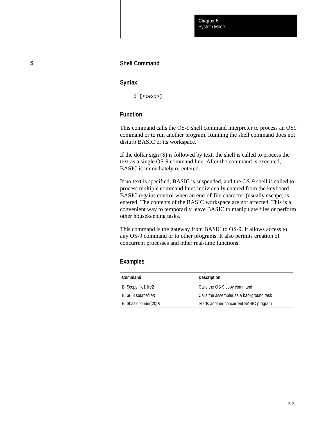#### **Syntax**

\$ [<text>]

#### **Function**

This command calls the OS-9 shell command interpreter to process an OS9 command or to run another program. Running the shell command does not disturb BASIC or its workspace.

If the dollar sign (\$) is followed by text, the shell is called to process the text as a single OS-9 command line. After the command is executed, BASIC is immediately re-entered.

If no text is specified, BASIC is suspended, and the OS-9 shell is called to process multiple command lines individually entered from the keyboard. BASIC regains control when an end-of-file character (usually escape) is entered. The contents of the BASIC workspace are not affected. This is a convenient way to temporarily leave BASIC to manipulate files or perform other housekeeping tasks.

This command is the gateway from BASIC to OS-9. It allows access to any OS-9 command or to other programs. It also permits creation of concurrent processes and other real-time functions.

#### **Examples**

| Command:                | Description:                             |
|-------------------------|------------------------------------------|
| B: \$copy file1 file2   | Calls the OS-9 copy command              |
| B: \$r68 sourcefile&    | Calls the assembler as a background task |
| B: \$basic fourier(20)& | Starts another concurrent BASIC program  |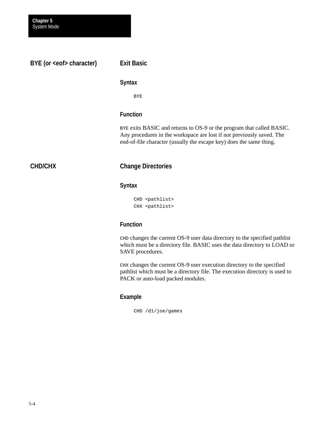**BYE (or <eof> character)**

## **Exit Basic**

#### **Syntax**

BYE

#### **Function**

BYE exits BASIC and returns to OS-9 or the program that called BASIC. Any procedures in the workspace are lost if not previously saved. The end-of-file character (usually the escape key) does the same thing.

## **CHD/CHX**

## **Change Directories**

#### **Syntax**

CHD <pathlist> CHX <pathlist>

### **Function**

CHD changes the current OS-9 user data directory to the specified pathlist which must be a directory file. BASIC uses the data directory to LOAD or SAVE procedures.

CHX changes the current OS-9 user execution directory to the specified pathlist which must be a directory file. The execution directory is used to PACK or auto-load packed modules.

### **Example**

CHD /d1/joe/games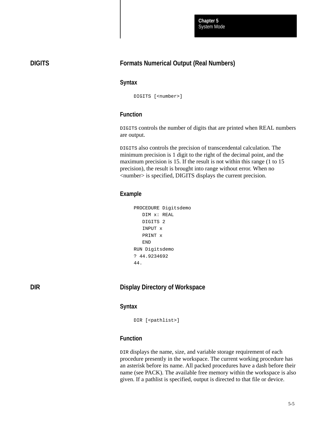System Mode **Chapter 5**

#### **DIGITS**

## **Formats Numerical Output (Real Numbers)**

#### **Syntax**

DIGITS [<number>]

## **Function**

DIGITS controls the number of digits that are printed when REAL numbers are output.

DIGITS also controls the precision of transcendental calculation. The minimum precision is 1 digit to the right of the decimal point, and the maximum precision is 15. If the result is not within this range (1 to 15) precision), the result is brought into range without error. When no <number> is specified, DIGITS displays the current precision.

#### **Example**

```
PROCEDURE Digitsdemo
    DIM x: REAL
    DIGITS 2
    INPUT x
    PRINT x
    END
RUN Digitsdemo
? 44.9234692
44.
```
**DIR**

#### **Display Directory of Workspace**

#### **Syntax**

DIR [<pathlist>]

#### **Function**

DIR displays the name, size, and variable storage requirement of each procedure presently in the workspace. The current working procedure has an asterisk before its name. All packed procedures have a dash before their name (see PACK). The available free memory within the workspace is also given. If a pathlist is specified, output is directed to that file or device.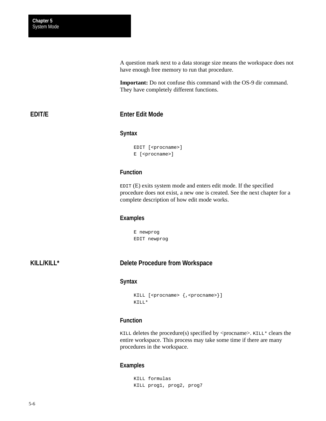A question mark next to a data storage size means the workspace does not have enough free memory to run that procedure.

**Important:** Do not confuse this command with the OS-9 dir command. They have completely different functions.

### **EDIT/E**

## **Enter Edit Mode**

#### **Syntax**

```
EDIT [<procname>]
E [<procname>]
```
#### **Function**

EDIT (E) exits system mode and enters edit mode. If the specified procedure does not exist, a new one is created. See the next chapter for a complete description of how edit mode works.

#### **Examples**

E newprog EDIT newprog

#### **KILL/KILL\***

#### **Delete Procedure from Workspace**

#### **Syntax**

```
KILL [<procname> {, <procname>}]
KILL*
```
#### **Function**

KILL deletes the procedure(s) specified by <procname>. KILL\* clears the entire workspace. This process may take some time if there are many procedures in the workspace.

#### **Examples**

KILL formulas KILL prog1, prog2, prog7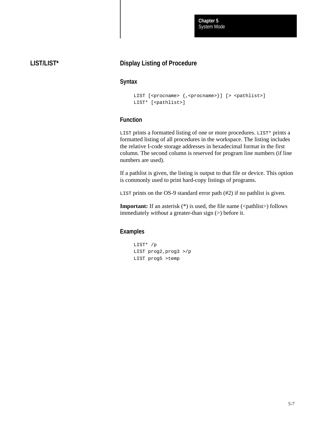System Mode **Chapter 5**

# **LIST/LIST\***

# **Display Listing of Procedure**

#### **Syntax**

```
LIST [<procname> {,<procname>}] [> <pathlist>]
LIST* [<pathlist>]
```
# **Function**

LIST prints a formatted listing of one or more procedures. LIST\* prints a formatted listing of all procedures in the workspace. The listing includes the relative I-code storage addresses in hexadecimal format in the first column. The second column is reserved for program line numbers (if line numbers are used).

If a pathlist is given, the listing is output to that file or device. This option is commonly used to print hard-copy listings of programs.

LIST prints on the OS-9 standard error path (#2) if no pathlist is given.

**Important:** If an asterisk (\*) is used, the file name (<pathlist>) follows immediately *without* a greater-than sign (>) before it.

#### **Examples**

```
LIST* /p
LIST prog2,prog3 >/p
LIST prog5 >temp
```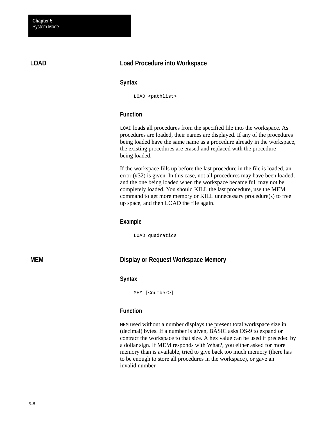**LOAD**

# **Load Procedure into Workspace**

#### **Syntax**

LOAD <pathlist>

## **Function**

LOAD loads all procedures from the specified file into the workspace. As procedures are loaded, their names are displayed. If any of the procedures being loaded have the same name as a procedure already in the workspace, the existing procedures are erased and replaced with the procedure being loaded.

If the workspace fills up before the last procedure in the file is loaded, an error (#32) is given. In this case, not all procedures may have been loaded, and the one being loaded when the workspace became full may not be completely loaded. You should KILL the last procedure, use the MEM command to get more memory or KILL unnecessary procedure(s) to free up space, and then LOAD the file again.

### **Example**

LOAD quadratics

**MEM**

# **Display or Request Workspace Memory**

#### **Syntax**

MEM [<number>]

# **Function**

MEM used without a number displays the present total workspace size in (decimal) bytes. If a number is given, BASIC asks OS-9 to expand or contract the workspace to that size. A hex value can be used if preceded by a dollar sign. If MEM responds with What?, you either asked for more memory than is available, tried to give back too much memory (there has to be enough to store all procedures in the workspace), or gave an invalid number.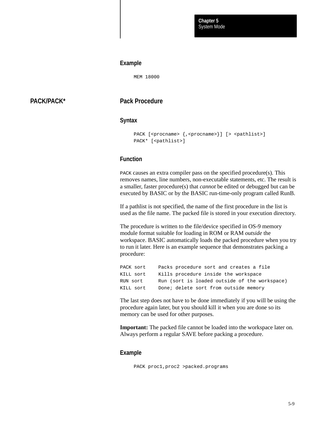#### **Example**

MEM 18000

# **PACK/PACK\***

**Pack Procedure**

#### **Syntax**

```
PACK [<procname> {,<procname>}] [> <pathlist>]
PACK* [<pathlist>]
```
# **Function**

PACK causes an extra compiler pass on the specified procedure(s). This removes names, line numbers, non-executable statements, etc. The result is a smaller, faster procedure(s) that *cannot* be edited or debugged but can be executed by BASIC or by the BASIC run-time-only program called RunB.

If a pathlist is not specified, the name of the first procedure in the list is used as the file name. The packed file is stored in your execution directory.

The procedure is written to the file/device specified in OS-9 memory module format suitable for loading in ROM or RAM *outside* the workspace. BASIC automatically loads the packed procedure when you try to run it later. Here is an example sequence that demonstrates packing a procedure:

| PACK sort | Packs procedure sort and creates a file       |
|-----------|-----------------------------------------------|
| KILL sort | Kills procedure inside the workspace          |
| RUN sort  | Run (sort is loaded outside of the workspace) |
| KILL sort | Done; delete sort from outside memory         |

The last step does not have to be done immediately if you will be using the procedure again later, but you should kill it when you are done so its memory can be used for other purposes.

**Important:** The packed file cannot be loaded into the workspace later on*.* Always perform a regular SAVE before packing a procedure.

#### **Example**

```
PACK proc1,proc2 >packed.programs
```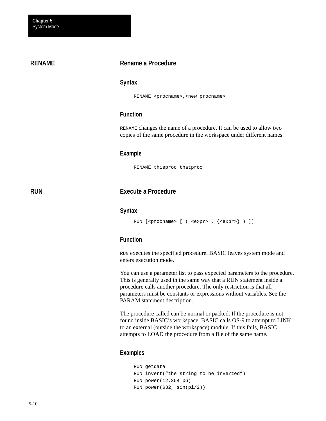### **RENAME**

**RUN**

## **Rename a Procedure**

#### **Syntax**

RENAME <procname>, <new procname>

# **Function**

RENAME changes the name of a procedure. It can be used to allow two copies of the same procedure in the workspace under different names.

#### **Example**

RENAME thisproc thatproc

# **Execute a Procedure**

#### **Syntax**

```
RUN [<procname> [ ( <expr> , {<expr>} ) ]]
```
# **Function**

RUN executes the specified procedure. BASIC leaves system mode and enters execution mode.

You can use a parameter list to pass expected parameters to the procedure. This is generally used in the same way that a RUN statement inside a procedure calls another procedure. The only restriction is that all parameters must be constants or expressions without variables. See the PARAM statement description.

The procedure called can be normal or packed. If the procedure is not found inside BASIC's workspace, BASIC calls OS-9 to attempt to LINK to an external (outside the workspace) module. If this fails, BASIC attempts to LOAD the procedure from a file of the same name.

#### **Examples**

```
RUN getdata
RUN invert("the string to be inverted")
RUN power(12,354.06)
RUN power($32, sin(pi/2))
```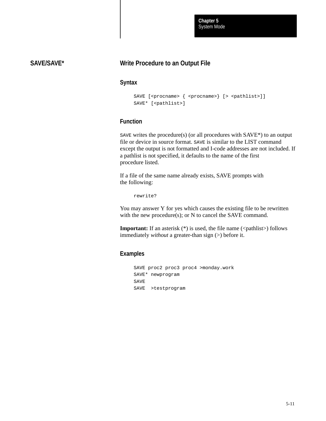System Mode **Chapter 5**

# **SAVE/SAVE\***

# **Write Procedure to an Output File**

### **Syntax**

```
SAVE [<procname> { <procname>} [> <pathlist>]]
SAVE* [<pathlist>]
```
# **Function**

SAVE writes the procedure(s) (or all procedures with SAVE\*) to an output file or device in source format. SAVE is similar to the LIST command except the output is not formatted and I-code addresses are not included. If a pathlist is not specified, it defaults to the name of the first procedure listed.

If a file of the same name already exists, SAVE prompts with the following:

rewrite?

You may answer Y for yes which causes the existing file to be rewritten with the new procedure(s); or N to cancel the SAVE command.

**Important:** If an asterisk  $(*)$  is used, the file name  $(\langle$  pathlist $\rangle)$  follows immediately *without* a greater-than sign (>) before it.

#### **Examples**

```
SAVE proc2 proc3 proc4 >monday.work
SAVE* newprogram
SAVE
SAVE >testprogram
```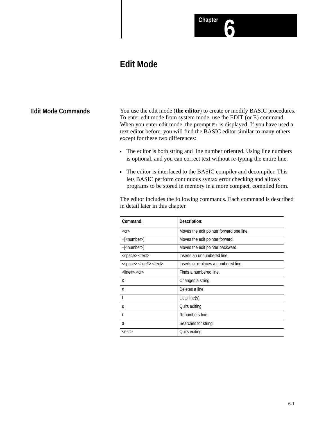# **Chapter 6**

# **Edit Mode**

# **Edit Mode Commands**

You use the edit mode (**the editor**) to create or modify BASIC procedures. To enter edit mode from system mode, use the EDIT (or E) command. When you enter edit mode, the prompt  $E:$  is displayed. If you have used a text editor before, you will find the BASIC editor similar to many others except for these two differences:

- The editor is both string and line number oriented. Using line numbers is optional, and you can correct text without re-typing the entire line.
- The editor is interfaced to the BASIC compiler and decompiler. This lets BASIC perform continuous syntax error checking and allows programs to be stored in memory in a more compact, compiled form.

The editor includes the following commands. Each command is described in detail later in this chapter.

| Command:                                      | Description:                             |
|-----------------------------------------------|------------------------------------------|
| $<$ Cr $>$                                    | Moves the edit pointer forward one line. |
| $+$ [ <number>]</number>                      | Moves the edit pointer forward.          |
| $-$ [ <number>]</number>                      | Moves the edit pointer backward.         |
| <space> <text></text></space>                 | Inserts an unnumbered line.              |
| <space> <line#> <text></text></line#></space> | Inserts or replaces a numbered line.     |
| $<$ line# $>$ $<$ cr $>$                      | Finds a numbered line.                   |
| C.                                            | Changes a string.                        |
| d                                             | Deletes a line.                          |
|                                               | Lists $line(s)$ .                        |
| q                                             | Quits editing.                           |
|                                               | Renumbers line.                          |
| S                                             | Searches for string.                     |
| $<$ esc $>$                                   | Quits editing.                           |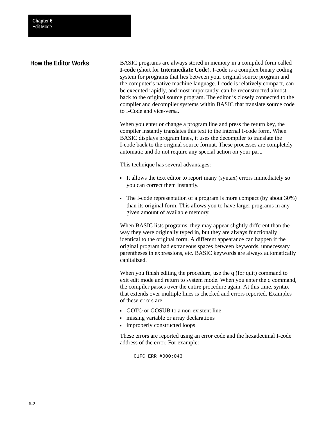# **How the Editor Works**

BASIC programs are always stored in memory in a compiled form called **I-code** (short for **Intermediate Code**). I-code is a complex binary coding system for programs that lies between your original source program and the computer's native machine language. I-code is relatively compact, can be executed rapidly, and most importantly, can be reconstructed almost back to the original source program. The editor is closely connected to the compiler and decompiler systems within BASIC that translate source code to I-Code and vice-versa.

When you enter or change a program line and press the return key, the compiler instantly translates this text to the internal I-code form. When BASIC displays program lines, it uses the decompiler to translate the I-code back to the original source format. These processes are completely automatic and do not require any special action on your part.

This technique has several advantages:

- It allows the text editor to report many (syntax) errors immediately so you can correct them instantly.
- The I-code representation of a program is more compact (by about 30%) than its original form. This allows you to have larger programs in any given amount of available memory.

When BASIC lists programs, they may appear slightly different than the way they were originally typed in, but they are always functionally identical to the original form. A different appearance can happen if the original program had extraneous spaces between keywords, unnecessary parentheses in expressions, etc. BASIC keywords are always automatically capitalized.

When you finish editing the procedure, use the q (for quit) command to exit edit mode and return to system mode. When you enter the q command, the compiler passes over the entire procedure again. At this time, syntax that extends over multiple lines is checked and errors reported. Examples of these errors are:

- GOTO or GOSUB to a non-existent line
- missing variable or array declarations
- improperly constructed loops

These errors are reported using an error code and the hexadecimal I-code address of the error. For example:

01FC ERR #000:043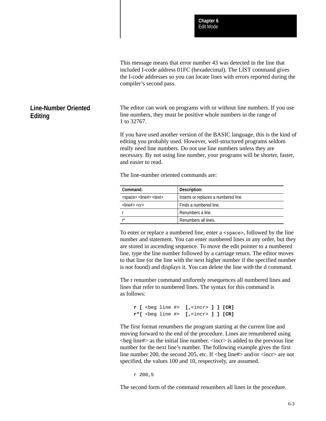This message means that error number 43 was detected in the line that included I-code address 01FC (hexadecimal). The LIST command gives the I-code addresses so you can locate lines with errors reported during the compiler's second pass.

The editor can work on programs with or without line numbers. If you use line numbers, they must be positive whole numbers in the range of 1 to 32767.

If you have used another version of the BASIC language, this is the kind of editing you probably used. However, well-structured programs seldom really need line numbers. Do not use line numbers unless they are necessary. By not using line number, your programs will be shorter, faster, and easier to read.

The line-number oriented commands are:

**Line-Number Oriented**

**Editing**

| Command:                        | Description:                         |  |
|---------------------------------|--------------------------------------|--|
| $<$ space> $<$ line#> $<$ text> | Inserts or replaces a numbered line. |  |
| $<$ line# $>$ $<$ cr $>$        | Finds a numbered line.               |  |
|                                 | Renumbers a line.                    |  |
|                                 | Renumbers all lines.                 |  |

To enter or replace a numbered line, enter a <space>, followed by the line number and statement. You can enter numbered lines in any order, but they are stored in ascending sequence. To move the edit pointer to a numbered line, type the line number followed by a carriage return. The editor moves to that line (or the line with the next higher number if the specified number is not found) and displays it. You can delete the line with the d command.

The r renumber command uniformly resequences all numbered lines and lines that refer to numbered lines. The syntax for this command is as follows:

```
r [ <beg line #> [,<incr> ] ] [CR]
r*[ <beg line #> [,<incr> ] ] [CR]
```
The first format renumbers the program starting at the current line and moving forward to the end of the procedure. Lines are renumbered using  $\langle$ beg line# $>$  as the initial line number.  $\langle$ incr $>$  is added to the previous line number for the next line's number. The following example gives the first line number 200, the second 205, etc. If  $\langle \text{beg line#} \rangle$  and/or  $\langle \text{incr} \rangle$  are not specified, the values 100 and 10, respectively, are assumed.

r 200,5

The second form of the command renumbers all lines in the procedure.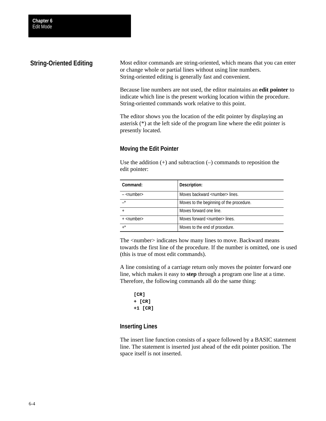# **String-Oriented Editing**

Most editor commands are string-oriented, which means that you can enter or change whole or partial lines without using line numbers. String-oriented editing is generally fast and convenient.

Because line numbers are not used, the editor maintains an **edit pointer** to indicate which line is the present working location within the procedure. String-oriented commands work relative to this point.

The editor shows you the location of the edit pointer by displaying an asterisk (\*) at the left side of the program line where the edit pointer is presently located.

# **Moving the Edit Pointer**

Use the addition  $(+)$  and subtraction  $(-)$  commands to reposition the edit pointer:

| Command:              | Description:                             |
|-----------------------|------------------------------------------|
| $-$ <number></number> | Moves backward <number>lines.</number>   |
| $\star$               | Moves to the beginning of the procedure. |
|                       | Moves forward one line.                  |
| $+$ <number></number> | Moves forward <number> lines.</number>   |
| $, *$                 | Moves to the end of procedure.           |

The  $\langle$  number $\rangle$  indicates how many lines to move. Backward means towards the first line of the procedure. If the number is omitted, one is used (this is true of most edit commands).

A line consisting of a carriage return only moves the pointer forward one line, which makes it easy to **step** through a program one line at a time. Therefore, the following commands all do the same thing:

**[CR] + [CR] +1 [CR]**

# **Inserting Lines**

The insert line function consists of a space followed by a BASIC statement line. The statement is inserted just ahead of the edit pointer position. The space itself is not inserted.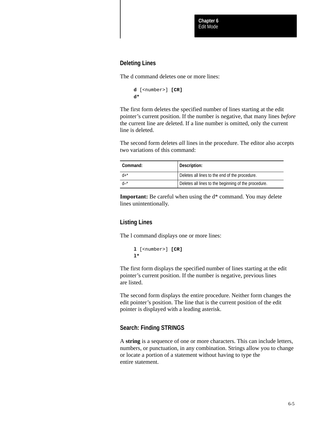### **Deleting Lines**

The d command deletes one or more lines:

```
d [<number>] [CR]
d*
```
The first form deletes the specified number of lines starting at the edit pointer's current position. If the number is negative, that many lines *before* the current line are deleted. If a line number is omitted, only the current line is deleted.

The second form deletes *all* lines in the procedure. The editor also accepts two variations of this command:

| Command:  | Description:                                         |
|-----------|------------------------------------------------------|
| $d_{+}^*$ | Deletes all lines to the end of the procedure.       |
|           | Deletes all lines to the beginning of the procedure. |

**Important:** Be careful when using the d\* command. You may delete lines unintentionally.

# **Listing Lines**

The l command displays one or more lines:

```
l [<number>] [CR]
l*
```
The first form displays the specified number of lines starting at the edit pointer's current position. If the number is negative, previous lines are listed.

The second form displays the entire procedure. Neither form changes the edit pointer's position. The line that is the current position of the edit pointer is displayed with a leading asterisk.

### **Search: Finding STRINGS**

A **string** is a sequence of one or more characters. This can include letters, numbers, or punctuation, in any combination. Strings allow you to change or locate a portion of a statement without having to type the entire statement.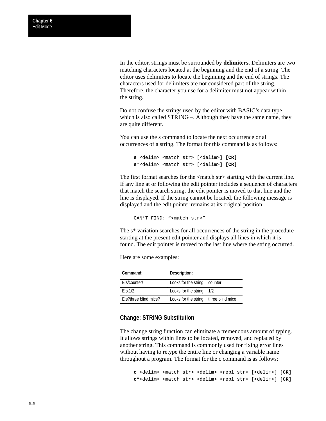In the editor, strings must be surrounded by **delimiters**. Delimiters are two matching characters located at the beginning and the end of a string. The editor uses delimiters to locate the beginning and the end of strings. The characters used for delimiters are not considered part of the string. Therefore, the character you use for a delimiter must not appear within the string.

Do not confuse the strings used by the editor with BASIC's data type which is also called STRING –. Although they have the same name, they are quite different.

You can use the s command to locate the next occurrence or all occurrences of a string. The format for this command is as follows:

```
s <delim> <match str> [<delim>] [CR]
s*<delim> <match str> [<delim>] [CR]
```
The first format searches for the  $\langle \text{match str} \rangle$  starting with the current line. If any line at or following the edit pointer includes a sequence of characters that match the search string, the edit pointer is moved to that line and the line is displayed. If the string cannot be located, the following message is displayed and the edit pointer remains at its original position:

CAN'T FIND: "<match str>"

The s\* variation searches for all occurrences of the string in the procedure starting at the present edit pointer and displays all lines in which it is found. The edit pointer is moved to the last line where the string occurred.

Here are some examples:

| Command:              | Description:                           |  |  |  |
|-----------------------|----------------------------------------|--|--|--|
| E:s/counter/          | Looks for the string: counter          |  |  |  |
| E: S. 1/2.            | Looks for the string: 1/2              |  |  |  |
| E:s?three blind mice? | Looks for the string: three blind mice |  |  |  |

#### **Change: STRING Substitution**

The change string function can eliminate a tremendous amount of typing. It allows strings within lines to be located, removed, and replaced by another string. This command is commonly used for fixing error lines without having to retype the entire line or changing a variable name throughout a program. The format for the c command is as follows:

**c** <delim> <match str> <delim> <repl str> [<delim>] **[CR] c\***<delim> <match str> <delim> <repl str> [<delim>] **[CR]**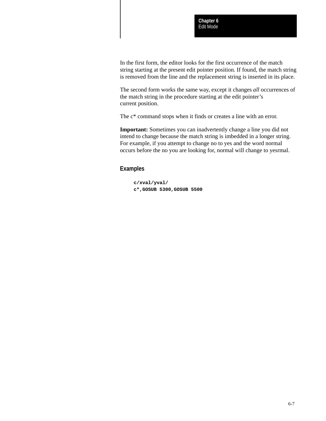In the first form, the editor looks for the first occurrence of the match string starting at the present edit pointer position. If found, the match string is removed from the line and the replacement string is inserted in its place.

The second form works the same way, except it changes *all* occurrences of the match string in the procedure starting at the edit pointer's current position.

The  $c^*$  command stops when it finds or creates a line with an error.

**Important:** Sometimes you can inadvertently change a line you did not intend to change because the match string is imbedded in a longer string. For example, if you attempt to change no to yes and the word normal occurs before the no you are looking for, normal will change to yesrmal.

#### **Examples**

**c/xval/yval/ c\*,GOSUB 5300,GOSUB 5500**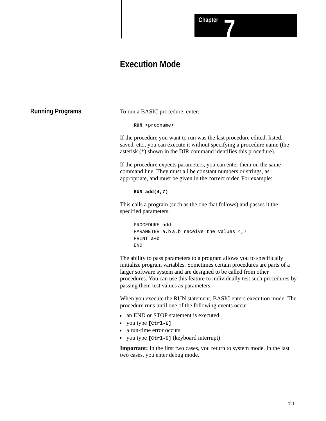# **Execution Mode**

**Running Programs**

To run a BASIC procedure, enter:

**RUN** <procname>

If the procedure you want to run was the last procedure edited, listed, saved, etc., you can execute it without specifying a procedure name (the asterisk (\*) shown in the DIR command identifies this procedure).

If the procedure expects parameters, you can enter them on the same command line. They must all be constant numbers or strings, as appropriate, and must be given in the correct order. For example:

#### **RUN add(4,7)**

This calls a program (such as the one that follows) and passes it the specified parameters.

```
PROCEDURE add
PARAMETER a, b, a, b receive the values 4, 7PRINT a+b
END
```
The ability to pass parameters to a program allows you to specifically initialize program variables. Sometimes certain procedures are parts of a larger software system and are designed to be called from other procedures. You can use this feature to individually test such procedures by passing them test values as parameters.

When you execute the RUN statement, BASIC enters execution mode. The procedure runs until one of the following events occur:

- an END or STOP statement is executed
- you type **[Ctrl-E]**
- a run-time error occurs
- you type **[Ctrl-C]** (keyboard interrupt)

**Important:** In the first two cases, you return to system mode. In the last two cases, you enter debug mode.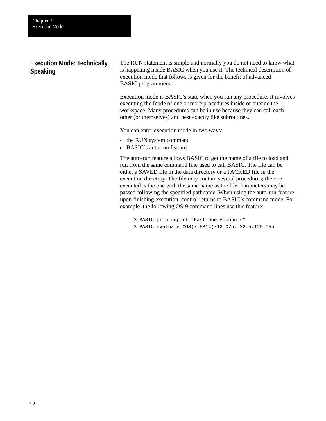# **Execution Mode: Technically Speaking**

The RUN statement is simple and normally you do not need to know what is happening inside BASIC when you use it. The technical description of execution mode that follows is given for the benefit of advanced BASIC programmers.

Execution mode is BASIC's state when you run any procedure. It involves executing the Icode of one or more procedures inside or outside the workspace. Many procedures can be in use because they can call each other (or themselves) and nest exactly like subroutines.

You can enter execution mode in two ways:

- the RUN system command
- BASIC's auto-run feature

The auto-run feature allows BASIC to get the name of a file to load and run from the same command line used to call BASIC. The file can be either a SAVED file in the data directory or a PACKED file in the execution directory. The file may contain several procedures; the one executed is the one with the same name as the file. Parameters may be passed following the specified pathname. When using the auto-run feature, upon finishing execution, control returns to BASIC's command mode. For example, the following OS-9 command lines use this feature:

\$ BASIC printreport "Past Due Accounts" \$ BASIC evaluate COS(7.8814)/12.075,–22.5,129.055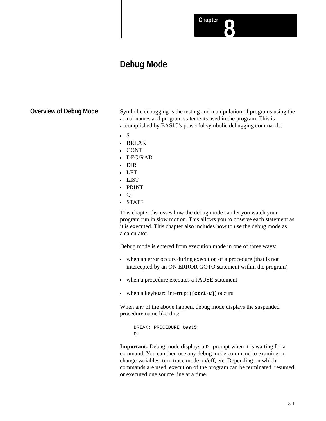# **Debug Mode**

# **Overview of Debug Mode**

Symbolic debugging is the testing and manipulation of programs using the actual names and program statements used in the program. This is accomplished by BASIC's powerful symbolic debugging commands:

**Chapter 8**

- $\blacksquare$
- BREAK
- CONT
- DEG/RAD
- DIR
- LET
- LIST
- PRINT
- $\bullet$  O
- STATE

This chapter discusses how the debug mode can let you watch your program run in slow motion. This allows you to observe each statement as it is executed. This chapter also includes how to use the debug mode as a calculator.

Debug mode is entered from execution mode in one of three ways:

- when an error occurs during execution of a procedure (that is not intercepted by an ON ERROR GOTO statement within the program)
- when a procedure executes a PAUSE statement
- when a keyboard interrupt (**[Ctrl-C]**) occurs

When any of the above happen, debug mode displays the suspended procedure name like this:

```
BREAK: PROCEDURE test5
D:
```
**Important:** Debug mode displays a  $D$ : prompt when it is waiting for a command. You can then use any debug mode command to examine or change variables, turn trace mode on/off, etc. Depending on which commands are used, execution of the program can be terminated, resumed, or executed one source line at a time.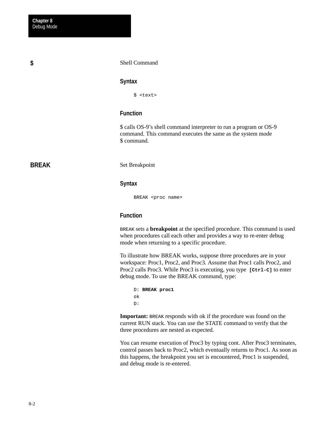**\$**

#### Shell Command

#### **Syntax**

\$ <text>

### **Function**

\$ calls OS-9's shell command interpreter to run a program or OS-9 command. This command executes the same as the system mode \$ command.

# **BREAK**

Set Breakpoint

#### **Syntax**

BREAK <proc name>

### **Function**

BREAK sets a **breakpoint** at the specified procedure. This command is used when procedures call each other and provides a way to re-enter debug mode when returning to a specific procedure.

To illustrate how BREAK works, suppose three procedures are in your workspace: Proc1, Proc2, and Proc3. Assume that Proc1 calls Proc2, and Proc2 calls Proc3. While Proc3 is executing, you type **[Ctrl-C]** to enter debug mode. To use the BREAK command, type:

```
D: BREAK proc1
ok
D:
```
**Important:** BREAK responds with ok if the procedure was found on the current RUN stack. You can use the STATE command to verify that the three procedures are nested as expected.

You can resume execution of Proc3 by typing cont. After Proc3 terminates, control passes back to Proc2, which eventually returns to Proc1. As soon as this happens, the breakpoint you set is encountered, Proc1 is suspended, and debug mode is re-entered.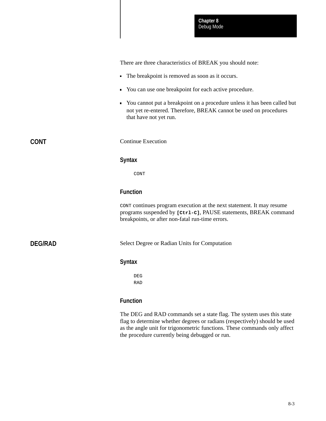There are three characteristics of BREAK you should note:

- The breakpoint is removed as soon as it occurs.
- You can use one breakpoint for each active procedure.
- You cannot put a breakpoint on a procedure unless it has been called but not yet re-entered. Therefore, BREAK cannot be used on procedures that have not yet run.

**CONT**

Continue Execution

#### **Syntax**

CONT

### **Function**

CONT continues program execution at the next statement. It may resume programs suspended by **[Ctrl-C]**, PAUSE statements, BREAK command breakpoints, or after non-fatal run-time errors.

**DEG/RAD**

Select Degree or Radian Units for Computation

#### **Syntax**

DEG RAD

### **Function**

The DEG and RAD commands set a state flag. The system uses this state flag to determine whether degrees or radians (respectively) should be used as the angle unit for trigonometric functions. These commands only affect the procedure currently being debugged or run.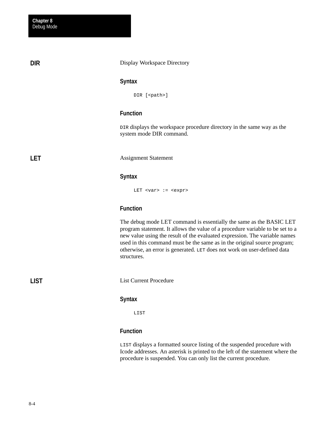**DIR**

**LET**

#### Display Workspace Directory

#### **Syntax**

DIR [<path>]

### **Function**

DIR displays the workspace procedure directory in the same way as the system mode DIR command.

Assignment Statement

### **Syntax**

LET <var> := <expr>

#### **Function**

The debug mode LET command is essentially the same as the BASIC LET program statement. It allows the value of a procedure variable to be set to a new value using the result of the evaluated expression. The variable names used in this command must be the same as in the original source program; otherwise, an error is generated. LET does not work on user-defined data structures.

List Current Procedure

#### **Syntax**

LIST

### **Function**

LIST displays a formatted source listing of the suspended procedure with Icode addresses. An asterisk is printed to the left of the statement where the procedure is suspended. You can only list the current procedure.

**LIST**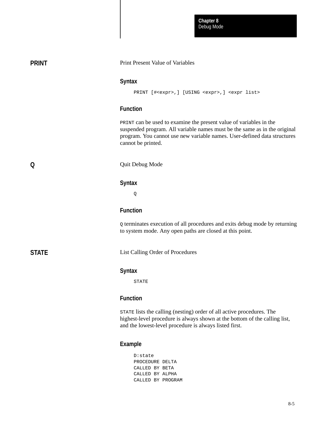Debug Mode **Chapter 8**

| <b>PRINT</b> | Print Present Value of Variables                                                                                                                                                                                                                  |  |  |  |
|--------------|---------------------------------------------------------------------------------------------------------------------------------------------------------------------------------------------------------------------------------------------------|--|--|--|
|              | <b>Syntax</b><br>PRINT [# <expr>, ] [USING <expr>, ] <expr list=""></expr></expr></expr>                                                                                                                                                          |  |  |  |
|              | <b>Function</b>                                                                                                                                                                                                                                   |  |  |  |
|              | PRINT can be used to examine the present value of variables in the<br>suspended program. All variable names must be the same as in the original<br>program. You cannot use new variable names. User-defined data structures<br>cannot be printed. |  |  |  |
| Q            | Quit Debug Mode                                                                                                                                                                                                                                   |  |  |  |
|              | <b>Syntax</b>                                                                                                                                                                                                                                     |  |  |  |
|              | Q                                                                                                                                                                                                                                                 |  |  |  |
|              | <b>Function</b>                                                                                                                                                                                                                                   |  |  |  |
|              | Q terminates execution of all procedures and exits debug mode by returning<br>to system mode. Any open paths are closed at this point.                                                                                                            |  |  |  |
| <b>STATE</b> | List Calling Order of Procedures                                                                                                                                                                                                                  |  |  |  |
|              | <b>Syntax</b>                                                                                                                                                                                                                                     |  |  |  |
|              | <b>STATE</b>                                                                                                                                                                                                                                      |  |  |  |
|              | <b>Function</b>                                                                                                                                                                                                                                   |  |  |  |
|              | STATE lists the calling (nesting) order of all active procedures. The<br>highest-level procedure is always shown at the bottom of the calling list,<br>and the lowest-level procedure is always listed first.                                     |  |  |  |
|              | <b>Example</b>                                                                                                                                                                                                                                    |  |  |  |

D:state PROCEDURE DELTA CALLED BY BETA CALLED BY ALPHA CALLED BY PROGRAM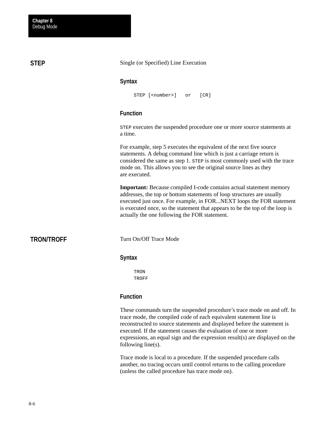**STEP**

Single (or Specified) Line Execution

#### **Syntax**

```
STEP [<number>] or [CR]
```
# **Function**

STEP executes the suspended procedure one or more source statements at a time.

For example, step 5 executes the equivalent of the next five source statements. A debug command line which is just a carriage return is considered the same as step 1. STEP is most commonly used with the trace mode on. This allows you to see the original source lines as they are executed.

**Important:** Because compiled I-code contains actual statement memory addresses, the top or bottom statements of loop structures are usually executed just once. For example, in FOR...NEXT loops the FOR statement is executed once, so the statement that appears to be the top of the loop is actually the one following the FOR statement.

# **TRON/TROFF**

Turn On/Off Trace Mode

### **Syntax**

TRON TROFF

### **Function**

These commands turn the suspended procedure's trace mode on and off. In trace mode, the compiled code of each equivalent statement line is reconstructed to source statements and displayed before the statement is executed. If the statement causes the evaluation of one or more expressions, an equal sign and the expression result(s) are displayed on the following line(s).

Trace mode is local to a procedure. If the suspended procedure calls another, no tracing occurs until control returns to the calling procedure (unless the called procedure has trace mode on).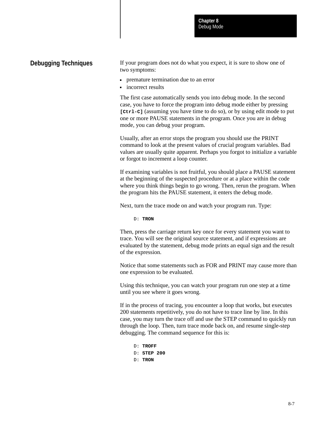Debug Mode **Chapter 8**

# **Debugging Techniques**

If your program does not do what you expect, it is sure to show one of two symptoms:

- premature termination due to an error
- incorrect results

The first case automatically sends you into debug mode. In the second case, you have to force the program into debug mode either by pressing **[Ctrl-C]** (assuming you have time to do so), or by using edit mode to put one or more PAUSE statements in the program. Once you are in debug mode, you can debug your program.

Usually, after an error stops the program you should use the PRINT command to look at the present values of crucial program variables. Bad values are usually quite apparent. Perhaps you forgot to initialize a variable or forgot to increment a loop counter.

If examining variables is not fruitful, you should place a PAUSE statement at the beginning of the suspected procedure or at a place within the code where you think things begin to go wrong. Then, rerun the program. When the program hits the PAUSE statement, it enters the debug mode.

Next, turn the trace mode on and watch your program run. Type:

D: **TRON**

Then, press the carriage return key once for every statement you want to trace. You will see the original source statement, and if expressions are evaluated by the statement, debug mode prints an equal sign and the result of the expression.

Notice that some statements such as FOR and PRINT may cause more than one expression to be evaluated.

Using this technique, you can watch your program run one step at a time until you see where it goes wrong.

If in the process of tracing, you encounter a loop that works, but executes 200 statements repetitively, you do not have to trace line by line. In this case, you may turn the trace off and use the STEP command to quickly run through the loop. Then, turn trace mode back on, and resume single-step debugging. The command sequence for this is:

D: **TROFF** D: **STEP 200** D: **TRON**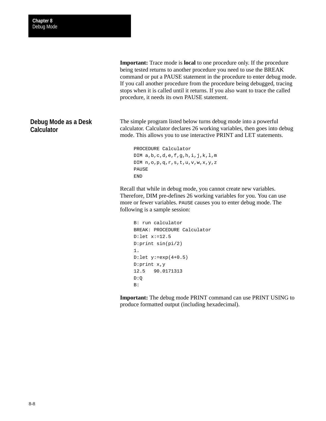**Important:** Trace mode is **local** to one procedure only. If the procedure being tested returns to another procedure you need to use the BREAK command or put a PAUSE statement in the procedure to enter debug mode. If you call another procedure from the procedure being debugged, tracing stops when it is called until it returns. If you also want to trace the called procedure, it needs its own PAUSE statement.

**Debug Mode as a Desk Calculator**

The simple program listed below turns debug mode into a powerful calculator. Calculator declares 26 working variables, then goes into debug mode. This allows you to use interactive PRINT and LET statements.

```
PROCEDURE Calculator
DIM a,b,c,d,e,f,g,h,i,j,k,l,m
DIM n,o,p,q,r,s,t,u,v,w,x,y,z
PAUSE
END
```
Recall that while in debug mode, you cannot create new variables. Therefore, DIM pre-defines 26 working variables for you. You can use more or fewer variables. PAUSE causes you to enter debug mode. The following is a sample session:

```
B: run calculator
BREAK: PROCEDURE Calculator
D:let x:=12.5
D:print sin(pi/2)
1.
D:let y:=exp(4+0.5)
D:print x,y
12.5 90.0171313
D:Q
B:
```
**Important:** The debug mode PRINT command can use PRINT USING to produce formatted output (including hexadecimal).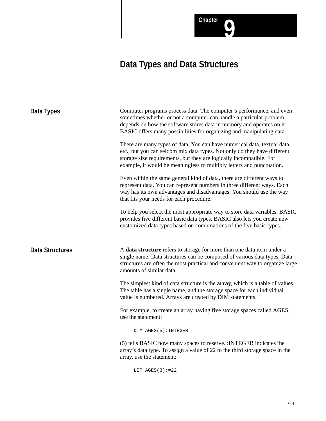Chapter **0** 

| Data Types             | Computer programs process data. The computer's performance, and even<br>sometimes whether or not a computer can handle a particular problem,<br>depends on how the software stores data in memory and operates on it.<br>BASIC offers many possibilities for organizing and manipulating data.       |  |  |  |
|------------------------|------------------------------------------------------------------------------------------------------------------------------------------------------------------------------------------------------------------------------------------------------------------------------------------------------|--|--|--|
|                        | There are many types of data. You can have numerical data, textual data,<br>etc., but you can seldom mix data types. Not only do they have different<br>storage size requirements, but they are logically incompatible. For<br>example, it would be meaningless to multiply letters and punctuation. |  |  |  |
|                        | Even within the same general kind of data, there are different ways to<br>represent data. You can represent numbers in three different ways. Each<br>way has its own advantages and disadvantages. You should use the way<br>that fits your needs for each procedure.                                |  |  |  |
|                        | To help you select the most appropriate way to store data variables, BASIC<br>provides five different basic data types. BASIC also lets you create new<br>customized data types based on combinations of the five basic types.                                                                       |  |  |  |
| <b>Data Structures</b> | A data structure refers to storage for more than one data item under a<br>single name. Data structures can be composed of various data types. Data<br>structures are often the most practical and convenient way to organize large<br>amounts of similar data.                                       |  |  |  |
|                        | The simplest kind of data structure is the <b>array</b> , which is a table of values.<br>The table has a single name, and the storage space for each individual<br>value is numbered. Arrays are created by DIM statements.                                                                          |  |  |  |
|                        | For example, to create an array having five storage spaces called AGES,<br>use the statement:                                                                                                                                                                                                        |  |  |  |
|                        | DIM AGES(5): INTEGER                                                                                                                                                                                                                                                                                 |  |  |  |
|                        | (5) tells BASIC how many spaces to reserve. : INTEGER indicates the<br>array's data type. To assign a value of 22 to the third storage space in the<br>array, use the statement:                                                                                                                     |  |  |  |

LET  $AGES(3):=22$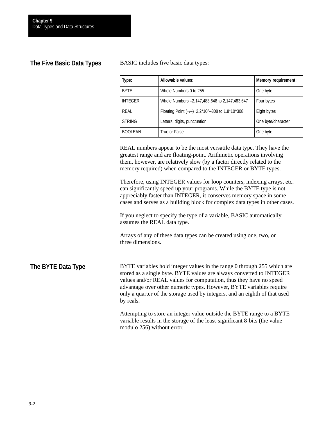# **The Five Basic Data Types**

BASIC includes five basic data types:

| Type:          | Allowable values:                              | <b>Memory requirement:</b> |
|----------------|------------------------------------------------|----------------------------|
| <b>BYTE</b>    | Whole Numbers 0 to 255                         | One byte                   |
| <b>INTEGER</b> | Whole Numbers -2,147,483,648 to 2,147,483,647  | Four bytes                 |
| REAL           | Floating Point (+/-) 2.2*10^-308 to 1.8*10^308 | Eight bytes                |
| <b>STRING</b>  | Letters, digits, punctuation                   | One byte/character         |
| <b>BOOLEAN</b> | True or False                                  | One byte                   |

REAL numbers appear to be the most versatile data type. They have the greatest range and are floating-point. Arithmetic operations involving them, however, are relatively slow (by a factor directly related to the memory required) when compared to the INTEGER or BYTE types.

Therefore, using INTEGER values for loop counters, indexing arrays, etc. can significantly speed up your programs. While the BYTE type is not appreciably faster than INTEGER, it conserves memory space in some cases and serves as a building block for complex data types in other cases.

If you neglect to specify the type of a variable, BASIC automatically assumes the REAL data type.

Arrays of any of these data types can be created using one, two, or three dimensions.

BYTE variables hold integer values in the range 0 through 255 which are stored as a single byte. BYTE values are always converted to INTEGER values and/or REAL values for computation, thus they have no speed advantage over other numeric types. However, BYTE variables require only a quarter of the storage used by integers, and an eighth of that used by reals. **The BYTE Data Type**

> Attempting to store an integer value outside the BYTE range to a BYTE variable results in the storage of the least-significant 8-bits (the value modulo 256) without error.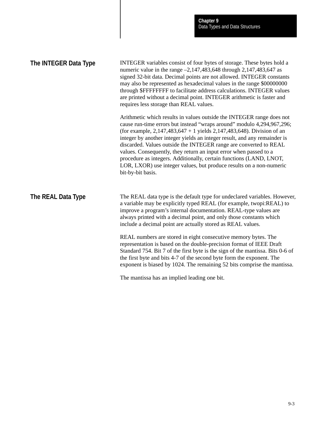| The INTEGER Data Type | INTEGER variables consist of four bytes of storage. These bytes hold a<br>numeric value in the range $-2,147,483,648$ through 2,147,483,647 as<br>signed 32-bit data. Decimal points are not allowed. INTEGER constants<br>may also be represented as hexadecimal values in the range \$000000000<br>through \$FFFFFFFF to facilitate address calculations. INTEGER values<br>are printed without a decimal point. INTEGER arithmetic is faster and<br>requires less storage than REAL values.                                                                                                                          |  |  |  |
|-----------------------|-------------------------------------------------------------------------------------------------------------------------------------------------------------------------------------------------------------------------------------------------------------------------------------------------------------------------------------------------------------------------------------------------------------------------------------------------------------------------------------------------------------------------------------------------------------------------------------------------------------------------|--|--|--|
|                       | Arithmetic which results in values outside the INTEGER range does not<br>cause run-time errors but instead "wraps around" modulo 4,294,967,296;<br>(for example, $2,147,483,647 + 1$ yields $2,147,483,648$ ). Division of an<br>integer by another integer yields an integer result, and any remainder is<br>discarded. Values outside the INTEGER range are converted to REAL<br>values. Consequently, they return an input error when passed to a<br>procedure as integers. Additionally, certain functions (LAND, LNOT,<br>LOR, LXOR) use integer values, but produce results on a non-numeric<br>bit-by-bit basis. |  |  |  |
| The REAL Data Type    | The REAL data type is the default type for undeclared variables. However,<br>a variable may be explicitly typed REAL (for example, twopi:REAL) to<br>improve a program's internal documentation. REAL-type values are<br>always printed with a decimal point, and only those constants which<br>include a decimal point are actually stored as REAL values.                                                                                                                                                                                                                                                             |  |  |  |
|                       | REAL numbers are stored in eight consecutive memory bytes. The<br>representation is based on the double-precision format of IEEE Draft<br>Standard 754. Bit 7 of the first byte is the sign of the mantissa. Bits 0-6 of<br>the first byte and bits 4-7 of the second byte form the exponent. The<br>exponent is biased by 1024. The remaining 52 bits comprise the mantissa.                                                                                                                                                                                                                                           |  |  |  |

The mantissa has an implied leading one bit.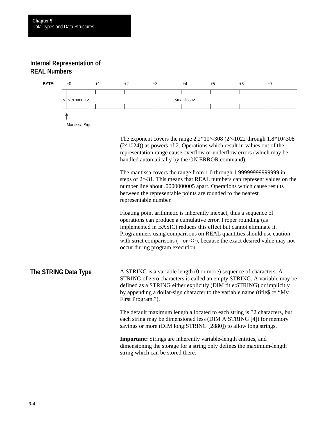# **Internal Representation of REAL Numbers**



handled automatically by the ON ERROR command).

The mantissa covers the range from 1.0 through 1.99999999999999 in steps of 2^-31. This means that REAL numbers can represent values on the number line about .0000000005 apart. Operations which cause results between the representable points are rounded to the nearest representable number.

Floating point arithmetic is inherently inexact, thus a sequence of operations can produce a cumulative error. Proper rounding (as implemented in BASIC) reduces this effect but cannot eliminate it. Programmers using comparisons on REAL quantities should use caution with strict comparisons  $(= or <)$ , because the exact desired value may not occur during program execution.

A STRING is a variable length (0 or more) sequence of characters. A STRING of zero characters is called an empty STRING. A variable may be defined as a STRING either explicitly (DIM title:STRING) or implicitly by appending a dollar-sign character to the variable name (title  $\text{S} := \text{``My}$ ) First Program."). **The STRING Data Type**

> The default maximum length allocated to each string is 32 characters, but each string may be dimensioned less (DIM A:STRING [4]) for memory savings or more (DIM long:STRING [2880]) to allow long strings.

**Important:** Strings are inherently variable-length entities, and dimensioning the storage for a string only defines the maximum-length string which can be stored there.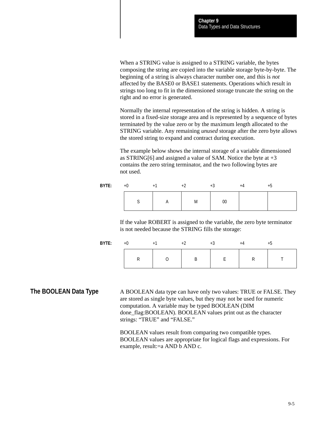When a STRING value is assigned to a STRING variable, the bytes composing the string are copied into the variable storage byte-by-byte. The beginning of a string is always character number one, and this is *not* affected by the BASE0 or BASE1 statements. Operations which result in strings too long to fit in the dimensioned storage truncate the string on the right and no error is generated.

Normally the internal representation of the string is hidden. A string is stored in a fixed-size storage area and is represented by a sequence of bytes terminated by the value zero or by the maximum length allocated to the STRING variable. Any remaining *unused* storage after the zero byte allows the stored string to expand and contract during execution.

The example below shows the internal storage of a variable dimensioned as STRING[6] and assigned a value of SAM. Notice the byte at  $+3$ contains the zero string terminator, and the two following bytes are not used.

| BYTE: | $+$ ( |                          |   | тυ     |  |
|-------|-------|--------------------------|---|--------|--|
|       |       | $\overline{\phantom{a}}$ | M | $00\,$ |  |

If the value ROBERT is assigned to the variable, the zero byte terminator is not needed because the STRING fills the storage:

| BYTE: | +C |  | ٠. |  |
|-------|----|--|----|--|
|       |    |  |    |  |

A BOOLEAN data type can have only two values: TRUE or FALSE. They are stored as single byte values, but they may not be used for numeric computation. A variable may be typed BOOLEAN (DIM done\_flag:BOOLEAN). BOOLEAN values print out as the character strings: "TRUE" and "FALSE." **The BOOLEAN Data Type**

> BOOLEAN values result from comparing two compatible types. BOOLEAN values are appropriate for logical flags and expressions. For example, result:=a AND b AND c.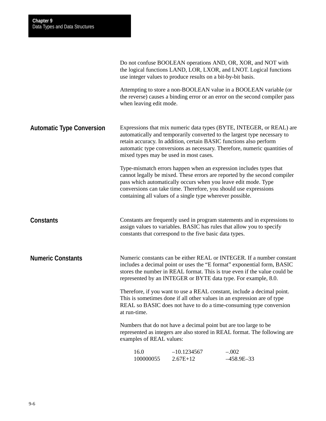|                                  |                                        | use integer values to produce results on a bit-by-bit basis.                                                                                                                                    | Do not confuse BOOLEAN operations AND, OR, XOR, and NOT with<br>the logical functions LAND, LOR, LXOR, and LNOT. Logical functions                                                                                                                                                              |
|----------------------------------|----------------------------------------|-------------------------------------------------------------------------------------------------------------------------------------------------------------------------------------------------|-------------------------------------------------------------------------------------------------------------------------------------------------------------------------------------------------------------------------------------------------------------------------------------------------|
|                                  | when leaving edit mode.                |                                                                                                                                                                                                 | Attempting to store a non-BOOLEAN value in a BOOLEAN variable (or<br>the reverse) causes a binding error or an error on the second compiler pass                                                                                                                                                |
| <b>Automatic Type Conversion</b> | mixed types may be used in most cases. | retain accuracy. In addition, certain BASIC functions also perform                                                                                                                              | Expressions that mix numeric data types (BYTE, INTEGER, or REAL) are<br>automatically and temporarily converted to the largest type necessary to<br>automatic type conversions as necessary. Therefore, numeric quantities of                                                                   |
|                                  |                                        | pass which automatically occurs when you leave edit mode. Type<br>conversions can take time. Therefore, you should use expressions<br>containing all values of a single type wherever possible. | Type-mismatch errors happen when an expression includes types that<br>cannot legally be mixed. These errors are reported by the second compiler                                                                                                                                                 |
| <b>Constants</b>                 |                                        | constants that correspond to the five basic data types.                                                                                                                                         | Constants are frequently used in program statements and in expressions to<br>assign values to variables. BASIC has rules that allow you to specify                                                                                                                                              |
| <b>Numeric Constants</b>         |                                        |                                                                                                                                                                                                 | Numeric constants can be either REAL or INTEGER. If a number constant<br>includes a decimal point or uses the "E format" exponential form, BASIC<br>stores the number in REAL format. This is true even if the value could be<br>represented by an INTEGER or BYTE data type. For example, 8.0. |
|                                  | at run-time.                           |                                                                                                                                                                                                 | Therefore, if you want to use a REAL constant, include a decimal point.<br>This is sometimes done if all other values in an expression are of type<br>REAL so BASIC does not have to do a time-consuming type conversion                                                                        |
|                                  | examples of REAL values:               | Numbers that do not have a decimal point but are too large to be                                                                                                                                | represented as integers are also stored in REAL format. The following are                                                                                                                                                                                                                       |
|                                  | 16.0<br>100000055                      | $-10.1234567$<br>$2.67E+12$                                                                                                                                                                     | $-.002$<br>$-458.9E-33$                                                                                                                                                                                                                                                                         |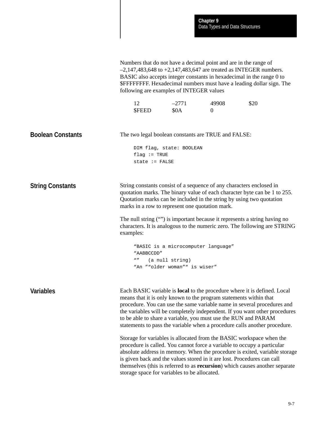| -12          | $-2771$ | 49908 | \$20 |
|--------------|---------|-------|------|
| <b>SFEED</b> | \$0A    |       |      |

The two legal boolean constants are TRUE and FALSE: DIM flag, state: BOOLEAN  $flag := TRUE$ state := FALSE String constants consist of a sequence of any characters enclosed in quotation marks. The binary value of each character byte can be 1 to 255. Quotation marks can be included in the string by using two quotation marks in a row to represent one quotation mark. The null string ("") is important because it represents a string having no characters. It is analogous to the numeric zero. The following are STRING examples: "BASIC is a microcomputer language" "AABBCCDD" "" (a null string) "An ""older woman"" is wiser" Each BASIC variable is **local** to the procedure where it is defined. Local means that it is only known to the program statements within that procedure. You can use the same variable name in several procedures and the variables will be completely independent. If you want other procedures to be able to share a variable, you must use the RUN and PARAM statements to pass the variable when a procedure calls another procedure. Storage for variables is allocated from the BASIC workspace when the procedure is called. You cannot force a variable to occupy a particular absolute address in memory. When the procedure is exited, variable storage is given back and the values stored in it are lost. Procedures can call themselves (this is referred to as **recursion**) which causes another separate storage space for variables to be allocated. **Boolean Constants String Constants Variables**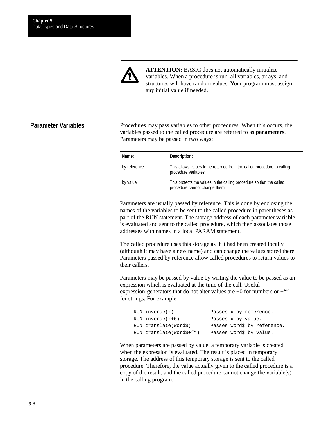

**ATTENTION:** BASIC does not automatically initialize variables. When a procedure is run, all variables, arrays, and structures will have random values. Your program must assign any initial value if needed.

### **Parameter Variables**

Procedures may pass variables to other procedures. When this occurs, the variables passed to the called procedure are referred to as **parameters**. Parameters may be passed in two ways:

| Name:        | Description:                                                                                          |
|--------------|-------------------------------------------------------------------------------------------------------|
| by reference | This allows values to be returned from the called procedure to calling<br>procedure variables.        |
| by value     | This protects the values in the calling procedure so that the called<br>procedure cannot change them. |

Parameters are usually passed by reference. This is done by enclosing the names of the variables to be sent to the called procedure in parentheses as part of the RUN statement. The storage address of each parameter variable is evaluated and sent to the called procedure, which then associates those addresses with names in a local PARAM statement.

The called procedure uses this storage as if it had been created locally (although it may have a new name) and can change the values stored there. Parameters passed by reference allow called procedures to return values to their callers.

Parameters may be passed by value by writing the value to be passed as an expression which is evaluated at the time of the call. Useful expression-generators that do not alter values are  $+0$  for numbers or  $+$ "" for strings. For example:

| RUN inverse(x)           | Passes x by reference.      |
|--------------------------|-----------------------------|
| $RUN$ inverse $(x+0)$    | Passes x by value.          |
| RUN translate(word\$)    | Passes word\$ by reference. |
| RUN translate(word\$+"") | Passes word\$ by value.     |

When parameters are passed by value, a temporary variable is created when the expression is evaluated. The result is placed in temporary storage. The address of this temporary storage is sent to the called procedure. Therefore, the value actually given to the called procedure is a copy of the result, and the called procedure cannot change the variable(s) in the calling program.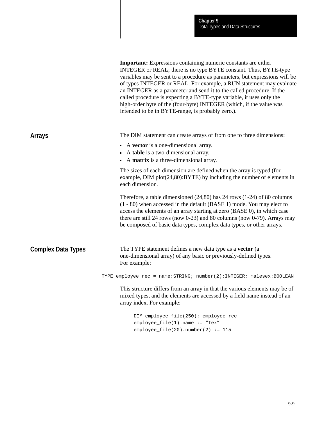|                           | <b>Important:</b> Expressions containing numeric constants are either<br>INTEGER or REAL; there is no type BYTE constant. Thus, BYTE-type<br>variables may be sent to a procedure as parameters, but expressions will be<br>of types INTEGER or REAL. For example, a RUN statement may evaluate<br>an INTEGER as a parameter and send it to the called procedure. If the<br>called procedure is expecting a BYTE-type variable, it uses only the<br>high-order byte of the (four-byte) INTEGER (which, if the value was<br>intended to be in BYTE-range, is probably zero.). |
|---------------------------|------------------------------------------------------------------------------------------------------------------------------------------------------------------------------------------------------------------------------------------------------------------------------------------------------------------------------------------------------------------------------------------------------------------------------------------------------------------------------------------------------------------------------------------------------------------------------|
| <b>Arrays</b>             | The DIM statement can create arrays of from one to three dimensions:                                                                                                                                                                                                                                                                                                                                                                                                                                                                                                         |
|                           | • A vector is a one-dimensional array.<br>A table is a two-dimensional array.<br>A matrix is a three-dimensional array.<br>$\blacksquare$                                                                                                                                                                                                                                                                                                                                                                                                                                    |
|                           | The sizes of each dimension are defined when the array is typed (for<br>example, $DIM plot(24,80):BYTE$ ) by including the number of elements in<br>each dimension.                                                                                                                                                                                                                                                                                                                                                                                                          |
|                           | Therefore, a table dimensioned $(24,80)$ has 24 rows $(1-24)$ of 80 columns<br>(1 - 80) when accessed in the default (BASE 1) mode. You may elect to<br>access the elements of an array starting at zero (BASE 0), in which case<br>there are still 24 rows (now $0-23$ ) and 80 columns (now $0-79$ ). Arrays may<br>be composed of basic data types, complex data types, or other arrays.                                                                                                                                                                                  |
| <b>Complex Data Types</b> | The TYPE statement defines a new data type as a vector (a<br>one-dimensional array) of any basic or previously-defined types.<br>For example:                                                                                                                                                                                                                                                                                                                                                                                                                                |
|                           | TYPE employee_rec = name: STRING; number(2): INTEGER; malesex: BOOLEAN                                                                                                                                                                                                                                                                                                                                                                                                                                                                                                       |
|                           | This structure differs from an array in that the various elements may be of<br>mixed types, and the elements are accessed by a field name instead of an<br>array index. For example:                                                                                                                                                                                                                                                                                                                                                                                         |
|                           | DIM employee_file(250): employee_rec<br>employee_file(1).name := "Tex"                                                                                                                                                                                                                                                                                                                                                                                                                                                                                                       |

employee\_file(20).number(2) := 115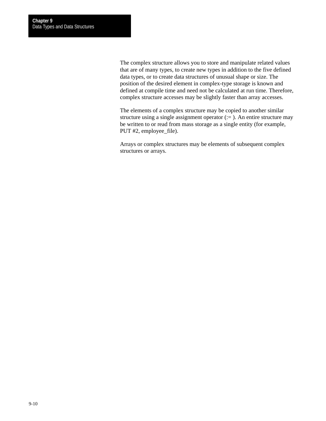The complex structure allows you to store and manipulate related values that are of many types, to create new types in addition to the five defined data types, or to create data structures of unusual shape or size. The position of the desired element in complex-type storage is known and defined at compile time and need not be calculated at run time. Therefore, complex structure accesses may be slightly faster than array accesses.

The elements of a complex structure may be copied to another similar structure using a single assignment operator  $(:=$  ). An entire structure may be written to or read from mass storage as a single entity (for example, PUT #2, employee\_file).

Arrays or complex structures may be elements of subsequent complex structures or arrays.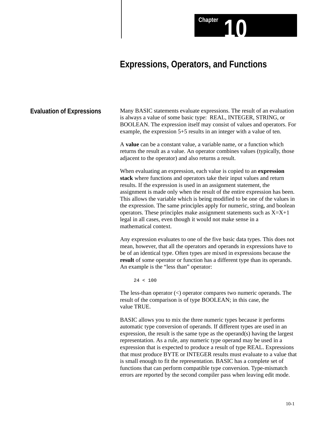# **Expressions, Operators, and Functions**

Chapter **10** 

Many BASIC statements evaluate expressions. The result of an evaluation is always a value of some basic type: REAL, INTEGER, STRING, or BOOLEAN. The expression itself may consist of values and operators. For example, the expression 5+5 results in an integer with a value of ten. **Evaluation of Expressions**

> A **value** can be a constant value, a variable name, or a function which returns the result as a value. An operator combines values (typically, those adjacent to the operator) and also returns a result.

> When evaluating an expression, each value is copied to an **expression stack** where functions and operators take their input values and return results. If the expression is used in an assignment statement, the assignment is made only when the result of the entire expression has been. This allows the variable which is being modified to be one of the values in the expression. The same principles apply for numeric, string, and boolean operators. These principles make assignment statements such as  $X=X+1$ legal in all cases, even though it would not make sense in a mathematical context.

> Any expression evaluates to one of the five basic data types. This does not mean, however, that all the operators and operands in expressions have to be of an identical type. Often types are mixed in expressions because the **result** of some operator or function has a different type than its operands. An example is the "less than" operator:

 $24 < 100$ 

The less-than operator (<) operator compares two numeric operands. The result of the comparison is of type BOOLEAN; in this case, the value TRUE.

BASIC allows you to mix the three numeric types because it performs automatic type conversion of operands. If different types are used in an expression, the result is the same type as the operand(s) having the largest representation. As a rule, any numeric type operand may be used in a expression that is expected to produce a result of type REAL. Expressions that must produce BYTE or INTEGER results must evaluate to a value that is small enough to fit the representation. BASIC has a complete set of functions that can perform compatible type conversion. Type-mismatch errors are reported by the second compiler pass when leaving edit mode.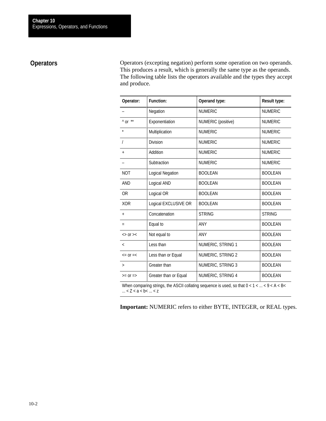# **Operators**

Operators (excepting negation) perform some operation on two operands. This produces a result, which is generally the same type as the operands. The following table lists the operators available and the types they accept and produce.

| Operator:                | <b>Function:</b>        | Operand type:      | <b>Result type:</b> |
|--------------------------|-------------------------|--------------------|---------------------|
|                          | Negation                | <b>NUMERIC</b>     | <b>NUMERIC</b>      |
| $^{\wedge}$ or $^{**}$   | Exponentiation          | NUMERIC (positive) | <b>NUMERIC</b>      |
| $\star$                  | Multiplication          | <b>NUMERIC</b>     | <b>NUMERIC</b>      |
|                          | <b>Division</b>         | <b>NUMERIC</b>     | <b>NUMERIC</b>      |
| $\ddot{}$                | Addition                | <b>NUMERIC</b>     | <b>NUMERIC</b>      |
|                          | Subtraction             | <b>NUMERIC</b>     | <b>NUMERIC</b>      |
| <b>NOT</b>               | <b>Logical Negation</b> | <b>BOOLEAN</b>     | <b>BOOLEAN</b>      |
| AND                      | Logical AND             | <b>BOOLEAN</b>     | <b>BOOLEAN</b>      |
| 0R                       | Logical OR              | <b>BOOLEAN</b>     | <b>BOOLEAN</b>      |
| <b>XOR</b>               | Logical EXCLUSIVE OR    | <b>BOOLEAN</b>     | <b>BOOLEAN</b>      |
| $+$                      | Concatenation           | <b>STRING</b>      | <b>STRING</b>       |
| $=$                      | Equal to                | <b>ANY</b>         | <b>BOOLEAN</b>      |
| $>>$ Or $>>$             | Not equal to            | ANY                | <b>BOOLEAN</b>      |
| $\overline{\phantom{a}}$ | Less than               | NUMERIC, STRING 1  | <b>BOOLEAN</b>      |
| $\leq$ = 0r = $\leq$     | Less than or Equal      | NUMERIC, STRING 2  | <b>BOOLEAN</b>      |
| $\geq$                   | Greater than            | NUMERIC, STRING 3  | <b>BOOLEAN</b>      |
| $>=$ Or $=$              | Greater than or Equal   | NUMERIC, STRING 4  | <b>BOOLEAN</b>      |

When comparing strings, the ASCII collating sequence is used, so that  $0 < 1 < ... < 9 < A < B$  $...$  <  $Z$  <  $a$  <  $b$  <  $...$  <  $z$ 

**Important:** NUMERIC refers to either BYTE, INTEGER, or REAL types.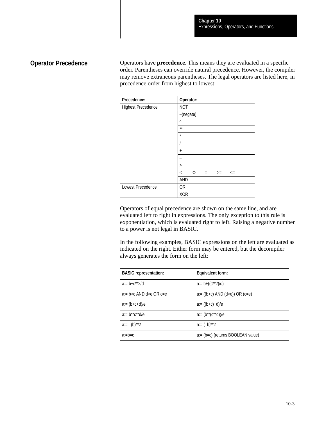# **Operator Precedence**

Operators have **precedence**. This means they are evaluated in a specific order. Parentheses can override natural precedence. However, the compiler may remove extraneous parentheses. The legal operators are listed here, in precedence order from highest to lowest:

| Precedence:               | Operator:                                                   |
|---------------------------|-------------------------------------------------------------|
| <b>Highest Precedence</b> | <b>NOT</b>                                                  |
|                           | -(negate)                                                   |
|                           | $\wedge$                                                    |
|                           | $**$                                                        |
|                           | $\star$                                                     |
|                           |                                                             |
|                           | $\overline{+}$                                              |
|                           |                                                             |
|                           | $\geq$                                                      |
|                           | $\boldsymbol{<}$<br>$\overline{a}$<br>$\leq$<br>$>=$<br>$=$ |
|                           | AND                                                         |
| <b>Lowest Precedence</b>  | <b>OR</b>                                                   |
|                           | <b>XOR</b>                                                  |

Operators of equal precedence are shown on the same line, and are evaluated left to right in expressions. The only exception to this rule is exponentiation, which is evaluated right to left. Raising a negative number to a power is not legal in BASIC.

In the following examples, BASIC expressions on the left are evaluated as indicated on the right. Either form may be entered, but the decompiler always generates the form on the left:

| <b>BASIC</b> representation:          | Equivalent form:                      |
|---------------------------------------|---------------------------------------|
| $a = h + c^{**}$                      | $a:= b+ ((c^{**}2)/d)$                |
| $a = b > c$ AND d $\geq e$ OR $c = e$ | $a = ((b>c)$ AND $(d>e)$ ) OR $(c=e)$ |
| $a = (b + c + d)/e$                   | $a = ((b+c)+d)/e$                     |
| $a = h^{**}c^{**}d/e$                 | $a = (b^{**}(c^{**}d))/e$             |
| $a:=-(b)**2$                          | $a:=(-b)**2$                          |
| $a:=b=c$                              | a:= (b=c) (returns BOOLEAN value)     |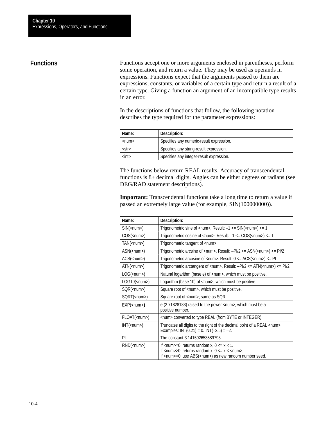# **Functions**

Functions accept one or more arguments enclosed in parentheses, perform some operation, and return a value. They may be used as operands in expressions. Functions expect that the arguments passed to them are expressions, constants, or variables of a certain type and return a result of a certain type. Giving a function an argument of an incompatible type results in an error.

In the descriptions of functions that follow, the following notation describes the type required for the parameter expressions:

| Name:       | Description:                             |
|-------------|------------------------------------------|
| $<$ num $>$ | Specifies any numeric-result expression. |
| $<$ str $>$ | Specifies any string-result expression.  |
| $<$ int $>$ | Specifies any integer-result expression. |

The functions below return REAL results. Accuracy of transcendental functions is 8+ decimal digits. Angles can be either degrees or radians (see DEG/RAD statement descriptions).

**Important:** Transcendental functions take a long time to return a value if passed an extremely large value (for example, SIN(100000000)).

| Name:                      | Description:                                                                                                                                                                                                                                                                                                                                        |
|----------------------------|-----------------------------------------------------------------------------------------------------------------------------------------------------------------------------------------------------------------------------------------------------------------------------------------------------------------------------------------------------|
| SIN( <num>)</num>          | Trigonometric sine of <num>. Result: <math>-1</math> &lt;= SIN(<num>) &lt;= 1</num></num>                                                                                                                                                                                                                                                           |
| $COS(\langle num \rangle)$ | Trigonometric cosine of <num>. Result: <math>-1 \leq COS(\langle num \rangle) \leq 1</math></num>                                                                                                                                                                                                                                                   |
| $TAN(<$ num $>$ )          | Trigonometric tangent of <num>.</num>                                                                                                                                                                                                                                                                                                               |
| ASN( <num>)</num>          | Trigonometric arcsine of <num>. Result: <math>-PI/2 \leq ASN</math>(<num>) &lt;= <math>PI/2</math></num></num>                                                                                                                                                                                                                                      |
| $ACS$ ( <num>)</num>       | Trigonometric arcosine of <num>. Result: <math>0 \leq ACS(\text{num}) \leq P1</math></num>                                                                                                                                                                                                                                                          |
| $ATN$ ( <num>)</num>       | Trigonometric arctangent of <num>. Result: <math>-PI/2 \leq ATN</math> (<num>) &lt;= <math>PI/2</math></num></num>                                                                                                                                                                                                                                  |
| LOG( <num>)</num>          | Natural logarithm (base e) of <num>, which must be positive.</num>                                                                                                                                                                                                                                                                                  |
| $LOG10(\nnum)$             | Logarithm (base 10) of <num>, which must be positive.</num>                                                                                                                                                                                                                                                                                         |
| SQR( <num>)</num>          | Square root of <num>, which must be positive.</num>                                                                                                                                                                                                                                                                                                 |
| SORT( <num>)</num>         | Square root of <num>; same as SQR.</num>                                                                                                                                                                                                                                                                                                            |
| EXP( <num>)</num>          | e (2.71828183) raised to the power <num>, which must be a<br/>positive number.</num>                                                                                                                                                                                                                                                                |
| FLOAT( <num>)</num>        | <num> converted to type REAL (from BYTE or INTEGER).</num>                                                                                                                                                                                                                                                                                          |
| INT( <num>)</num>          | Truncates all digits to the right of the decimal point of a REAL <num>.<br/>Examples: INT(0.21) = 0. INT(-2.5) = -2.</num>                                                                                                                                                                                                                          |
| PI                         | The constant 3.141592653589793.                                                                                                                                                                                                                                                                                                                     |
| $RND$ ( <num>)</num>       | If <num>=0, returns random <math>x, 0 \le x &lt; 1</math>.<br/>If <math>\langle</math>num<math>\rangle</math><math>&gt;</math>0, returns random x, 0 <math>\langle</math> = x <math>\langle</math> <math>\langle</math> <math>\rangle</math>num<math>\rangle</math>.<br/>If <num>&lt;0, use ABS(<num>) as new random number seed.</num></num></num> |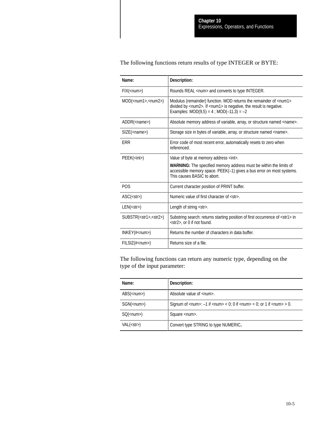# The following functions return results of type INTEGER or BYTE:

| Name:                             | Description:                                                                                                                                                                                                                        |
|-----------------------------------|-------------------------------------------------------------------------------------------------------------------------------------------------------------------------------------------------------------------------------------|
| $FIX$ ( <num>)</num>              | Rounds REAL <num> and converts to type INTEGER.</num>                                                                                                                                                                               |
| MOD( <num1>,<num2>)</num2></num1> | Modulus (remainder) function. MOD returns the remainder of <num1><br/>divided by <num2>. If <num1> is negative, the result is negative.<br/>Examples: <math>MOD(9,5) = 4</math>; <math>MOD(-11,3) = -2</math></num1></num2></num1>  |
| ADDR( <i>name</i> )               | Absolute memory address of variable, array, or structure named <name>.</name>                                                                                                                                                       |
| $SIZE$ ( <name>)</name>           | Storage size in bytes of variable, array, or structure named <name>.</name>                                                                                                                                                         |
| ERR                               | Error code of most recent error, automatically resets to zero when<br>referenced.                                                                                                                                                   |
| PEEK( <i>int</i> )                | Value of byte at memory address <int>.<br/><b>WARNING:</b> The specified memory address must be within the limits of<br/>accessible memory space. PEEK(-1) gives a bus error on most systems.<br/>This causes BASIC to abort.</int> |
| <b>POS</b>                        | Current character position of PRINT buffer.                                                                                                                                                                                         |
| $ASC(<$ str>)                     | Numeric value of first character of <str>.</str>                                                                                                                                                                                    |
| $LEN(<\text{str}>)$               | Length of string <str>.</str>                                                                                                                                                                                                       |
| SUBSTR(< str1>, str2)             | Substring search: returns starting position of first occurrence of <str1> in<br/><str2>, or 0 if not found.</str2></str1>                                                                                                           |
| $INKEY(\#)$                       | Returns the number of characters in data buffer.                                                                                                                                                                                    |
| $FILSIZ(\#)$                      | Returns size of a file.                                                                                                                                                                                                             |

The following functions can return any numeric type, depending on the type of the input parameter:

| Name:                     | Description:                                                                                                                                              |
|---------------------------|-----------------------------------------------------------------------------------------------------------------------------------------------------------|
| $\text{ABS}(\text{num})$  | Absolute value of <num>.</num>                                                                                                                            |
| $SGN$ ( <num>)</num>      | Signum of $\langle$ num $\rangle$ : $-1$ if $\langle$ num $\rangle$ $\langle$ 0; 0 if $\langle$ num $\rangle$ = 0; or 1 if $\langle$ num $\rangle$ $>$ 0. |
| $SO(\langle num \rangle)$ | Square <num>.</num>                                                                                                                                       |
| $VAL(< str$ )             | Convert type STRING to type NUMERIC.                                                                                                                      |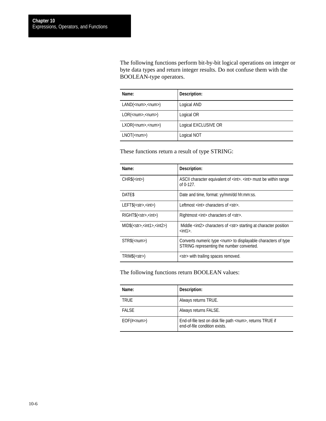The following functions perform bit-by-bit logical operations on integer or byte data types and return integer results. Do not confuse them with the BOOLEAN-type operators.

| Name:                           | Description:         |
|---------------------------------|----------------------|
| LAND( <num>sinum)</num>         | Logical AND          |
| $LOR($ , $\langle num \rangle)$ | Logical OR           |
| $LXOR($ , <num>)</num>          | Logical EXCLUSIVE OR |
| $LNOT$ ( <num>)</num>           | Logical NOT          |

These functions return a result of type STRING:

| Name:                                  | Description:                                                                                                              |
|----------------------------------------|---------------------------------------------------------------------------------------------------------------------------|
| $CHR$(int>)$                           | ASCII character equivalent of <int>. <int> must be within range<br/>of <math>0-127</math>.</int></int>                    |
| DATE\$                                 | Date and time, format: yy/mm/dd hh:mm:ss.                                                                                 |
| $LEFT$(<\nstrut str>0,<\nstrut sin t$  | Leftmost <int> characters of <str>.</str></int>                                                                           |
| $RIGHT$(<\nstrut str,<\nstrut sin t>)$ | Rightmost <int> characters of <str>.</str></int>                                                                          |
| $MID$(<\nstr\leq, <\nint1> <\nint2>)$  | Middle <int2> characters of <str> starting at character position<br/><math>&lt;</math>int1<math>&gt;</math>.</str></int2> |
| STR\$( <num>)</num>                    | Converts numeric type <num> to displayable characters of type<br/>STRING representing the number converted.</num>         |
| TRIM\$(< str\$)                        | <str> with trailing spaces removed.</str>                                                                                 |

The following functions return BOOLEAN values:

| Name:               | Description:                                                                                      |
|---------------------|---------------------------------------------------------------------------------------------------|
| <b>TRUE</b>         | Always returns TRUE.                                                                              |
| <b>FALSE</b>        | Always returns FALSE.                                                                             |
| $EOF(\#<$ num $>$ ) | End-of-file test on disk file path <num>, returns TRUE if<br/>end-of-file condition exists.</num> |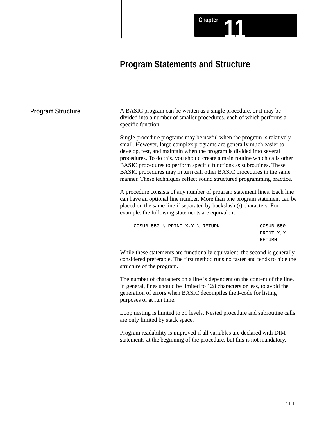# **Program Statements and Structure**

**Chapter** 

| <b>Program Structure</b> | A BASIC program can be written as a single procedure, or it may be<br>divided into a number of smaller procedures, each of which performs a<br>specific function.                                                                                                                                                                                                                                                                                                                                                              |                                   |
|--------------------------|--------------------------------------------------------------------------------------------------------------------------------------------------------------------------------------------------------------------------------------------------------------------------------------------------------------------------------------------------------------------------------------------------------------------------------------------------------------------------------------------------------------------------------|-----------------------------------|
|                          | Single procedure programs may be useful when the program is relatively<br>small. However, large complex programs are generally much easier to<br>develop, test, and maintain when the program is divided into several<br>procedures. To do this, you should create a main routine which calls other<br>BASIC procedures to perform specific functions as subroutines. These<br>BASIC procedures may in turn call other BASIC procedures in the same<br>manner. These techniques reflect sound structured programming practice. |                                   |
|                          | A procedure consists of any number of program statement lines. Each line<br>can have an optional line number. More than one program statement can be<br>placed on the same line if separated by backslash () characters. For<br>example, the following statements are equivalent:                                                                                                                                                                                                                                              |                                   |
|                          | GOSUB 550 \ PRINT X, Y \ RETURN                                                                                                                                                                                                                                                                                                                                                                                                                                                                                                | GOSUB 550<br>PRINT X, Y<br>RETURN |
|                          | While these statements are functionally equivalent, the second is generally<br>considered preferable. The first method runs no faster and tends to hide the<br>structure of the program.                                                                                                                                                                                                                                                                                                                                       |                                   |
|                          | The number of characters on a line is dependent on the content of the line.<br>In general, lines should be limited to 128 characters or less, to avoid the<br>generation of errors when BASIC decompiles the I-code for listing<br>purposes or at run time.                                                                                                                                                                                                                                                                    |                                   |
|                          | Loop nesting is limited to 39 levels. Nested procedure and subroutine calls<br>are only limited by stack space.                                                                                                                                                                                                                                                                                                                                                                                                                |                                   |
|                          | Program readability is improved if all variables are declared with DIM<br>statements at the beginning of the procedure, but this is not mandatory.                                                                                                                                                                                                                                                                                                                                                                             |                                   |
|                          |                                                                                                                                                                                                                                                                                                                                                                                                                                                                                                                                |                                   |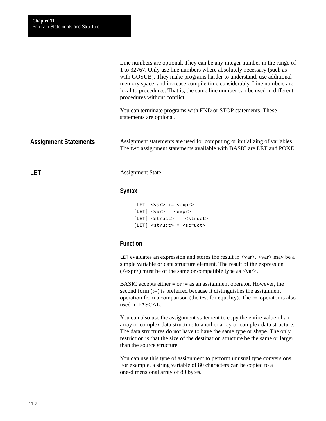|                              | Line numbers are optional. They can be any integer number in the range of<br>1 to 32767. Only use line numbers where absolutely necessary (such as<br>with GOSUB). They make programs harder to understand, use additional<br>memory space, and increase compile time considerably. Line numbers are<br>local to procedures. That is, the same line number can be used in different<br>procedures without conflict. |
|------------------------------|---------------------------------------------------------------------------------------------------------------------------------------------------------------------------------------------------------------------------------------------------------------------------------------------------------------------------------------------------------------------------------------------------------------------|
|                              | You can terminate programs with END or STOP statements. These<br>statements are optional.                                                                                                                                                                                                                                                                                                                           |
| <b>Assignment Statements</b> | Assignment statements are used for computing or initializing of variables.<br>The two assignment statements available with BASIC are LET and POKE.                                                                                                                                                                                                                                                                  |
| <b>LET</b>                   | <b>Assignment State</b>                                                                                                                                                                                                                                                                                                                                                                                             |

# **Syntax**

```
[LET] <var> := <expr>
[LET] <var> = <expr>
[LET] <struct> := <struct>
[LET] <struct> = <struct>
```
# **Function**

LET evaluates an expression and stores the result in  $\langle var \rangle$ .  $\langle var \rangle$  may be a simple variable or data structure element. The result of the expression  $(\langle \text{expr}\rangle)$  must be of the same or compatible type as  $\langle \text{var}\rangle$ .

BASIC accepts either = or **:**= as an assignment operator. However, the second form (:=) is preferred because it distinguishes the assignment operation from a comparison (the test for equality). The **:**= operator is also used in PASCAL.

You can also use the assignment statement to copy the entire value of an array or complex data structure to another array or complex data structure. The data structures do not have to have the same type or shape. The only restriction is that the size of the destination structure be the same or larger than the source structure.

You can use this type of assignment to perform unusual type conversions. For example, a string variable of 80 characters can be copied to a one-dimensional array of 80 bytes.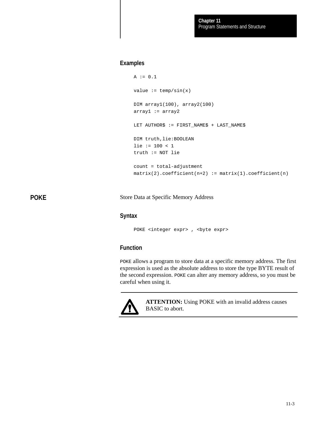# **Examples**

```
A := 0.1value := temp/sin(x)DIM array1(100), array2(100)
array1 := array2
LET AUTHOR$ := FIRST_NAME$ + LAST_NAME$
DIM truth,lie:BOOLEAN
lie := 100 < 1
truth := NOT lie
count = total-adjustment
matrix(2).coefficient(n+2) := matrix(1).coefficient(n)
```
**POKE**

Store Data at Specific Memory Address

#### **Syntax**

POKE <integer expr> , <br/> <br/>byte expr>

# **Function**

POKE allows a program to store data at a specific memory address. The first expression is used as the absolute address to store the type BYTE result of the second expression. POKE can alter any memory address, so you must be careful when using it.



**ATTENTION:** Using POKE with an invalid address causes BASIC to abort.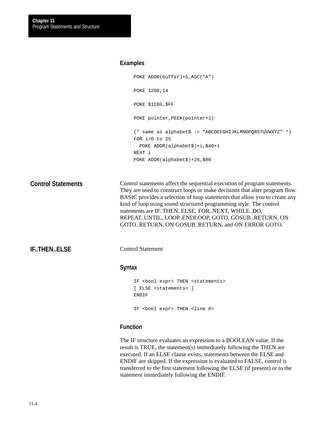#### **Examples**

```
POKE ADDR(buffer)+5,ASC("A")
     POKE 1200,14
     POKE $1C00,$FF
     POKE pointer, PEEK(pointer+1)
     (* same as alphabet$ := "ABCDEFGHIJKLMNOPQRSTUVWXYZ" *)
     FOR i=0 to 25
        POKE ADDR(alphabet$)+i,$40+i
     NEXT i
     POKE ADDR(alphabet$)+26,$00
Control statements affect the sequential execution of program statements.
```
They are used to construct loops or make decisions that alter program flow. BASIC provides a selection of loop statements that allow you to create any kind of loop using sound structured programming style. The control statements are IF..THEN..ELSE, FOR..NEXT, WHILE..DO, REPEAT..UNTIL, LOOP..ENDLOOP, GOTO, GOSUB..RETURN, ON GOTO..RETURN, ON GOSUB..RETURN, and ON ERROR GOTO. **Control Statements**

**IF..THEN..ELSE**

Control Statement

### **Syntax**

```
IF <bool expr> THEN <statements>
[ ELSE <statements> ]
ENDIF
IF <bool expr> THEN <line #>
```
# **Function**

The IF structure evaluates an expression to a BOOLEAN value. If the result is TRUE, the statement(s) immediately following the THEN are executed. If an ELSE clause exists, statements between the ELSE and ENDIF are skipped. If the expression is evaluated to FALSE, control is transferred to the first statement following the ELSE (if present) or to the statement immediately following the ENDIF.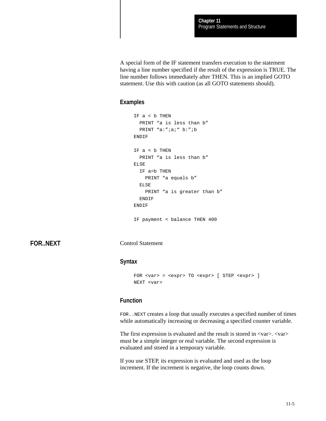A special form of the IF statement transfers execution to the statement having a line number specified if the result of the expression is TRUE. The line number follows immediately after THEN. This is an implied GOTO statement. Use this with caution (as all GOTO statements should).

# **Examples**

```
IF a < b THEN
  PRINT "a is less than b"
 PRINT "a:";a;" b:";b
ENDIF
IF a < b THEN
  PRINT "a is less than b"
ELSE
   IF a=b THEN
    PRINT "a equals b"
  ELSE
   PRINT "a is greater than b"
 ENDIF
ENDIF
```
IF payment < balance THEN 400

**FOR..NEXT**

Control Statement

#### **Syntax**

```
FOR <var> = <expr> TO <expr> [ STEP <expr> ]
NEXT <var>
```
# **Function**

FOR..NEXT creates a loop that usually executes a specified number of times while automatically increasing or decreasing a specified counter variable.

The first expression is evaluated and the result is stored in  $\langle var \rangle$ .  $\langle var \rangle$ must be a simple integer or real variable. The second expression is evaluated and stored in a temporary variable.

If you use STEP, its expression is evaluated and used as the loop increment. If the increment is negative, the loop counts down.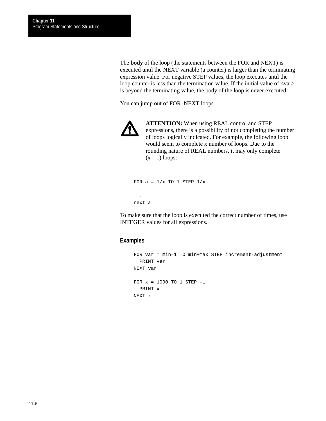The **body** of the loop (the statements between the FOR and NEXT) is executed until the NEXT variable (a counter) is larger than the terminating expression value. For negative STEP values, the loop executes until the loop counter is less than the termination value. If the initial value of  $\langle var \rangle$ is beyond the terminating value, the body of the loop is never executed.

You can jump out of FOR..NEXT loops.



**ATTENTION:** When using REAL control and STEP expressions, there is a possibility of not completing the number of loops logically indicated. For example, the following loop would seem to complete x number of loops. Due to the rounding nature of REAL numbers, it may only complete  $(x - 1)$  loops:

FOR  $a = 1/x$  TO 1 STEP  $1/x$  . . next a

To make sure that the loop is executed the correct number of times, use INTEGER values for all expressions.

```
FOR var = min–1 TO min+max STEP increment-adjustment
   PRINT var
NEXT var
FOR x = 1000 TO 1 STEP –1
   PRINT x
NEXT x
```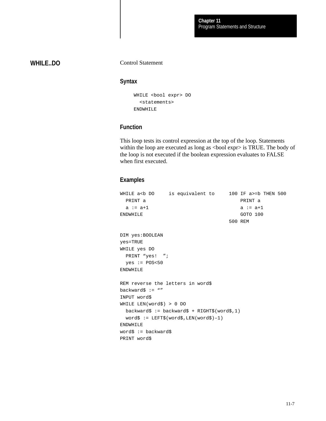# **WHILE..DO**

### Control Statement

# **Syntax**

```
WHILE <bool expr> DO
   <statements>
ENDWHILE
```
# **Function**

This loop tests its control expression at the top of the loop. Statements within the loop are executed as long as <br/> <br/> <br/>expr> is TRUE. The body of the loop is not executed if the boolean expression evaluates to FALSE when first executed.

| WHILE a <b 100="" a="" do="" equivalent="" if="" is="" to="">=b THEN 500</b> |                                              |              |  |
|------------------------------------------------------------------------------|----------------------------------------------|--------------|--|
| PRINT a                                                                      |                                              | PRINT a      |  |
| a := a+1                                                                     |                                              | $a := a + 1$ |  |
| <b>ENDWHILE</b>                                                              |                                              | GOTO 100     |  |
|                                                                              |                                              | 500 REM      |  |
| DIM yes: BOOLEAN                                                             |                                              |              |  |
| $yes = TRUE$                                                                 |                                              |              |  |
| WHILE yes DO                                                                 |                                              |              |  |
| PRINT "yes! ";                                                               |                                              |              |  |
| yes := POS<50                                                                |                                              |              |  |
| <b>ENDWHILE</b>                                                              |                                              |              |  |
| REM reverse the letters in word\$                                            |                                              |              |  |
| backward\$ := $"$                                                            |                                              |              |  |
| INPUT word\$                                                                 |                                              |              |  |
| WHILE LEN(word\$) > $0$ DO                                                   |                                              |              |  |
|                                                                              | backward\$ := backward\$ + RIGHT\$(word\$,1) |              |  |
|                                                                              | $word$ := LEFT$(words, LEN(word$) -1)$       |              |  |
| <b>ENDWHILE</b>                                                              |                                              |              |  |
| $word$ := backward$$                                                         |                                              |              |  |
| PRINT word\$                                                                 |                                              |              |  |
|                                                                              |                                              |              |  |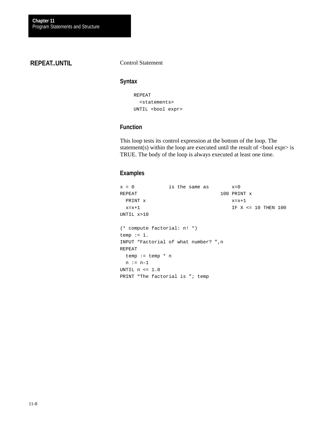# **REPEAT..UNTIL**

#### Control Statement

#### **Syntax**

```
REPEAT
   <statements>
UNTIL <bool expr>
```
# **Function**

This loop tests its control expression at the bottom of the loop. The statement(s) within the loop are executed until the result of  $\langle$ bool expr $\rangle$  is TRUE. The body of the loop is always executed at least one time.

```
x = 0 is the same as x=0REPEAT 100 PRINT x
 PRINT x = x+1x=x+1 IF X <= 10 THEN 100
UNTIL x>10
(* compute factorial: n! *)
temp := 1.
INPUT "Factorial of what number? ",n
REPEAT
  temp := temp * n
 n := n-1UNTIL n \leq 1.0PRINT "The factorial is "; temp
```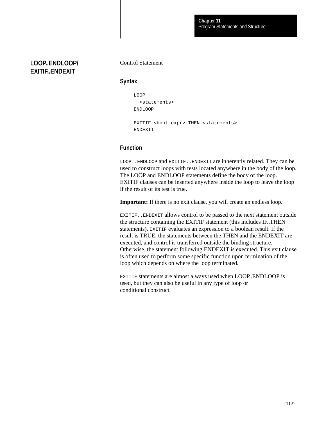**LOOP..ENDLOOP/ EXITIF..ENDEXIT**

#### Control Statement

#### **Syntax**

```
LOOP
   <statements>
ENDLOOP
```

```
EXITIF <bool expr> THEN <statements>
ENDEXIT
```
# **Function**

LOOP..ENDLOOP and EXITIF..ENDEXIT are inherently related. They can be used to construct loops with tests located anywhere in the body of the loop. The LOOP and ENDLOOP statements define the body of the loop. EXITIF clauses can be inserted anywhere inside the loop to leave the loop if the result of its test is true.

**Important:** If there is no exit clause, you will create an endless loop.

EXITIF..ENDEXIT allows control to be passed to the next statement outside the structure containing the EXITIF statement (this includes IF..THEN statements). EXITIF evaluates an expression to a boolean result. If the result is TRUE, the statements between the THEN and the ENDEXIT are executed, and control is transferred outside the binding structure. Otherwise, the statement following ENDEXIT is executed. This exit clause is often used to perform some specific function upon termination of the loop which depends on where the loop terminated.

EXITIF statements are almost always used when LOOP..ENDLOOP is used, but they can also be useful in any type of loop or conditional construct.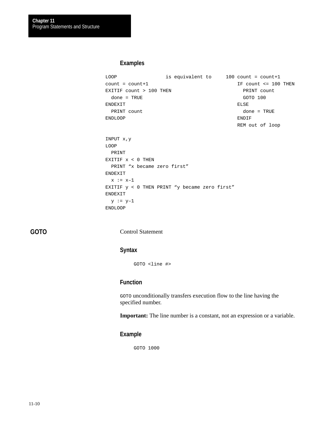# **Examples**

```
LOOP is equivalent to 100 count = count+1
count = count+1 IF count <= 100 THEN
EXITIF count > 100 THEN PRINT count
 done = TRUE GOTO 100
ENDEXIT ELSE
PRINT count done = TRUE
ENDLOOP ENDIF
                             REM out of loop
INPUT x,y
LOOP
  PRINT
EXITIF x < 0 THEN
  PRINT "x became zero first"
ENDEXIT
 x := x-1EXITIF y < 0 THEN PRINT "y became zero first"
ENDEXIT
 y := y-1ENDLOOP
```
**GOTO**

Control Statement

### **Syntax**

GOTO <line #>

# **Function**

GOTO unconditionally transfers execution flow to the line having the specified number.

**Important:** The line number is a constant, not an expression or a variable.

#### **Example**

GOTO 1000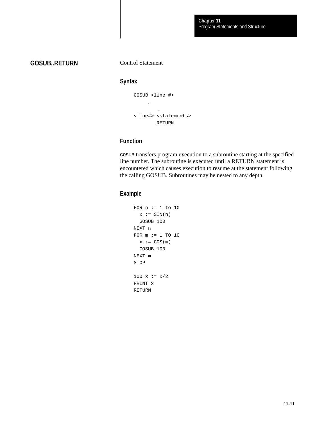**GOSUB..RETURN**

Control Statement

#### **Syntax**

GOSUB <line #> . . <line#> <statements> RETURN

# **Function**

GOSUB transfers program execution to a subroutine starting at the specified line number. The subroutine is executed until a RETURN statement is encountered which causes execution to resume at the statement following the calling GOSUB. Subroutines may be nested to any depth.

```
FOR n := 1 to 10
  x := \text{SIM}(n) GOSUB 100
NEXT n
FOR m := 1 TO 10
  x := \cos(m) GOSUB 100
NEXT m
STOP
100 x := x/2PRINT x
RETURN
```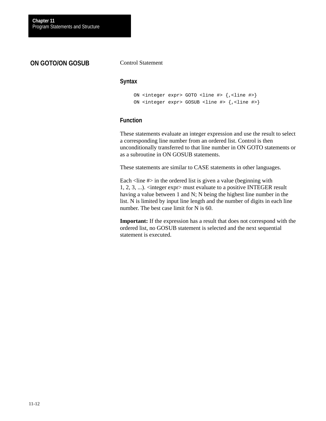# **ON GOTO/ON GOSUB**

#### Control Statement

#### **Syntax**

```
ON <integer expr> GOTO <line #> {,<line #>}
ON <integer expr> GOSUB <line #> {,<line #>}
```
# **Function**

These statements evaluate an integer expression and use the result to select a corresponding line number from an ordered list. Control is then unconditionally transferred to that line number in ON GOTO statements or as a subroutine in ON GOSUB statements.

These statements are similar to CASE statements in other languages.

Each  $\langle$ line # $\rangle$  in the ordered list is given a value (beginning with 1, 2, 3, ...). <integer expr> must evaluate to a positive INTEGER result having a value between 1 and N; N being the highest line number in the list. N is limited by input line length and the number of digits in each line number. The best case limit for N is 60.

**Important:** If the expression has a result that does not correspond with the ordered list, no GOSUB statement is selected and the next sequential statement is executed.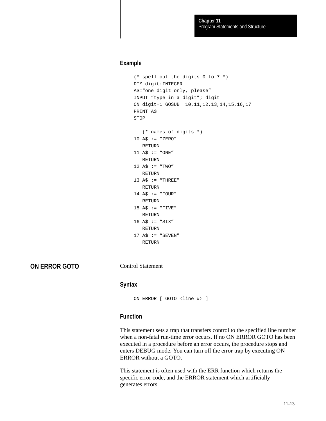# **Example**

```
(* spell out the digits 0 to 7 *)
DIM digit:INTEGER
A$="one digit only, please"
INPUT "type in a digit"; digit
ON digit+1 GOSUB 10,11,12,13,14,15,16,17
PRINT A$
STOP
    (* names of digits *)
10 A$ := "ZERO"
   RETURN
11 A$ := "ONE"
   RETURN
12 A$ := "TWO"
   RETURN
13 A$ := "THREE"
   RETURN
14 A$ := "FOUR"
   RETURN
15 A$ := "FIVE" RETURN
16 A$ := "SIX"
   RETURN
17 A$ := "SEVEN"
   RETURN
```
**ON ERROR GOTO**

Control Statement

#### **Syntax**

```
ON ERROR [ GOTO <line #> ]
```
# **Function**

This statement sets a trap that transfers control to the specified line number when a non-fatal run-time error occurs. If no ON ERROR GOTO has been executed in a procedure before an error occurs, the procedure stops and enters DEBUG mode. You can turn off the error trap by executing ON ERROR without a GOTO.

This statement is often used with the ERR function which returns the specific error code, and the ERROR statement which artificially generates errors.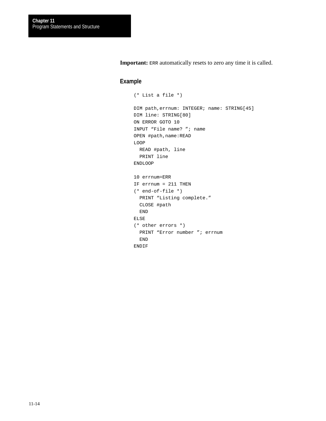**Important:** ERR automatically resets to zero any time it is called.

```
(* List a file *)
DIM path,errnum: INTEGER; name: STRING[45]
DIM line: STRING[80]
ON ERROR GOTO 10
INPUT "File name? "; name
OPEN #path,name:READ
LOOP
  READ #path, line
  PRINT line
ENDLOOP
10 errnum=ERR
IF errnum = 211 THEN
(* end-of-file *)
  PRINT "Listing complete."
  CLOSE #path
   END
ELSE
(* other errors *)
   PRINT "Error number "; errnum
   END
ENDIF
```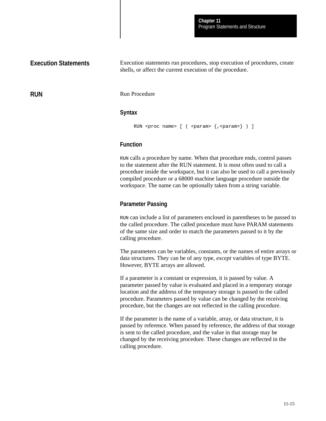# **Execution Statements**

Execution statements run procedures, stop execution of procedures, create shells, or affect the current execution of the procedure.

**RUN**

Run Procedure

#### **Syntax**

```
RUN <proc name> [ ( <param> {, <param>} ) ]
```
# **Function**

RUN calls a procedure by name. When that procedure ends, control passes to the statement after the RUN statement. It is most often used to call a procedure inside the workspace, but it can also be used to call a previously compiled procedure or a 68000 machine language procedure outside the workspace. The name can be optionally taken from a string variable.

# **Parameter Passing**

RUN can include a list of parameters enclosed in parentheses to be passed to the called procedure. The called procedure must have PARAM statements of the same size and order to match the parameters passed to it by the calling procedure.

The parameters can be variables, constants, or the names of entire arrays or data structures. They can be of any type, *except* variables of type BYTE. However, BYTE arrays are allowed.

If a parameter is a constant or expression, it is passed by value. A parameter passed by value is evaluated and placed in a temporary storage location and the address of the temporary storage is passed to the called procedure. Parameters passed by value can be changed by the receiving procedure, but the changes are not reflected in the calling procedure.

If the parameter is the name of a variable, array, or data structure, it is passed by reference. When passed by reference, the address of that storage is sent to the called procedure, and the value in that storage may be changed by the receiving procedure. These changes are reflected in the calling procedure.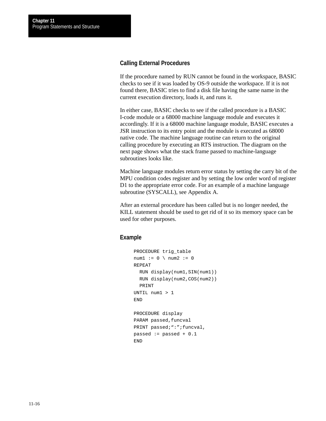# **Calling External Procedures**

If the procedure named by RUN cannot be found in the workspace, BASIC checks to see if it was loaded by OS-9 outside the workspace. If it is not found there, BASIC tries to find a disk file having the same name in the current execution directory, loads it, and runs it.

In either case, BASIC checks to see if the called procedure is a BASIC I-code module or a 68000 machine language module and executes it accordingly. If it is a 68000 machine language module, BASIC executes a JSR instruction to its entry point and the module is executed as 68000 native code. The machine language routine can return to the original calling procedure by executing an RTS instruction. The diagram on the next page shows what the stack frame passed to machine-language subroutines looks like.

Machine language modules return error status by setting the carry bit of the MPU condition codes register and by setting the low order word of register D1 to the appropriate error code. For an example of a machine language subroutine (SYSCALL), see Appendix A.

After an external procedure has been called but is no longer needed, the KILL statement should be used to get rid of it so its memory space can be used for other purposes.

```
PROCEDURE trig table
num1 := 0 \setminus num2 := 0REPEAT
   RUN display(num1,SIN(num1))
  RUN display(num2,COS(num2))
   PRINT
UNTIL num1 > 1
END
PROCEDURE display
PARAM passed, funcval
PRINT passed; ": "; funcval,
passed := passed +0.1END
```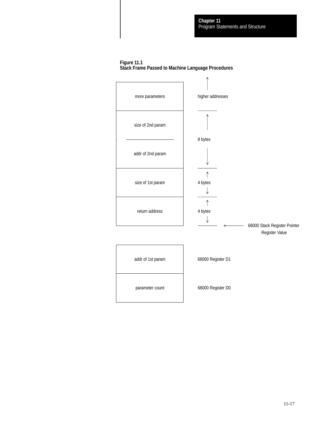#### **Figure 11.1 Stack Frame Passed to Machine Language Procedures**

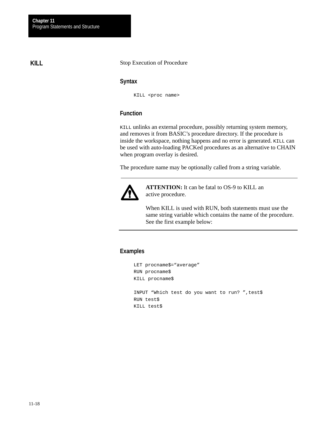# **KILL**

# Stop Execution of Procedure

### **Syntax**

KILL <proc name>

# **Function**

KILL unlinks an external procedure, possibly returning system memory, and removes it from BASIC's procedure directory. If the procedure is inside the workspace, nothing happens and no error is generated. KILL can be used with auto-loading PACKed procedures as an alternative to CHAIN when program overlay is desired.

The procedure name may be optionally called from a string variable.



**ATTENTION:** It can be fatal to OS-9 to KILL an active procedure.

When KILL is used with RUN, both statements must use the same string variable which contains the name of the procedure. See the first example below:

```
LET procname$="average"
RUN procname$
KILL procname$
INPUT "Which test do you want to run? ",test$
RUN test$
KILL test$
```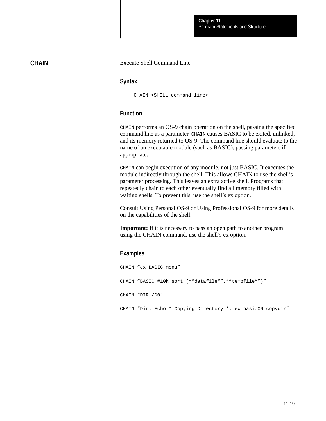# **CHAIN**

#### Execute Shell Command Line

#### **Syntax**

CHAIN <SHELL command line>

## **Function**

CHAIN performs an OS-9 chain operation on the shell, passing the specified command line as a parameter. CHAIN causes BASIC to be exited, unlinked, and its memory returned to OS-9. The command line should evaluate to the name of an executable module (such as BASIC), passing parameters if appropriate.

CHAIN can begin execution of any module, not just BASIC. It executes the module indirectly through the shell. This allows CHAIN to use the shell's parameter processing. This leaves an extra active shell. Programs that repeatedly chain to each other eventually find all memory filled with waiting shells. To prevent this, use the shell's ex option.

Consult Using Personal OS-9 or Using Professional OS-9 for more details on the capabilities of the shell.

**Important:** If it is necessary to pass an open path to another program using the CHAIN command, use the shell's ex option.

#### **Examples**

CHAIN "ex BASIC menu" CHAIN "BASIC #10k sort (""datafile"", ""tempfile"")" CHAIN "DIR /D0" CHAIN "Dir; Echo \* Copying Directory \*; ex basic09 copydir"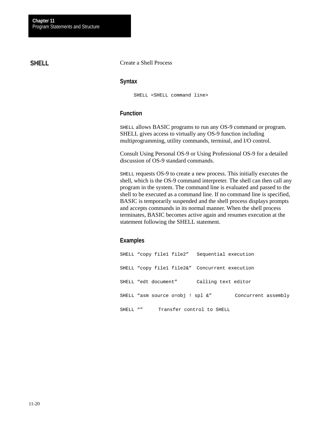# **SHELL**

Create a Shell Process

# **Syntax**

SHELL <SHELL command line>

# **Function**

SHELL allows BASIC programs to run any OS-9 command or program. SHELL gives access to virtually any OS-9 function including multiprogramming, utility commands, terminal, and I/O control.

Consult Using Personal OS-9 or Using Professional OS-9 for a detailed discussion of OS-9 standard commands.

SHELL requests OS-9 to create a new process. This initially executes the shell, which is the OS-9 command interpreter. The shell can then call any program in the system. The command line is evaluated and passed to the shell to be executed as a command line. If no command line is specified, BASIC is temporarily suspended and the shell process displays prompts and accepts commands in its normal manner. When the shell process terminates, BASIC becomes active again and resumes execution at the statement following the SHELL statement.

# **Examples**

SHELL "copy file1 file2" Sequential execution SHELL "copy file1 file2&" Concurrent execution SHELL "edt document" Calling text editor SHELL "asm source o=obj ! spl &" Concurrent assembly SHELL "" Transfer control to SHELL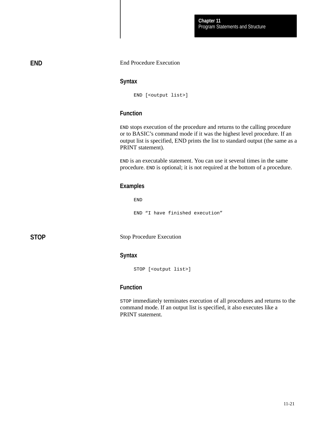#### End Procedure Execution

#### **Syntax**

END [<output list>]

# **Function**

END stops execution of the procedure and returns to the calling procedure or to BASIC's command mode if it was the highest level procedure. If an output list is specified, END prints the list to standard output (the same as a PRINT statement).

END is an executable statement. You can use it several times in the same procedure. END is optional; it is not required at the bottom of a procedure.

#### **Examples**

END

END "I have finished execution"

**STOP**

**END**

Stop Procedure Execution

### **Syntax**

STOP [<output list>]

# **Function**

STOP immediately terminates execution of all procedures and returns to the command mode. If an output list is specified, it also executes like a PRINT statement.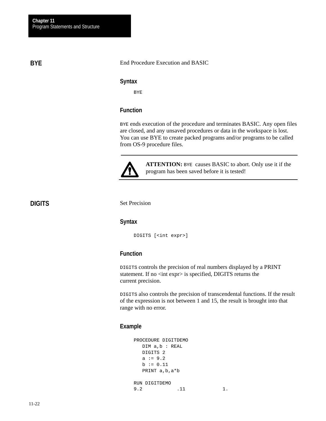# **BYE**

#### End Procedure Execution and BASIC

#### **Syntax**

BYE

# **Function**

BYE ends execution of the procedure and terminates BASIC. Any open files are closed, and any unsaved procedures or data in the workspace is lost. You can use BYE to create packed programs and/or programs to be called from OS-9 procedure files.



**ATTENTION:** BYE causes BASIC to abort. Only use it if the program has been saved before it is tested!

# **DIGITS**

Set Precision

# **Syntax**

DIGITS [<int expr>]

# **Function**

DIGITS controls the precision of real numbers displayed by a PRINT statement. If no <int expr> is specified, DIGITS returns the current precision.

DIGITS also controls the precision of transcendental functions. If the result of the expression is not between 1 and 15, the result is brought into that range with no error.

```
PROCEDURE DIGITDEMO
   DIM a,b : REAL
   DIGITS 2
  a := 9.2b := 0.11 PRINT a,b,a*b
RUN DIGITDEMO
9.2 .11 1.
```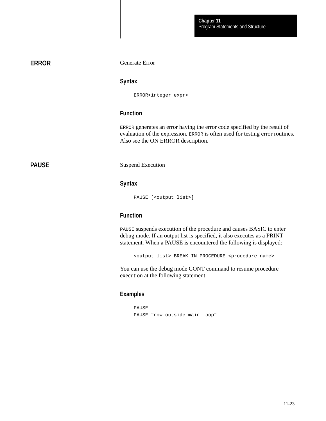# **ERROR**

Generate Error

#### **Syntax**

ERROR<integer expr>

# **Function**

ERROR generates an error having the error code specified by the result of evaluation of the expression. ERROR is often used for testing error routines. Also see the ON ERROR description.

# **PAUSE**

Suspend Execution

#### **Syntax**

PAUSE [<output list>]

# **Function**

PAUSE suspends execution of the procedure and causes BASIC to enter debug mode. If an output list is specified, it also executes as a PRINT statement. When a PAUSE is encountered the following is displayed:

<output list> BREAK IN PROCEDURE <procedure name>

You can use the debug mode CONT command to resume procedure execution at the following statement.

#### **Examples**

PAUSE PAUSE "now outside main loop"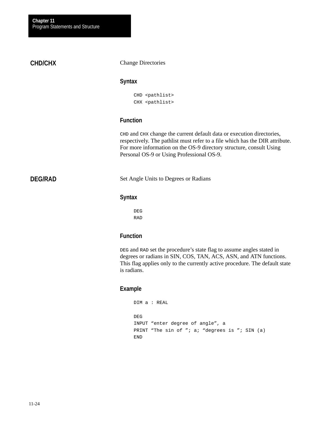# **CHD/CHX**

### Change Directories

### **Syntax**

CHD <pathlist> CHX <pathlist>

# **Function**

CHD and CHX change the current default data or execution directories, respectively. The pathlist must refer to a file which has the DIR attribute. For more information on the OS-9 directory structure, consult Using Personal OS-9 or Using Professional OS-9.

# **DEG/RAD**

Set Angle Units to Degrees or Radians

# **Syntax**

DEG RAD

# **Function**

DEG and RAD set the procedure's state flag to assume angles stated in degrees or radians in SIN, COS, TAN, ACS, ASN, and ATN functions. This flag applies only to the currently active procedure. The default state is radians.

```
DIM a : REAL
DEG
INPUT "enter degree of angle", a
PRINT "The sin of "; a; "degrees is "; SIN (a)
END
```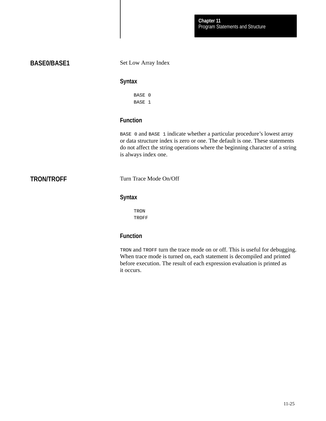# **BASE0/BASE1**

Set Low Array Index

#### **Syntax**

BASE 0 BASE 1

# **Function**

BASE 0 and BASE 1 indicate whether a particular procedure's lowest array or data structure index is zero or one. The default is one. These statements do not affect the string operations where the beginning character of a string is always index one.

# **TRON/TROFF**

Turn Trace Mode On/Off

# **Syntax**

TRON TROFF

# **Function**

TRON and TROFF turn the trace mode on or off. This is useful for debugging. When trace mode is turned on, each statement is decompiled and printed before execution. The result of each expression evaluation is printed as it occurs.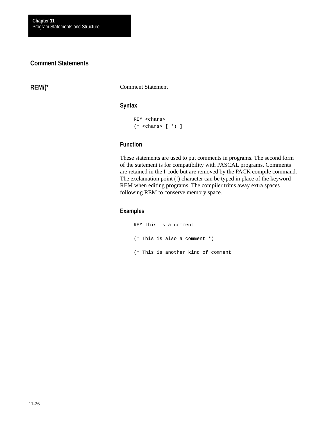# **Comment Statements**

**REM/(\***

Comment Statement

# **Syntax**

```
REM <chars>
(* <chars> [ *) ]
```
# **Function**

These statements are used to put comments in programs. The second form of the statement is for compatibility with PASCAL programs. Comments are retained in the I-code but are removed by the PACK compile command. The exclamation point (!) character can be typed in place of the keyword REM when editing programs. The compiler trims away extra spaces following REM to conserve memory space.

### **Examples**

REM this is a comment (\* This is also a comment \*) (\* This is another kind of comment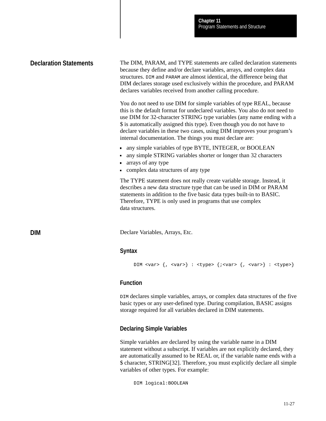# **Declaration Statements**

**DIM**

The DIM, PARAM, and TYPE statements are called declaration statements because they define and/or declare variables, arrays, and complex data structures. DIM and PARAM are almost identical, the difference being that DIM declares storage used exclusively within the procedure, and PARAM declares variables received from another calling procedure.

You do not need to use DIM for simple variables of type REAL, because this is the default format for undeclared variables. You also do not need to use DIM for 32-character STRING type variables (any name ending with a \$ is automatically assigned this type). Even though you do not have to declare variables in these two cases, using DIM improves your program's internal documentation. The things you must declare are:

- any simple variables of type BYTE, INTEGER, or BOOLEAN
- any simple STRING variables shorter or longer than 32 characters
- arrays of any type
- complex data structures of any type

The TYPE statement does not really create variable storage. Instead, it describes a new data structure type that can be used in DIM or PARAM statements in addition to the five basic data types built-in to BASIC. Therefore, TYPE is only used in programs that use complex data structures.

Declare Variables, Arrays, Etc.

# **Syntax**

```
DIM <var> \{ , \text{vars} \} : \text{type} \ \{ ; \text{vars} \} : \text{vars} \
```
# **Function**

DIM declares simple variables, arrays, or complex data structures of the five basic types or any user-defined type. During compilation, BASIC assigns storage required for all variables declared in DIM statements.

# **Declaring Simple Variables**

Simple variables are declared by using the variable name in a DIM statement without a subscript. If variables are not explicitly declared, they are automatically assumed to be REAL or, if the variable name ends with a \$ character, STRING[32]. Therefore, you must explicitly declare all simple variables of other types. For example:

DIM logical:BOOLEAN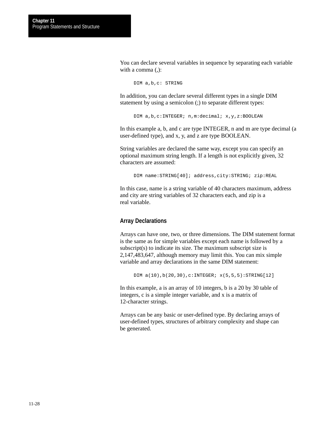You can declare several variables in sequence by separating each variable with a comma (,):

DIM a,b,c: STRING

In addition, you can declare several different types in a single DIM statement by using a semicolon (;) to separate different types:

DIM a, b, c: INTEGER; n, m: decimal; x, y, z: BOOLEAN

In this example a, b, and c are type INTEGER, n and m are type decimal (a user-defined type), and x, y, and z are type BOOLEAN.

String variables are declared the same way, except you can specify an optional maximum string length. If a length is not explicitly given, 32 characters are assumed:

DIM name:STRING[40]; address,city:STRING; zip:REAL

In this case, name is a string variable of 40 characters maximum, address and city are string variables of 32 characters each, and zip is a real variable.

#### **Array Declarations**

Arrays can have one, two, or three dimensions. The DIM statement format is the same as for simple variables except each name is followed by a subscript(s) to indicate its size. The maximum subscript size is 2,147,483,647, although memory may limit this. You can mix simple variable and array declarations in the same DIM statement:

DIM  $a(10)$ , $b(20,30)$ , $c:INTER: x(5,5,5): STRING[12]$ 

In this example, a is an array of 10 integers, b is a 20 by 30 table of integers, c is a simple integer variable, and x is a matrix of 12-character strings.

Arrays can be any basic or user-defined type. By declaring arrays of user-defined types, structures of arbitrary complexity and shape can be generated.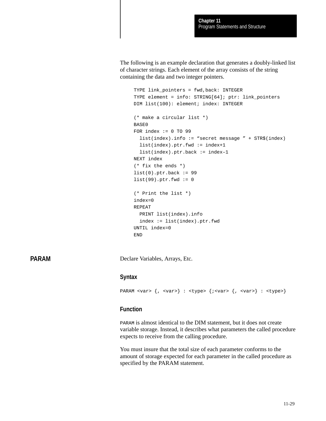The following is an example declaration that generates a doubly-linked list of character strings. Each element of the array consists of the string containing the data and two integer pointers.

```
TYPE link_pointers = fwd,back: INTEGER
TYPE element = info: STRING[64]; ptr: link_pointers
DIM list(100): element; index: INTEGER
(* make a circular list *)
BASE0
FOR index := 0 TO 99
   list(index).info := "secret message " + STR$(index)
   list(index).ptr.fwd := index+1
   list(index).ptr.back := index–1
NEXT index
(* fix the ends *)
list(0).ptr.back := 99list(99).ptr.fwd := 0(* Print the list *)
index=0
REPEAT
   PRINT list(index).info
   index := list(index).ptr.fwd
UNTIL index=0
END
```
**PARAM**

Declare Variables, Arrays, Etc.

#### **Syntax**

```
PARAM <var> \{ , \text{vars} \} : \text{type} > \{ ; \text{vars} \} : \text{vars} \} : \text{type}
```
#### **Function**

PARAM is almost identical to the DIM statement, but it does not create variable storage. Instead, it describes what parameters the called procedure expects to receive from the calling procedure.

You must insure that the total size of each parameter conforms to the amount of storage expected for each parameter in the called procedure as specified by the PARAM statement.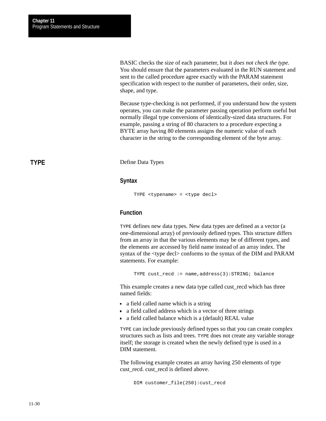BASIC checks the size of each parameter, but it *does not check the type*. You should ensure that the parameters evaluated in the RUN statement and sent to the called procedure agree exactly with the PARAM statement specification with respect to the number of parameters, their order, size, shape, and type.

Because type-checking is not performed, if you understand how the system operates, you can make the parameter passing operation perform useful but normally illegal type conversions of identically-sized data structures. For example, passing a string of 80 characters to a procedure expecting a BYTE array having 80 elements assigns the numeric value of each character in the string to the corresponding element of the byte array.

Define Data Types

#### **Syntax**

```
TYPE <typename> = <type decl>
```
# **Function**

TYPE defines new data types. New data types are defined as a vector (a one-dimensional array) of previously defined types. This structure differs from an array in that the various elements may be of different types, and the elements are accessed by field name instead of an array index. The syntax of the <type decl> conforms to the syntax of the DIM and PARAM statements. For example:

TYPE cust\_recd := name,address(3):STRING; balance

This example creates a new data type called cust\_recd which has three named fields:

- a field called name which is a string
- a field called address which is a vector of three strings
- a field called balance which is a (default) REAL value

TYPE can include previously defined types so that you can create complex structures such as lists and trees. TYPE does not create any variable storage itself; the storage is created when the newly defined type is used in a DIM statement.

The following example creates an array having 250 elements of type cust\_recd. cust\_recd is defined above.

DIM customer\_file(250):cust\_recd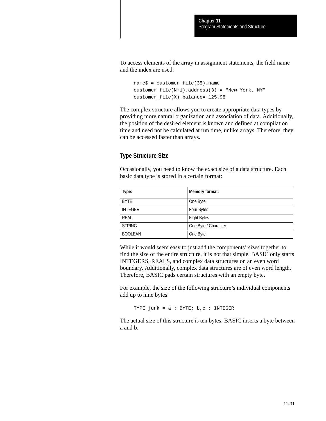To access elements of the array in assignment statements, the field name and the index are used:

```
name$ = customer file(35).name
customer_file(N+1).address(3) = "New York, NY"
customer_file(X).balance= 125.98
```
The complex structure allows you to create appropriate data types by providing more natural organization and association of data. Additionally, the position of the desired element is known and defined at compilation time and need not be calculated at run time, unlike arrays. Therefore, they can be accessed faster than arrays.

# **Type Structure Size**

Occasionally, you need to know the exact size of a data structure. Each basic data type is stored in a certain format:

| Type:          | Memory format:       |
|----------------|----------------------|
| <b>BYTE</b>    | One Byte             |
| <b>INTEGER</b> | <b>Four Bytes</b>    |
| REAL           | <b>Eight Bytes</b>   |
| <b>STRING</b>  | One Byte / Character |
| <b>BOOLEAN</b> | One Byte             |

While it would seem easy to just add the components' sizes together to find the size of the entire structure, it is not that simple. BASIC only starts INTEGERS, REALS, and complex data structures on an even word boundary. Additionally, complex data structures are of even word length. Therefore, BASIC pads certain structures with an empty byte.

For example, the size of the following structure's individual components add up to nine bytes:

TYPE  $junk = a : BYTE; b, c : INTEGR$ 

The actual size of this structure is ten bytes. BASIC inserts a byte between a and b.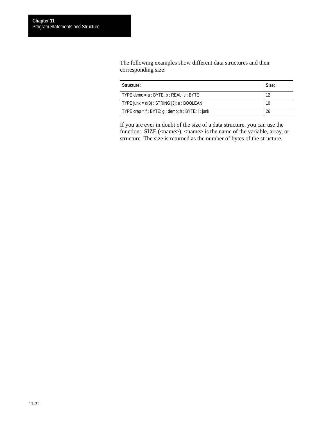The following examples show different data structures and their corresponding size:

| Structure:                                                    | Size: |
|---------------------------------------------------------------|-------|
| TYPE demo = $a : BYTE$ ; $b : REAL$ ; $c : BYTE$              | 12    |
| TYPE junk = $d(3)$ : STRING [3]; e : BOOLEAN                  | 10    |
| TYPE crap = $f : BYTE$ ; $g : demo$ ; $h : BYTE$ ; $i : junk$ | 26    |

If you are ever in doubt of the size of a data structure, you can use the function: SIZE (<name>). <name> is the name of the variable, array, or structure. The size is returned as the number of bytes of the structure.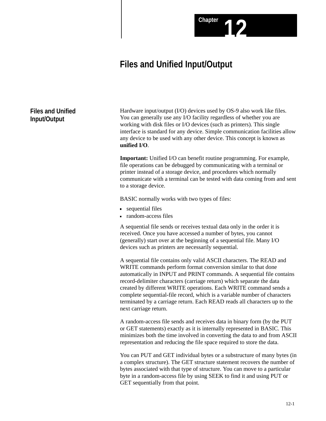# **Files and Unified Input/Output**

# **Files and Unified Input/Output**

Hardware input/output (I/O) devices used by OS-9 also work like files. You can generally use any I/O facility regardless of whether you are working with disk files or I/O devices (such as printers). This single interface is standard for any device. Simple communication facilities allow any device to be used with any other device. This concept is known as **unified I/O**.

Chapter **12** 

**Important:** Unified I/O can benefit routine programming. For example, file operations can be debugged by communicating with a terminal or printer instead of a storage device, and procedures which normally communicate with a terminal can be tested with data coming from and sent to a storage device.

BASIC normally works with two types of files:

- **sequential files**
- random-access files

A sequential file sends or receives textual data only in the order it is received. Once you have accessed a number of bytes, you cannot (generally) start over at the beginning of a sequential file. Many I/O devices such as printers are necessarily sequential.

A sequential file contains only valid ASCII characters. The READ and WRITE commands perform format conversion similar to that done automatically in INPUT and PRINT commands. A sequential file contains record-delimiter characters (carriage return) which separate the data created by different WRITE operations. Each WRITE command sends a complete sequential-file record, which is a variable number of characters terminated by a carriage return. Each READ reads all characters up to the next carriage return.

A random-access file sends and receives data in binary form (by the PUT or GET statements) exactly as it is internally represented in BASIC. This minimizes both the time involved in converting the data to and from ASCII representation and reducing the file space required to store the data.

You can PUT and GET individual bytes or a substructure of many bytes (in a complex structure). The GET structure statement recovers the number of bytes associated with that type of structure. You can move to a particular byte in a random-access file by using SEEK to find it and using PUT or GET sequentially from that point.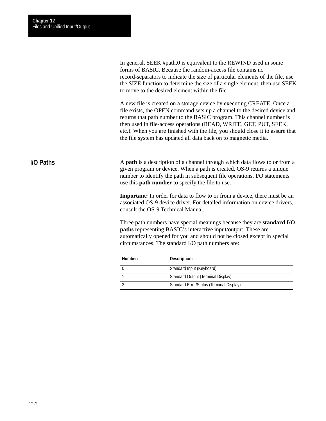In general, SEEK #path,0 is equivalent to the REWIND used in some forms of BASIC. Because the random-access file contains no record-separators to indicate the size of particular elements of the file, use the SIZE function to determine the size of a single element, then use SEEK to move to the desired element within the file.

A new file is created on a storage device by executing CREATE. Once a file exists, the OPEN command sets up a channel to the desired device and returns that path number to the BASIC program. This channel number is then used in file-access operations (READ, WRITE, GET, PUT, SEEK, etc.). When you are finished with the file, you should close it to assure that the file system has updated all data back on to magnetic media.

# **I/O Paths**

A **path** is a description of a channel through which data flows to or from a given program or device. When a path is created, OS-9 returns a unique number to identify the path in subsequent file operations. I/O statements use this **path number** to specify the file to use.

**Important:** In order for data to flow to or from a device, there must be an associated OS-9 device driver. For detailed information on device drivers, consult the OS-9 Technical Manual.

Three path numbers have special meanings because they are **standard I/O paths** representing BASIC's interactive input/output. These are automatically opened for you and should not be closed except in special circumstances. The standard I/O path numbers are:

| Number: | Description:                             |
|---------|------------------------------------------|
|         | Standard Input (Keyboard)                |
|         | Standard Output (Terminal Display)       |
|         | Standard Error/Status (Terminal Display) |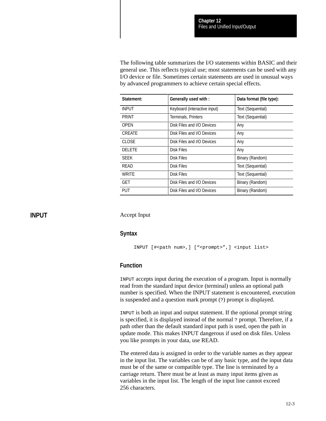The following table summarizes the I/O statements within BASIC and their general use. This reflects typical use; most statements can be used with any I/O device or file. Sometimes certain statements are used in unusual ways by advanced programmers to achieve certain special effects.

| Statement:    | Generally used with :        | Data format (file type): |  |
|---------------|------------------------------|--------------------------|--|
| <b>INPUT</b>  | Keyboard (interactive input) | Text (Sequential)        |  |
| <b>PRINT</b>  | Terminals, Printers          | Text (Sequential)        |  |
| <b>OPEN</b>   | Disk Files and I/O Devices   | Any                      |  |
| <b>CREATE</b> | Disk Files and I/O Devices   | Any                      |  |
| <b>CLOSE</b>  | Disk Files and I/O Devices   | Any                      |  |
| <b>DELETE</b> | Disk Files                   | Any                      |  |
| <b>SEEK</b>   | Disk Files                   | Binary (Random)          |  |
| READ          | Disk Files                   | Text (Sequential)        |  |
| <b>WRITE</b>  | <b>Disk Files</b>            | Text (Sequential)        |  |
| <b>GET</b>    | Disk Files and I/O Devices   | Binary (Random)          |  |
| <b>PUT</b>    | Disk Files and I/O Devices   | Binary (Random)          |  |

## **INPUT**

Accept Input

#### **Syntax**

```
INPUT [#<path num>,] ["<prompt>",] <input list>
```
#### **Function**

INPUT accepts input during the execution of a program. Input is normally read from the standard input device (terminal) unless an optional path number is specified. When the INPUT statement is encountered, execution is suspended and a question mark prompt (?) prompt is displayed.

INPUT is both an input and output statement. If the optional prompt string is specified, it is displayed instead of the normal ? prompt. Therefore, if a path other than the default standard input path is used, open the path in update mode. This makes INPUT dangerous if used on disk files. Unless you like prompts in your data, use READ.

The entered data is assigned in order to the variable names as they appear in the input list. The variables can be of any basic type, and the input data must be of the same or compatible type. The line is terminated by a carriage return. There must be at least as many input items given as variables in the input list. The length of the input line cannot exceed 256 characters.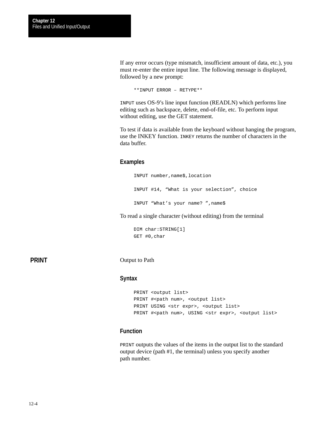If any error occurs (type mismatch, insufficient amount of data, etc.), you must re-enter the entire input line. The following message is displayed, followed by a new prompt:

\*\*INPUT ERROR – RETYPE\*\*

INPUT uses OS-9's line input function (READLN) which performs line editing such as backspace, delete, end-of-file, etc. To perform input without editing, use the GET statement.

To test if data is available from the keyboard without hanging the program, use the INKEY function. INKEY returns the number of characters in the data buffer.

#### **Examples**

INPUT number,name\$,location INPUT #14, "What is your selection", choice INPUT "What's your name? ",name\$

To read a single character (without editing) from the terminal

```
DIM char:STRING[1]
GET #0,char
```
**PRINT**

Output to Path

#### **Syntax**

```
PRINT <output list>
PRINT #<path num>, <output list>
PRINT USING <str expr>, <output list>
PRINT #<path num>, USING <str expr>, <output list>
```
## **Function**

PRINT outputs the values of the items in the output list to the standard output device (path #1, the terminal) unless you specify another path number.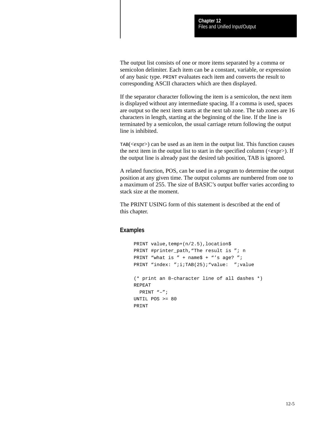The output list consists of one or more items separated by a comma or semicolon delimiter. Each item can be a constant, variable, or expression of any basic type. PRINT evaluates each item and converts the result to corresponding ASCII characters which are then displayed.

If the separator character following the item is a semicolon, the next item is displayed without any intermediate spacing. If a comma is used, spaces are output so the next item starts at the next tab zone. The tab zones are 16 characters in length, starting at the beginning of the line. If the line is terminated by a semicolon, the usual carriage return following the output line is inhibited.

TAB(<expr>) can be used as an item in the output list. This function causes the next item in the output list to start in the specified column ( $\langle \text{expr}\rangle$ ). If the output line is already past the desired tab position, TAB is ignored.

A related function, POS, can be used in a program to determine the output position at any given time. The output columns are numbered from one to a maximum of 255. The size of BASIC's output buffer varies according to stack size at the moment.

The PRINT USING form of this statement is described at the end of this chapter.

```
PRINT value, temp+(n/2.5), location$
PRINT #printer_path,"The result is "; n
PRINT "what is " + name$ + "'s age? ";
PRINT "index: ";i;TAB(25);"value: ";value
(* print an 8–character line of all dashes *)
REPEAT
   PRINT "–";
UNTIL POS >= 80
PRINT
```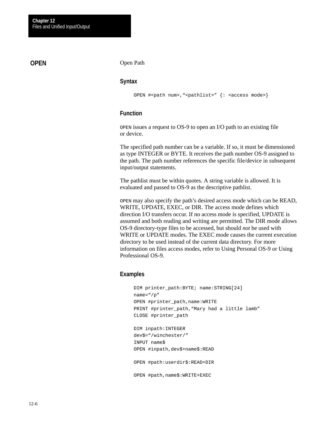# **OPEN**

#### Open Path

#### **Syntax**

```
OPEN #<path num>, "<pathlist>" {: <access mode>}
```
#### **Function**

OPEN issues a request to OS-9 to open an I/O path to an existing file or device.

The specified path number can be a variable. If so, it must be dimensioned as type INTEGER or BYTE. It receives the path number OS-9 assigned to the path. The path number references the specific file/device in subsequent input/output statements.

The pathlist must be within quotes. A string variable is allowed. It is evaluated and passed to OS-9 as the descriptive pathlist.

OPEN may also specify the path's desired access mode which can be READ, WRITE, UPDATE, EXEC, or DIR. The access mode defines which direction I/O transfers occur. If no access mode is specified, UPDATE is assumed and both reading and writing are permitted. The DIR mode allows OS-9 directory-type files to be accessed, but should *not* be used with WRITE or UPDATE modes. The EXEC mode causes the current execution directory to be used instead of the current data directory. For more information on files access modes, refer to Using Personal OS-9 or Using Professional OS-9.

```
DIM printer path:BYTE; name:STRING[24]
name="/p"
OPEN #printer_path,name:WRITE
PRINT #printer_path,"Mary had a little lamb"
CLOSE #printer_path
DIM inpath:INTEGER
dev$="/winchester/"
INPUT name$
OPEN #inpath,dev$+name$:READ
OPEN #path:userdir$:READ+DIR
OPEN #path,name$:WRITE+EXEC
```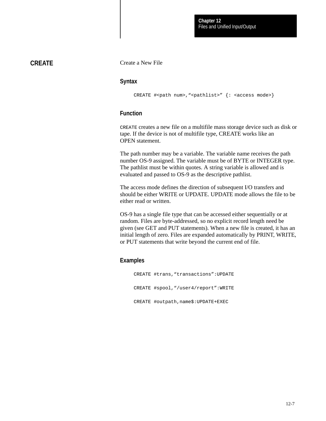# **CREATE**

Create a New File

#### **Syntax**

CREATE #<path num>, "<pathlist>" {: <access mode>}

#### **Function**

CREATE creates a new file on a multifile mass storage device such as disk or tape. If the device is not of multifile type, CREATE works like an OPEN statement.

The path number may be a variable. The variable name receives the path number OS-9 assigned. The variable must be of BYTE or INTEGER type. The pathlist must be within quotes. A string variable is allowed and is evaluated and passed to OS-9 as the descriptive pathlist.

The access mode defines the direction of subsequent I/O transfers and should be either WRITE or UPDATE. UPDATE mode allows the file to be either read or written.

OS-9 has a single file type that can be accessed either sequentially or at random. Files are byte-addressed, so no explicit record length need be given (see GET and PUT statements). When a new file is created, it has an initial length of zero. Files are expanded automatically by PRINT, WRITE, or PUT statements that write beyond the current end of file.

## **Examples**

CREATE #trans,"transactions":UPDATE CREATE #spool,"/user4/report":WRITE CREATE #outpath,name\$:UPDATE+EXEC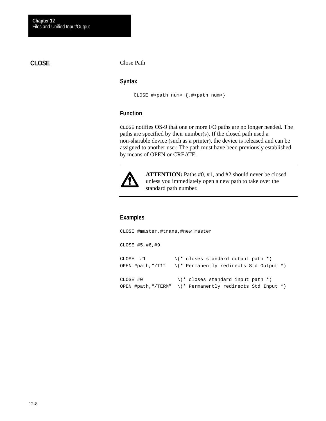# **CLOSE**

Close Path

#### **Syntax**

CLOSE #<path num> {,#<path num>}

## **Function**

CLOSE notifies OS-9 that one or more I/O paths are no longer needed. The paths are specified by their number(s). If the closed path used a non-sharable device (such as a printer), the device is released and can be assigned to another user. The path must have been previously established by means of OPEN or CREATE.



**ATTENTION:** Paths #0, #1, and #2 should never be closed unless you immediately open a new path to take over the standard path number.

```
CLOSE #master,#trans,#new_master
CLOSE #5,#6,#9
CLOSE #1 \qquad \qquad \backslash (* closes standard output path *)
OPEN #path,"/T1" \(* Permanently redirects Std Output *)
CLOSE #0 \qquad \qquad \backslash (* \text{ closes standard input path *})OPEN #path,"/TERM" \(* Permanently redirects Std Input *)
```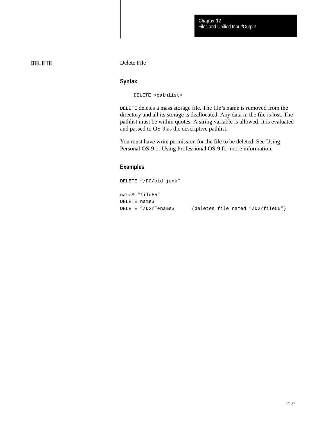# **DELETE**

Delete File

#### **Syntax**

DELETE <pathlist>

DELETE deletes a mass storage file. The file's name is removed from the directory and all its storage is deallocated. Any data in the file is lost. The pathlist must be within quotes. A string variable is allowed. It is evaluated and passed to OS-9 as the descriptive pathlist.

You must have write permission for the file to be deleted. See Using Personal OS-9 or Using Professional OS-9 for more information.

## **Examples**

DELETE "/D0/old\_junk" name\$="file55" DELETE name\$ DELETE "/D2/"+name\$ (deletes file named "/D2/file55")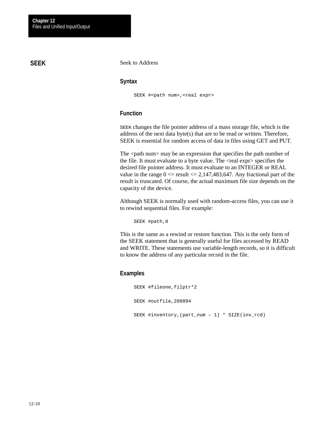# **SEEK**

Seek to Address

#### **Syntax**

SEEK #<path num>, <real expr>

#### **Function**

SEEK changes the file pointer address of a mass storage file, which is the address of the next data byte(s) that are to be read or written. Therefore, SEEK is essential for random access of data in files using GET and PUT.

The <path num may be an expression that specifies the path number of the file. It must evaluate to a byte value. The <real expr> specifies the desired file pointer address. It must evaluate to an INTEGER or REAL value in the range  $0 \le$  result  $\le$  2,147,483,647. Any fractional part of the result is truncated. Of course, the actual maximum file size depends on the capacity of the device.

Although SEEK is normally used with random-access files, you can use it to rewind sequential files. For example:

SEEK #path,0

This is the same as a rewind or restore function. This is the only form of the SEEK statement that is generally useful for files accessed by READ and WRITE. These statements use variable-length records, so it is difficult to know the address of any particular record in the file.

```
SEEK #fileone,filptr*2
SEEK #outfile,208894
SEEK #inventory,(part_num – 1) * SIZE(inv_rcd)
```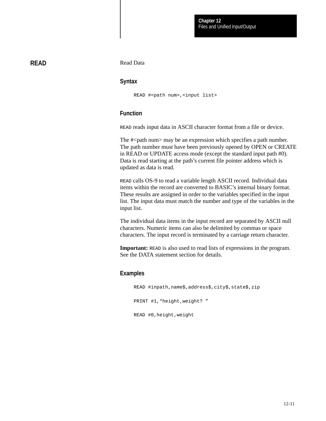## **READ**

Read Data

#### **Syntax**

READ #<path num>, <input list>

## **Function**

READ reads input data in ASCII character format from a file or device.

The #<path num> may be an expression which specifies a path number. The path number must have been previously opened by OPEN or CREATE in READ or UPDATE access mode (except the standard input path #0). Data is read starting at the path's current file pointer address which is updated as data is read.

READ calls OS-9 to read a variable length ASCII record. Individual data items within the record are converted to BASIC's internal binary format. These results are assigned in order to the variables specified in the input list. The input data must match the number and type of the variables in the input list.

The individual data items in the input record are separated by ASCII null characters. Numeric items can also be delimited by commas or space characters. The input record is terminated by a carriage return character.

**Important: READ** is also used to read lists of expressions in the program. See the DATA statement section for details.

#### **Examples**

READ #inpath,name\$,address\$,city\$,state\$,zip PRINT #1, "height, weight? " READ #0,height,weight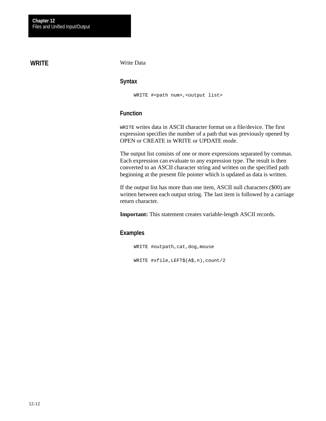# **WRITE**

Write Data

#### **Syntax**

WRITE #<path num>,<output list>

## **Function**

WRITE writes data in ASCII character format on a file/device. The first expression specifies the number of a path that was previously opened by OPEN or CREATE in WRITE or UPDATE mode.

The output list consists of one or more expressions separated by commas. Each expression can evaluate to any expression type. The result is then converted to an ASCII character string and written on the specified path beginning at the present file pointer which is updated as data is written.

If the output list has more than one item, ASCII null characters (\$00) are written between each output string. The last item is followed by a carriage return character.

**Important:** This statement creates variable-length ASCII records.

## **Examples**

WRITE #outpath,cat,dog,mouse WRITE #xfile,LEFT\$(A\$,n),count/2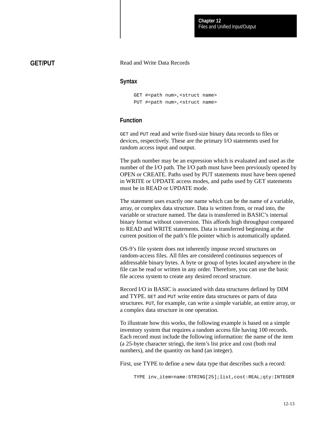## **GET/PUT**

#### Read and Write Data Records

#### **Syntax**

```
GET #<path num>, <struct name>
PUT #<path num>, <struct name>
```
## **Function**

GET and PUT read and write fixed-size binary data records to files or devices, respectively. These are the primary I/O statements used for random access input and output.

The path number may be an expression which is evaluated and used as the number of the I/O path. The I/O path must have been previously opened by OPEN or CREATE. Paths used by PUT statements must have been opened in WRITE or UPDATE access modes, and paths used by GET statements must be in READ or UPDATE mode.

The statement uses exactly one name which can be the name of a variable, array, or complex data structure. Data is written from, or read into, the variable or structure named. The data is transferred in BASIC's internal binary format without conversion. This affords high throughput compared to READ and WRITE statements. Data is transferred beginning at the current position of the path's file pointer which is automatically updated.

OS-9's file system does not inherently impose record structures on random-access files. All files are considered continuous sequences of addressable binary bytes. A byte or group of bytes located anywhere in the file can be read or written in any order. Therefore, you can use the basic file access system to create any desired record structure.

Record I/O in BASIC is associated with data structures defined by DIM and TYPE. GET and PUT write entire data structures or parts of data structures. PUT, for example, can write a simple variable, an entire array, or a complex data structure in one operation.

To illustrate how this works, the following example is based on a simple inventory system that requires a random access file having 100 records. Each record must include the following information: the name of the item (a 25-byte character string), the item's list price and cost (both real numbers), and the quantity on hand (an integer).

First, use TYPE to define a new data type that describes such a record:

TYPE inv\_item=name:STRING[25];list,cost:REAL;qty:INTEGER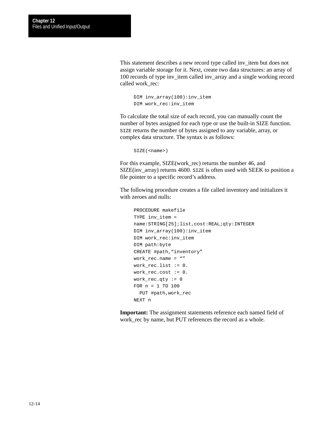This statement describes a new record type called inv\_item but does not assign variable storage for it. Next, create two data structures: an array of 100 records of type inv\_item called inv\_array and a single working record called work\_rec:

```
DIM inv_array(100):inv_item
DIM work_rec:inv_item
```
To calculate the total size of each record, you can manually count the number of bytes assigned for each type or use the built-in SIZE function. SIZE returns the number of bytes assigned to any variable, array, or complex data structure. The syntax is as follows:

```
SIZE(<name>)
```
For this example, SIZE(work\_rec) returns the number 46, and SIZE(inv\_array) returns 4600. SIZE is often used with SEEK to position a file pointer to a specific record's address.

The following procedure creates a file called inventory and initializes it with zeroes and nulls:

```
PROCEDURE makefile
TYPE inv_item =
name:STRING[25];list,cost:REAL;qty:INTEGER
DIM inv_array(100):inv_item
DIM work_rec:inv_item
DIM path:byte
CREATE #path, "inventory"
work rec.name = "work_rec.list := 0.
work_rec.cost := 0.
work rec.qty := 0
FOR n = 1 TO 100
   PUT #path,work_rec
NEXT n
```
**Important:** The assignment statements reference each named field of work\_rec by name, but PUT references the record as a whole.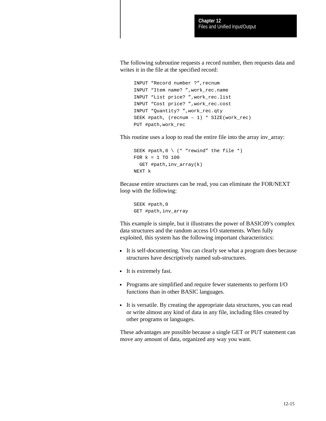The following subroutine requests a record number, then requests data and writes it in the file at the specified record:

```
INPUT "Record number ?",recnum
INPUT "Item name? ",work_rec.name
INPUT "List price? ",work_rec.list
INPUT "Cost price? ",work_rec.cost
INPUT "Quantity? ",work_rec.qty
SEEK #path, (recnum – 1) * SIZE(work_rec)
PUT #path,work_rec
```
This routine uses a loop to read the entire file into the array inv\_array:

```
SEEK #path, 0 \setminus (* "rewind" the file *)
FOR k = 1 TO 100
   GET #path,inv_array(k)
NEXT k
```
Because entire structures can be read, you can eliminate the FOR/NEXT loop with the following:

SEEK #path,0 GET #path,inv\_array

This example is simple, but it illustrates the power of BASIC09's complex data structures and the random access I/O statements. When fully exploited, this system has the following important characteristics:

- It is self-documenting. You can clearly see what a program does because structures have descriptively named sub-structures.
- It is extremely fast.
- Programs are simplified and require fewer statements to perform I/O functions than in other BASIC languages.
- It is versatile. By creating the appropriate data structures, you can read or write almost any kind of data in any file, including files created by other programs or languages.

These advantages are possible because a single GET or PUT statement can move any amount of data, organized any way you want.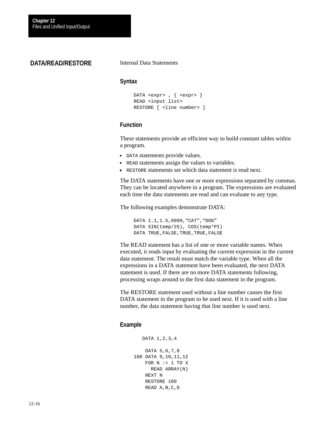# **DATA/READ/RESTORE**

Internal Data Statements

#### **Syntax**

```
DATA <expr>, { <expr> }
READ <input list>
RESTORE [ <line number> ]
```
## **Function**

These statements provide an efficient way to build constant tables within a program.

- DATA statements provide values.
- **READ statements assign the values to variables.**
- RESTORE statements set which data statement is read next.

The DATA statements have one or more expressions separated by commas. They can be located anywhere in a program. The expressions are evaluated each time the data statements are read and can evaluate to any type.

The following examples demonstrate DATA:

DATA 1.1,1.5,9999,"CAT","DOG" DATA SIN(temp/25), COS(temp\*PI) DATA TRUE, FALSE, TRUE, TRUE, FALSE

The READ statement has a list of one or more variable names. When executed, it reads input by evaluating the current expression in the current data statement. The result must match the variable type. When all the expressions in a DATA statement have been evaluated, the next DATA statement is used. If there are no more DATA statements following, processing wraps around to the first data statement in the program.

The RESTORE statement used without a line number causes the first DATA statement in the program to be used next. If it is used with a line number, the data statement having that line number is used next.

```
 DATA 1,2,3,4
     DATA 5,6,7,8
100 DATA 9,10,11,12
    FOR N := 1 TO X
       READ ARRAY(N)
     NEXT N
     RESTORE 100
     READ A,B,C,D
```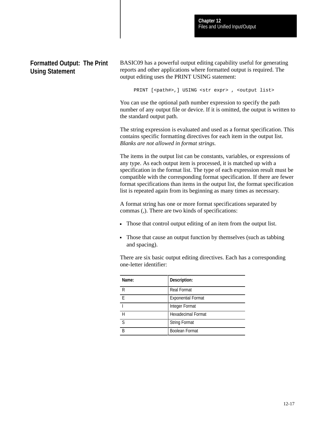# **Formatted Output: The Print Using Statement**

BASIC09 has a powerful output editing capability useful for generating reports and other applications where formatted output is required. The output editing uses the PRINT USING statement:

PRINT [<path#>,] USING <str expr> , <output list>

You can use the optional path number expression to specify the path number of any output file or device. If it is omitted, the output is written to the standard output path.

The string expression is evaluated and used as a format specification. This contains specific formatting directives for each item in the output list. *Blanks are not allowed in format strings.*

The items in the output list can be constants, variables, or expressions of any type. As each output item is processed, it is matched up with a specification in the format list. The type of each expression result must be compatible with the corresponding format specification. If there are fewer format specifications than items in the output list, the format specification list is repeated again from its beginning as many times as necessary.

A format string has one or more format specifications separated by commas (,). There are two kinds of specifications:

- Those that control output editing of an item from the output list.
- Those that cause an output function by themselves (such as tabbing and spacing).

There are six basic output editing directives. Each has a corresponding one-letter identifier:

| Name:        | Description:              |
|--------------|---------------------------|
| R            | <b>Real Format</b>        |
| F            | <b>Exponential Format</b> |
|              | Integer Format            |
| н            | <b>Hexadecimal Format</b> |
| <sup>S</sup> | <b>String Format</b>      |
| R            | <b>Boolean Format</b>     |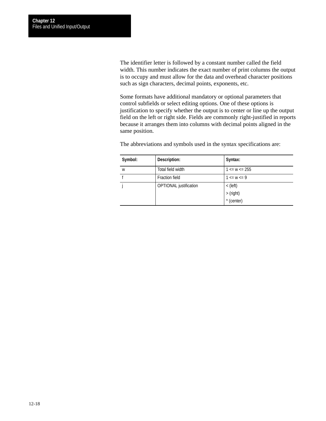The identifier letter is followed by a constant number called the field width. This number indicates the exact number of print columns the output is to occupy and must allow for the data and overhead character positions such as sign characters, decimal points, exponents, etc.

Some formats have additional mandatory or optional parameters that control subfields or select editing options. One of these options is justification to specify whether the output is to center or line up the output field on the left or right side. Fields are commonly right-justified in reports because it arranges them into columns with decimal points aligned in the same position.

| Symbol: | Description:                  | Syntax:             |
|---------|-------------------------------|---------------------|
| W       | Total field width             | $1 \leq w \leq 255$ |
|         | <b>Fraction field</b>         | $1 \leq w \leq 9$   |
|         | <b>OPTIONAL</b> justification | $<$ (left)          |
|         |                               | >(right)            |
|         |                               | $\wedge$ (center)   |

The abbreviations and symbols used in the syntax specifications are: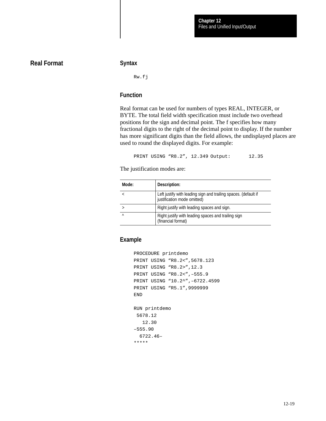# **Real Format**

#### **Syntax**

Rw.fj

## **Function**

Real format can be used for numbers of types REAL, INTEGER, or BYTE. The total field width specification must include two overhead positions for the sign and decimal point. The f specifies how many fractional digits to the right of the decimal point to display. If the number has more significant digits than the field allows, the undisplayed places are used to round the displayed digits. For example:

PRINT USING "R8.2", 12.349 Output: 12.35

The justification modes are:

| Mode:     | Description:                                                                                   |
|-----------|------------------------------------------------------------------------------------------------|
|           | Left justify with leading sign and trailing spaces. (default if<br>justification mode omitted) |
|           | Right justify with leading spaces and sign.                                                    |
| $\lambda$ | Right justify with leading spaces and trailing sign<br>(financial format)                      |

```
PROCEDURE printdemo
PRINT USING "R8.2<",5678.123
PRINT USING "R8.2>",12.3
PRINT USING "R8.2<",–555.9
PRINT USING "10.2^",–6722.4599
PRINT USING "R5.1",9999999
END
RUN printdemo
 5678.12
    12.30
–555.90
   6722.46–
*****
```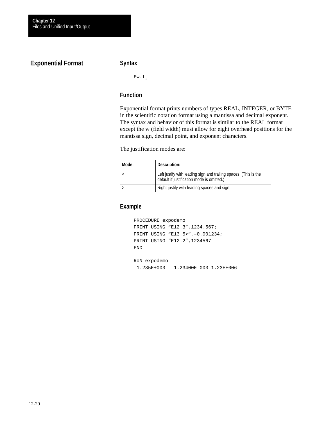# **Exponential Format**

### **Syntax**

Ew.fj

## **Function**

Exponential format prints numbers of types REAL, INTEGER, or BYTE in the scientific notation format using a mantissa and decimal exponent. The syntax and behavior of this format is similar to the REAL format except the w (field width) must allow for eight overhead positions for the mantissa sign, decimal point, and exponent characters.

The justification modes are:

| Mode: | Description:                                                                                                   |
|-------|----------------------------------------------------------------------------------------------------------------|
|       | Left justify with leading sign and trailing spaces. (This is the<br>default if justification mode is omitted.) |
|       | Right justify with leading spaces and sign.                                                                    |

```
PROCEDURE expodemo
PRINT USING "E12.3",1234.567;
PRINT USING "E13.5>",–0.001234;
PRINT USING "E12.2",1234567
END
RUN expodemo
 1.235E+003 –1.23400E–003 1.23E+006
```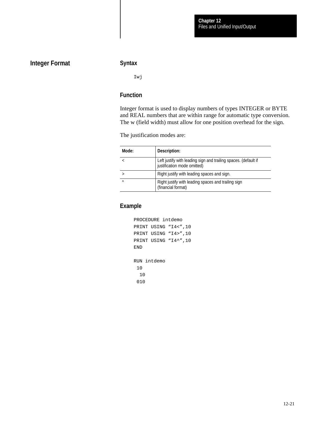# **Integer Format**

## **Syntax**

Iwj

## **Function**

Integer format is used to display numbers of types INTEGER or BYTE and REAL numbers that are within range for automatic type conversion. The w (field width) must allow for one position overhead for the sign.

The justification modes are:

| Mode:    | Description:                                                                                   |
|----------|------------------------------------------------------------------------------------------------|
|          | Left justify with leading sign and trailing spaces. (default if<br>justification mode omitted) |
|          | Right justify with leading spaces and sign.                                                    |
| $\wedge$ | Right justify with leading spaces and trailing sign<br>(financial format)                      |

```
PROCEDURE intdemo
PRINT USING "I4<",10
PRINT USING "I4>",10
PRINT USING "I4^",10
END
RUN intdemo
  10
   10
  010
```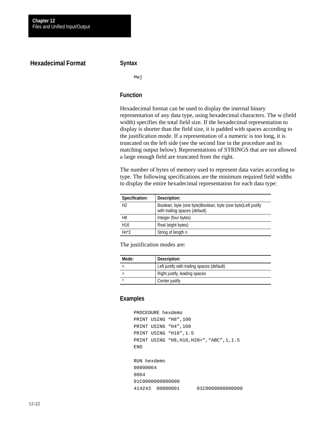## **Hexadecimal Format**

#### **Syntax**

Hwj

#### **Function**

Hexadecimal format can be used to display the internal binary representation of any data type, using hexadecimal characters. The w (field width) specifies the total field size. If the hexadecimal representation to display is shorter than the field size, it is padded with spaces according to the justification mode. If a representation of a numeric is too long, it is truncated on the left side (see the second line in the procedure and its matching output below). Representations of STRINGS that are not allowed a large enough field are truncated from the right.

The number of bytes of memory used to represent data varies according to type. The following specifications are the minimum required field widths to display the entire hexadecimal representation for each data type:

| Specification:  | Description:                                                                                   |
|-----------------|------------------------------------------------------------------------------------------------|
| H <sub>2</sub>  | Boolean, byte (one byte)Boolean, byte (one byte)Left justify<br>with trailing spaces (default) |
| H <sub>8</sub>  | Integer (four bytes)                                                                           |
| H <sub>16</sub> | Real (eight bytes)                                                                             |
| $Hn*2$          | String of length n                                                                             |

The justification modes are:

| Mode: | Description:                                |
|-------|---------------------------------------------|
|       | Left justify with trailing spaces (default) |
|       | Right justify, leading spaces               |
|       | Center justify                              |

```
PROCEDURE hexdemo
PRINT USING "H8",100
PRINT USING "H4",100
PRINT USING "H16", 1.5
PRINT USING "H8,H10,H20>","ABC",1,1.5
END
RUN hexdemo
00000064
0064
01C0000000000000
414243 00000001 01C0000000000000
```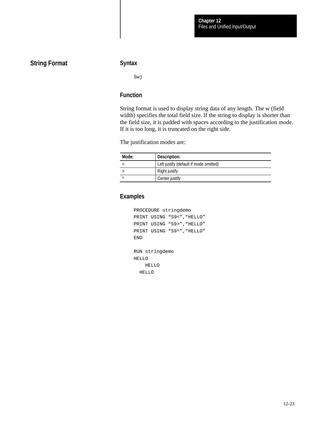# **String Format**

#### **Syntax**

Swj

## **Function**

String format is used to display string data of any length. The w (field width) specifies the total field size. If the string to display is shorter than the field size, it is padded with spaces according to the justification mode. If it is too long, it is truncated on the right side.

The justification modes are:

| Mode:     | Description:                           |
|-----------|----------------------------------------|
|           | Left justify (default if mode omitted) |
|           | Right justify                          |
| $\lambda$ | Center justify                         |

# **Examples**

```
PROCEDURE stringdemo
PRINT USING "S9<", "HELLO"
PRINT USING "S9>", "HELLO"
PRINT USING "S9^", "HELLO"
END
RUN stringdemo
HELLO
     HELLO
```
HELLO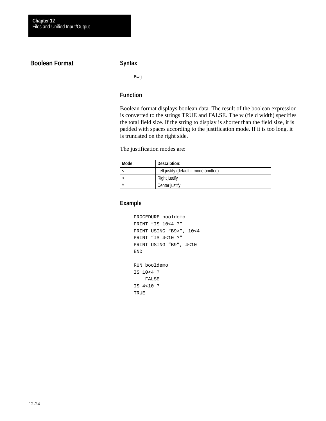# **Boolean Format**

## **Syntax**

Bwj

## **Function**

Boolean format displays boolean data. The result of the boolean expression is converted to the strings TRUE and FALSE. The w (field width) specifies the total field size. If the string to display is shorter than the field size, it is padded with spaces according to the justification mode. If it is too long, it is truncated on the right side.

The justification modes are:

| Mode: | Description:                           |
|-------|----------------------------------------|
|       | Left justify (default if mode omitted) |
|       | Right justify                          |
| Λ     | Center justify                         |

```
PROCEDURE booldemo
PRINT "IS 10<4 ?"
PRINT USING "B9>", 10<4
PRINT "IS 4<10 ?"
PRINT USING "B9", 4<10
END
RUN booldemo
IS 10<4 ?
    FALSE
IS 4<10 ?
TRUE
```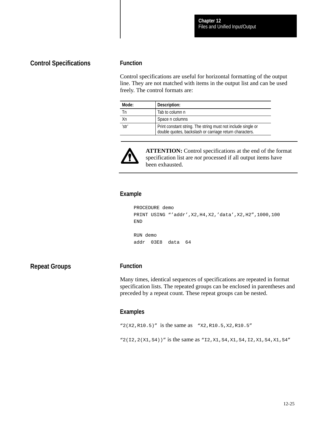## **Control Specifications**

#### **Function**

Control specifications are useful for horizontal formatting of the output line. They are not matched with items in the output list and can be used freely. The control formats are:

| Mode: | Description:                                                                                                            |
|-------|-------------------------------------------------------------------------------------------------------------------------|
| Тn    | Tab to column n                                                                                                         |
| Xn    | Space n columns                                                                                                         |
| 'str' | Print constant string. The string must not include single or<br>double quotes, backslash or carriage return characters. |



**ATTENTION:** Control specifications at the end of the format specification list are *not* processed if all output items have been exhausted.

## **Example**

```
PROCEDURE demo
PRINT USING "'addr',X2,H4,X2,'data',X2,H2",1000,100
END
RUN demo
addr 03E8 data 64
```
**Repeat Groups**

## **Function**

Many times, identical sequences of specifications are repeated in format specification lists. The repeated groups can be enclosed in parentheses and preceded by a repeat count. These repeat groups can be nested.

```
"2(X2,R10.5)" is the same as "X2,R10.5,X2,R10.5"
"2(I2,2(X1,S4))" is the same as "I2,X1,S4,X1,S4,I2,X1,S4,X1,S4"
```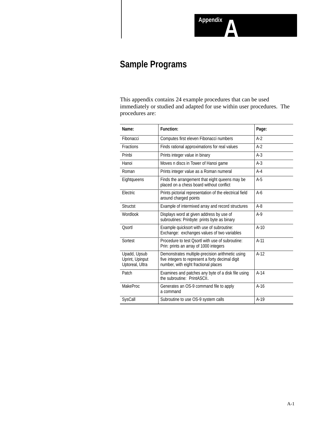

# **Sample Programs**

This appendix contains 24 example procedures that can be used immediately or studied and adapted for use within user procedures. The procedures are:

| Name:                                              | <b>Function:</b>                                                                                                                             | Page:  |
|----------------------------------------------------|----------------------------------------------------------------------------------------------------------------------------------------------|--------|
| Fibonacci                                          | Computes first eleven Fibonacci numbers                                                                                                      | $A-2$  |
| <b>Fractions</b>                                   | Finds rational approximations for real values                                                                                                | $A-2$  |
| Prinbi                                             | Prints integer value in binary                                                                                                               | $A-3$  |
| Hanoi                                              | Moves n discs in Tower of Hanoi game                                                                                                         | $A-3$  |
| Roman                                              | Prints integer value as a Roman numeral                                                                                                      | $A-4$  |
| Eightqueens                                        | Finds the arrangement that eight queens may be<br>placed on a chess board without conflict                                                   | $A-5$  |
| Electric                                           | Prints pictorial representation of the electrical field<br>around charged points                                                             | $A-6$  |
| <b>Structst</b>                                    | Example of intermixed array and record structures                                                                                            | $A-8$  |
| Wordlook                                           | Displays word at given address by use of<br>subroutines: Prinbyte: prints byte as binary                                                     | $A-9$  |
| Osortl                                             | Example quicksort with use of subroutine:<br>Exchange: exchanges values of two variables                                                     | $A-10$ |
| Sortest                                            | Procedure to test Osortl with use of subroutine:<br>Prin: prints an array of 1000 integers                                                   | $A-11$ |
| Upadd, Upsub<br>Uprint, Upinput<br>Uptoreal, Ultra | Demonstrates multiple-precision arithmetic using<br>five integers to represent a forty decimal digit<br>number, with eight fractional places | $A-12$ |
| Patch                                              | Examines and patches any byte of a disk file using<br>the subroutine: PrintASCII.                                                            | $A-14$ |
| <b>MakeProc</b>                                    | Generates an OS-9 command file to apply<br>a command                                                                                         | $A-16$ |
| SysCall                                            | Subroutine to use OS-9 system calls                                                                                                          | $A-19$ |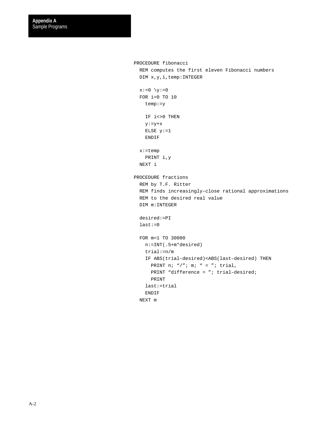```
PROCEDURE fibonacci
   REM computes the first eleven Fibonacci numbers
   DIM x,y,i,temp:INTEGER
  x:=0 \ \forall y:=0 FOR i=0 TO 10
     temp:=y
    IF i<>0 THEN
    y:=y+x ELSE y:=1
     ENDIF
   x:=temp
     PRINT i,y
  NEXT i
PROCEDURE fractions
  REM by T.F. Ritter
  REM finds increasingly–close rational approximations
  REM to the desired real value
   DIM m:INTEGER
   desired:=PI
   last:=0
   FOR m=1 TO 30000
     n:=INT(.5+m*desired)
     trial:=n/m
     IF ABS(trial–desired)<ABS(last–desired) THEN
     PRINT n; "/"; m; " = "; trial,
      PRINT "difference = "; trial-desired;
      PRINT
     last:=trial
     ENDIF
   NEXT m
```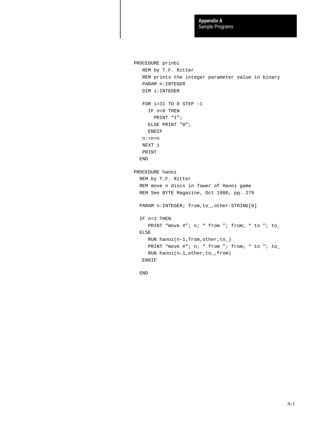```
PROCEDURE prinbi
   REM by T.F. Ritter
   REM prints the integer parameter value in binary
   PARAM n:INTEGER
   DIM i:INTEGER
  FOR i=31 TO 0 STEP -1 IF n<0 THEN
       PRINT "1";
     ELSE PRINT "0";
     ENDIF
   n:=n+n
   NEXT i
   PRINT
  END
PROCEDURE hanoi
  REM by T.F. Ritter
  REM move n discs in Tower of Hanoi game
  REM See BYTE Magazine, Oct 1980, pg. 279
 PARAM n:INTER: from, to_, other:STRING[8] IF n=1 THEN
    PRINT "move #"; n; " from "; from; " to "; to_
  ELSE
     RUN hanoi(n–1,from,other,to_)
    PRINT "move #"; n; " from "; from; " to "; to_
     RUN hanoi(n–1,other,to_,from)
   ENDIF
```
END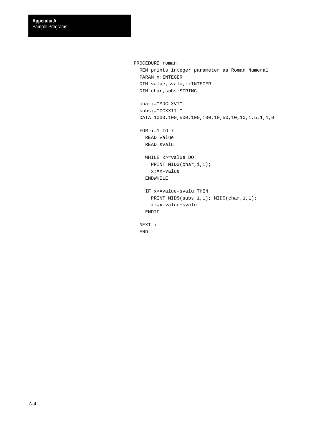```
PROCEDURE roman
  REM prints integer parameter as Roman Numeral
  PARAM x:INTEGER
 DIM value, svalu, i: INTEGER
 DIM char, subs: STRING
  char:="MDCLXVI"
  subs:="CCXXII "
  DATA 1000,100,500,100,100,10,50,10,10,1,5,1,1,0
  FOR i=1 TO 7
    READ value
    READ svalu
    WHILE x>=value DO
      PRINT MID$(char,i,1);
      x:=x–value
     ENDWHILE
     IF x>=value–svalu THEN
      PRINT MID$(subs,i,1); MID$(char,i,1);
      x:=x–value+svalu
     ENDIF
  NEXT i
  END
```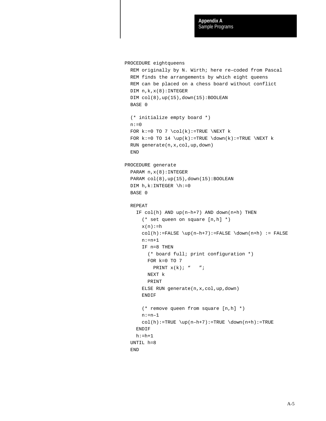```
PROCEDURE eightqueens
   REM originally by N. Wirth; here re–coded from Pascal
   REM finds the arrangements by which eight queens
   REM can be placed on a chess board without conflict
   DIM n,k,x(8):INTEGER
   DIM col(8),up(15),down(15):BOOLEAN
   BASE 0
   (* initialize empty board *)
  n:=0FOR k:=0 TO 7 \coloneq (k):=TRUE NEXT kFOR k:=0 TO 14 \uparrow k:=TRUE \downarrow down(k):=TRUE \downarrow NEXT k RUN generate(n,x,col,up,down)
   END
PROCEDURE generate
   PARAM n,x(8):INTEGER
  PARAM col(8), up(15), down(15): BOOLEAN
  DIM h, k:INTER \ h:=0 BASE 0
   REPEAT
     IF col(h) AND up(n–h+7) AND down(n+h) THEN
       (* set queen on square [n,h] *)
      x(n):=hcol(h):=FALSE \uplus(n-h+7):=FALSE \downarrow down(n+h) := FALSE n:=n+1
       IF n=8 THEN
         (* board full; print configuration *)
         FOR k=0 TO 7
          PRINT x(k); " ";
         NEXT k
         PRINT
       ELSE RUN generate(n,x,col,up,down)
       ENDIF
       (* remove queen from square [n,h] *)
       n:=n–1
      col(h):=TRUE \uparrow_{n+h+7}:=TRUE \downarrow_{down(n+h):=TRUE} ENDIF
    h:=h+1 UNTIL h=8
   END
```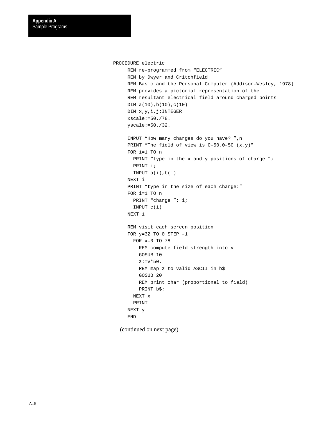```
PROCEDURE electric
     REM re–programmed from "ELECTRIC"
     REM by Dwyer and Critchfield
     REM Basic and the Personal Computer (Addison–Wesley, 1978)
     REM provides a pictorial representation of the
     REM resultant electrical field around charged points
     DIM a(10),b(10),c(10)
     DIM x,y,i,j:INTEGER
     xscale:=50./78.
     yscale:=50./32.
     INPUT "How many charges do you have? ",n
    PRINT "The field of view is 0-50, 0-50 (x,y)"
     FOR i=1 TO n
      PRINT "type in the x and y positions of charge ";
       PRINT i;
      INPUT a(i),b(i) NEXT i
    PRINT "type in the size of each charge:"
     FOR i=1 TO n
      PRINT "charge "; i;
       INPUT c(i)
     NEXT i
     REM visit each screen position
    FOR y=32 TO 0 STEP -1 FOR x=0 TO 78
          REM compute field strength into v
          GOSUB 10
        z:=v*50.
          REM map z to valid ASCII in b$
          GOSUB 20
          REM print char (proportional to field)
          PRINT b$;
       NEXT x
        PRINT
     NEXT y
     END
```
(continued on next page)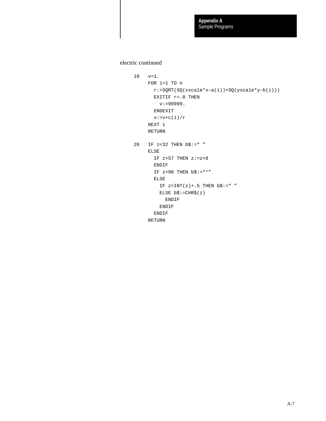electric continued

```
10 v=1.
     FOR i=1 TO n
      r:=SQRT(SQ(xscale*x-a(i))+SQ(yscale*y-b(i)))EXITIF r = .0 THEN
         v:=999999.
        ENDEXIT
       v:=v+c(i)/r NEXT i
      RETURN
20 IF z < 32 THEN b\ = " "
     ELSE
      IF z>57 THEN z:=z+8 ENDIF
      IF z>90 THEN b\ := " * "
       ELSE
        IF z>INT(z)+.5 THEN b\; := "
         ELSE b$:=CHR$(z)
            ENDIF
         ENDIF
        ENDIF
      RETURN
```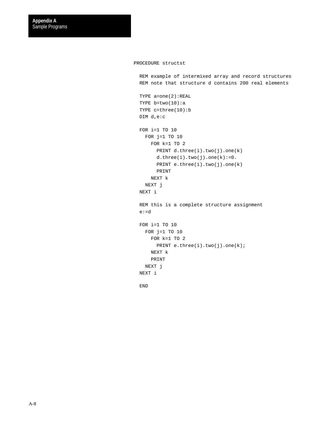#### PROCEDURE structst

 REM example of intermixed array and record structures REM note that structure d contains 200 real elements TYPE a=one(2):REAL TYPE b=two(10):a TYPE c=three(10):b DIM d,e:c FOR i=1 TO 10 FOR j=1 TO 10 FOR k=1 TO 2 PRINT  $d.time(i).two(j).one(k)$  d.three(i).two(j).one(k):=0. PRINT e.three(i).two(j).one(k) PRINT NEXT k NEXT j NEXT i REM this is a complete structure assignment e:=d FOR i=1 TO 10 FOR  $j=1$  TO  $10$  FOR k=1 TO 2 PRINT e.three(i).two(j).one(k); NEXT k PRINT NEXT j NEXT i

END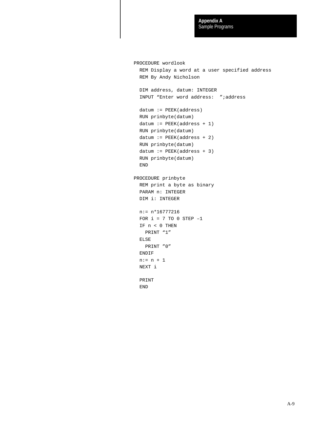```
PROCEDURE wordlook
   REM Display a word at a user specified address
   REM By Andy Nicholson
   DIM address, datum: INTEGER
   INPUT "Enter word address: ";address
   datum := PEEK(address)
   RUN prinbyte(datum)
  datum := PEEK(address + 1) RUN prinbyte(datum)
  datum := PEEK(address + 2) RUN prinbyte(datum)
  datum := PEEK(address + 3) RUN prinbyte(datum)
   END
PROCEDURE prinbyte
   REM print a byte as binary
   PARAM n: INTEGER
   DIM i: INTEGER
   n:= n*16777216
  FOR i = 7 TO 0 STEP -1 IF n < 0 THEN
    PRINT "1"
   ELSE
    PRINT "0"
   ENDIF
  n:= n + 1 NEXT i
   PRINT
   END
```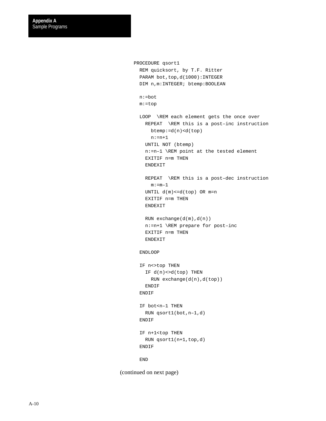```
PROCEDURE qsort1
        REM quicksort, by T.F. Ritter
       PARAM bot, top, d(1000): INTEGER
        DIM n,m:INTEGER; btemp:BOOLEAN
        n:=bot
        m:=top
        LOOP \REM each element gets the once over
          REPEAT \REM this is a post–inc instruction
            btemp:=d(n)<d(top)
            n:=n+1
          UNTIL NOT (btemp)
          n:=n–1 \REM point at the tested element
          EXITIF n=m THEN
          ENDEXIT
          REPEAT \REM this is a post–dec instruction
           m:=m-1 UNTIL d(m)<=d(top) OR m=n
          EXITIF n=m THEN
          ENDEXIT
          RUN exchange(d(m),d(n))
          n:=n+1 \REM prepare for post–inc
          EXITIF n=m THEN
          ENDEXIT
        ENDLOOP
       IF n<>top THEN
          IF d(n)<>d(top) THEN
            RUN exchange(d(n),d(top))
          ENDIF
        ENDIF
        IF bot<n–1 THEN
         RUN qsort1(bot,n–1,d)
        ENDIF
        IF n+1<top THEN
          RUN qsort1(n+1,top,d)
        ENDIF
        END
(continued on next page)
```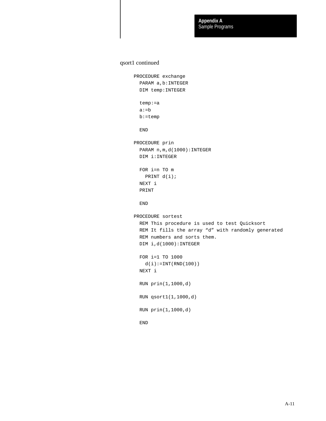#### qsort1 continued

```
PROCEDURE exchange
  PARAM a,b:INTEGER
  DIM temp:INTEGER
  temp:=a
  a:=b
  b:=temp
  END
PROCEDURE prin
 PARAM n,m,d(1000): INTEGER
  DIM i:INTEGER
  FOR i=n TO m
    PRINT d(i);
  NEXT i
  PRINT
  END
PROCEDURE sortest
  REM This procedure is used to test Quicksort
  REM It fills the array "d" with randomly generated
  REM numbers and sorts them.
  DIM i,d(1000):INTEGER
  FOR i=1 TO 1000
   d(i):=INT(RND(100)) NEXT i
  RUN prin(1,1000,d)
  RUN qsort1(1,1000,d)
  RUN prin(1,1000,d)
  END
```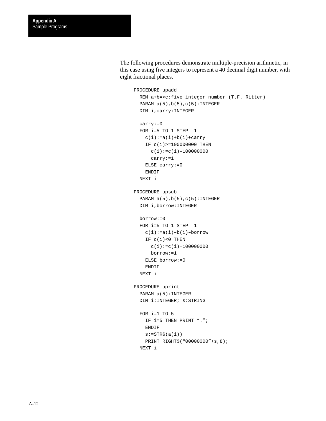The following procedures demonstrate multiple-precision arithmetic, in this case using five integers to represent a 40 decimal digit number, with eight fractional places.

```
PROCEDURE upadd
  REM a+b=>c:five_integer_number (T.F. Ritter)
 PARAM a(5), b(5), c(5): INTEGER
  DIM i,carry:INTEGER
  carry:=0
  FOR i=5 TO 1 STEP –1
    c(i):=a(i)+b(i)+carry IF c(i)>=100000000 THEN
      c(i):=c(i)-100000000 carry:=1
     ELSE carry:=0
     ENDIF
  NEXT i
PROCEDURE upsub
  PARAM a(5), b(5), c(5): INTEGER
  DIM i,borrow:INTEGER
  borrow:=0
 FOR i=5 TO 1 STEP -1c(i):=a(i)-b(i)-borrowIF c(i) < 0 THEN
      c(i):=c(i)+1000000000 borrow:=1
     ELSE borrow:=0
     ENDIF
  NEXT i
PROCEDURE uprint
  PARAM a(5):INTEGER
  DIM i:INTEGER; s:STRING
  FOR i=1 TO 5
     IF i=5 THEN PRINT ".";
    ENDIF
    s:=STR\(a(i)) PRINT RIGHT$("00000000"+s,8);
  NEXT i
```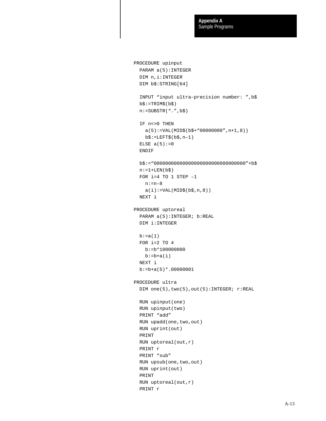```
PROCEDURE upinput
  PARAM a(5):INTEGER
  DIM n,i:INTEGER
  DIM b$:STRING[64]
  INPUT "input ultra–precision number: ",b$
 b\: =TRIM\zeta(b\)
  n:=SUBSTR(".",b$)
  IF n<>0 THEN
   a(5):=VAL(MID\(b\+ "000000000", n+1, 8))
    b$:=LEFT$(b$,n–1)
 ELSE a(5):=0 ENDIF
  b$:="00000000000000000000000000000000"+b$
 n:=1+LEN(b$)FOR i=4 TO 1 STEP -1 n:=n–8
   a(i):=VAL(MID$(b$, n, 8)) NEXT i
PROCEDURE uptoreal
  PARAM a(5):INTEGER; b:REAL
  DIM i:INTEGER
 b:=a(1) FOR i=2 TO 4
    b:=b*100000000
   b:=b+a(i) NEXT i
  b:=b+a(5)*.00000001
PROCEDURE ultra
 DIM one(5),two(5),out(5):INTEGER; r:REAL
  RUN upinput(one)
  RUN upinput(two)
  PRINT "add"
  RUN upadd(one,two,out)
  RUN uprint(out)
  PRINT
  RUN uptoreal(out,r)
  PRINT r
  PRINT "sub"
  RUN upsub(one,two,out)
  RUN uprint(out)
  PRINT
  RUN uptoreal(out,r)
  PRINT r
```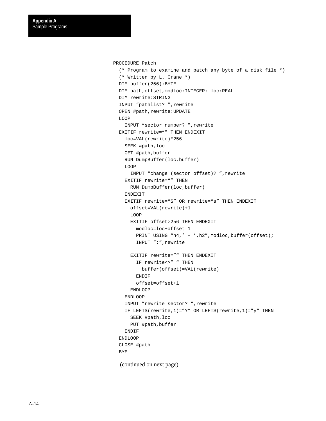```
PROCEDURE Patch
   (* Program to examine and patch any byte of a disk file *)
   (* Written by L. Crane *)
   DIM buffer(256):BYTE
   DIM path,offset,modloc:INTEGER; loc:REAL
   DIM rewrite:STRING
   INPUT "pathlist? ",rewrite
   OPEN #path,rewrite:UPDATE
  LOOP
    INPUT "sector number? ",rewrite
   EXITIF rewrite="" THEN ENDEXIT
    loc=VAL(rewrite)*256
     SEEK #path,loc
     GET #path,buffer
     RUN DumpBuffer(loc,buffer)
     LOOP
       INPUT "change (sector offset)? ",rewrite
    EXITIF rewrite="" THEN
       RUN DumpBuffer(loc,buffer)
     ENDEXIT
     EXITIF rewrite="S" OR rewrite="s" THEN ENDEXIT
       offset=VAL(rewrite)+1
       LOOP
       EXITIF offset>256 THEN ENDEXIT
         modloc=loc+offset–1
        PRINT USING "h4,' - ',h2", modloc, buffer(offset);
         INPUT ":",rewrite
       EXITIF rewrite="" THEN ENDEXIT
         IF rewrite<>" " THEN
           buffer(offset)=VAL(rewrite)
         ENDIF
         offset=offset+1
       ENDLOOP
     ENDLOOP
     INPUT "rewrite sector? ",rewrite
     IF LEFT$(rewrite,1)="Y" OR LEFT$(rewrite,1)="y" THEN
       SEEK #path,loc
      PUT #path,buffer
     ENDIF
   ENDLOOP
   CLOSE #path
   BYE
  (continued on next page)
```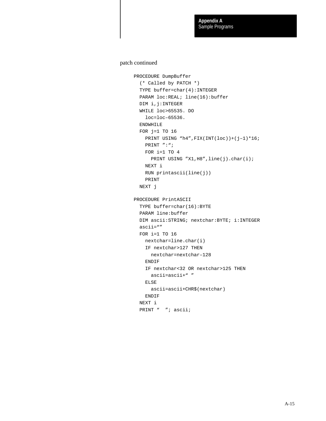#### patch continued

```
PROCEDURE DumpBuffer
  (* Called by PATCH *)
   TYPE buffer=char(4):INTEGER
   PARAM loc:REAL; line(16):buffer
  DIM i, j:INTEGER
   WHILE loc>65535. DO
     loc=loc–65536.
   ENDWHILE
   FOR j=1 TO 16
   PRINT USING "h4", FIX(INT(loc))+(j-1)*16;
    PRINT ":";
     FOR i=1 TO 4
      PRINT USING "X1, H8", line(j).char(i);
     NEXT i
    RUN printascii(line(j))
     PRINT
  NEXT j
PROCEDURE PrintASCII
   TYPE buffer=char(16):BYTE
   PARAM line:buffer
   DIM ascii:STRING; nextchar:BYTE; i:INTEGER
  ascii=""
   FOR i=1 TO 16
    nextchar=line.char(i)
    IF nextchar>127 THEN
       nextchar=nextchar–128
     ENDIF
     IF nextchar<32 OR nextchar>125 THEN
       ascii=ascii+" "
     ELSE
       ascii=ascii+CHR$(nextchar)
     ENDIF
   NEXT i
  PRINT " "; ascii;
```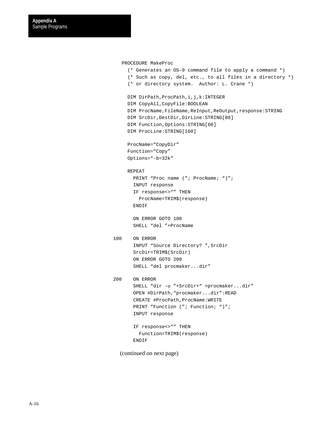```
 PROCEDURE MakeProc
```

```
 (* Generates an OS–9 command file to apply a command *)
      (* Such as copy, del, etc., to all files in a directory *)
      (* or directory system. Author: L. Crane *)
     DIM DirPath, ProcPath, i, j, k: INTEGER
      DIM CopyAll,CopyFile:BOOLEAN
     DIM ProcName, FileName, ReInput, ReOutput, response: STRING
     DIM SrcDir, DestDir, DirLine: STRING[80]
      DIM Function,Options:STRING[60]
      DIM ProcLine:STRING[160]
      ProcName="CopyDir"
      Function="Copy"
      Options="–b=32k"
      REPEAT
       PRINT "Proc name ("; ProcName; ")";
        INPUT response
        IF response<>"" THEN
          ProcName=TRIM$(response)
        ENDIF
        ON ERROR GOTO 100
        SHELL "del "+ProcName
100 ON ERROR
        INPUT "Source Directory? ",SrcDir
        SrcDir=TRIM$(SrcDir)
        ON ERROR GOTO 200
        SHELL "del procmaker...dir"
200 ON ERROR
        SHELL "dir –u "+SrcDir+" >procmaker...dir"
        OPEN #DirPath,"procmaker...dir":READ
       CREATE #ProcPath, ProcName: WRITE
       PRINT "Function ("; Function; ")";
        INPUT response
        IF response<>"" THEN
          Function=TRIM$(response)
        ENDIF
```
(continued on next page)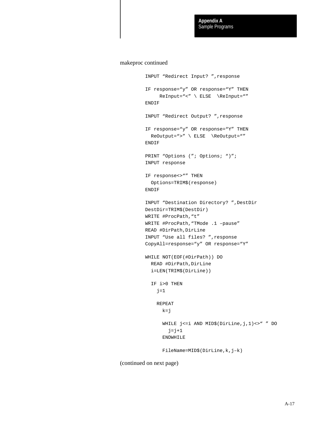#### makeproc continued

```
 INPUT "Redirect Input? ",response
 IF response="y" OR response="Y" THEN
     ReInput="<" \ ELSE \ReInput=""
 ENDIF
 INPUT "Redirect Output? ",response
 IF response="y" OR response="Y" THEN
  ReOutput=">" \ ELSE \ReOutput=""
 ENDIF
PRINT "Options ("; Options; ")";
 INPUT response
 IF response<>"" THEN
  Options=TRIM$(response)
 ENDIF
 INPUT "Destination Directory? ",DestDir
 DestDir=TRIM$(DestDir)
 WRITE #ProcPath,"t"
 WRITE #ProcPath,"TMode .1 –pause"
 READ #DirPath,DirLine
 INPUT "Use all files? ",response
 CopyAll=response="y" OR response="Y"
 WHILE NOT(EOF(#DirPath)) DO
  READ #DirPath,DirLine
  i=LEN(TRIM$(DirLine))
   IF i>0 THEN
    j=1 REPEAT
      k = j WHILE j<=i AND MID$(DirLine,j,1)<>" " DO
        j=j+1 ENDWHILE
       FileName=MID$(DirLine,k,j–k)
```
(continued on next page)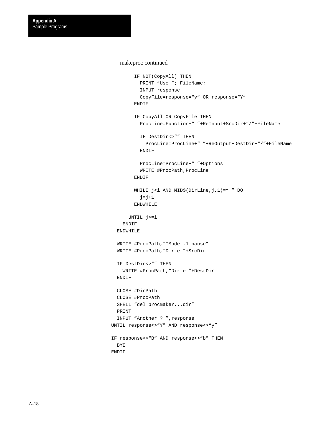#### makeproc continued

```
 IF NOT(CopyAll) THEN
          PRINT "Use "; FileName;
           INPUT response
           CopyFile=response="y" OR response="Y"
         ENDIF
         IF CopyAll OR CopyFile THEN
           ProcLine=Function+" "+ReInput+SrcDir+"/"+FileName
           IF DestDir<>"" THEN
             ProcLine=ProcLine+" "+ReOutput+DestDir+"/"+FileName
           ENDIF
           ProcLine=ProcLine+" "+Options
           WRITE #ProcPath,ProcLine
         ENDIF
        WHILE j<i AND MID$(DirLine, j, 1) = " " DO
          j=j+1 ENDWHILE
       UNTIL j>=i
    ENDIF
   ENDWHILE
   WRITE #ProcPath,"TMode .1 pause"
   WRITE #ProcPath,"Dir e "+SrcDir
   IF DestDir<>"" THEN
    WRITE #ProcPath,"Dir e "+DestDir
   ENDIF
  CLOSE #DirPath
  CLOSE #ProcPath
  SHELL "del procmaker...dir"
  PRINT
  INPUT "Another ? ",response
 UNTIL response<>"Y" AND response<>"y"
 IF response<>"B" AND response<>"b" THEN
   BYE
 ENDIF
```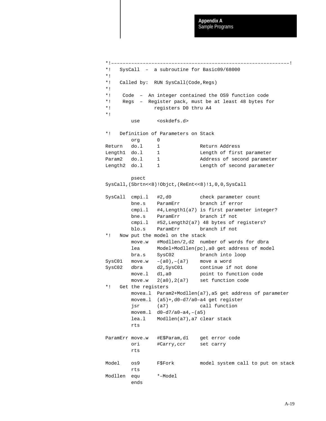```
*!––––––––––––––––––––––––––––––––––––––––––––––––––––––––––––––!
*! SysCall – a subroutine for Basic09/68000
*!
*! Called by: RUN SysCall(Code,Regs)
*!
*! Code – An integer contained the OS9 function code
*! Regs – Register pack, must be at least 48 bytes for
*! registers D0 thru A4
*!
        use <oskdefs.d>
*! Definition of Parameters on Stack
        org 0
Return do.1 1 Return Address
Length1 do.1 1 Length of first parameter
Param2 do.1 1 Address of second parameter
Length2 do.1 1 Length of second parameter
        psect
SysCall,(Sbrtn<<8)!Objct,(ReEnt<<8)!1,0,0,SysCall
SysCall cmpi.l #2,d0 check parameter count
        bne.s ParamErr branch if error
        cmpi.l #4,Length1(a7) is first parameter integer?
        bne.s ParamErr branch if not
        cmpi.l #52,Length2(a7) 48 bytes of registers?
        blo.s ParamErr branch if not
*! Now put the model on the stack
        move.w #Modllen/2,d2 number of words for dbra
        lea Model+Modllen(pc),a0 get address of model
        bra.s SysC02 branch into loop
SysC01 move.w -(a0), -(a7) move a word
SysC02 dbra d2,SysC01 continue if not done
       move.1 d1,a0 point to function code
        move.w 2(a0),2(a7) set function code
*! Get the registers
        movea.l Param2+Modllen(a7),a5 get address of parameter
        movem.l (a5)+,d0–d7/a0–a4 get register
        jsr (a7) call function
        movem.l d0–d7/a0–a4,–(a5)
        lea.l Modllen(a7),a7 clear stack
        rts
ParamErr move.w #E$Param,d1 get error code
        ori #Carry,ccr set carry
        rts
Model os9 F$Fork model system call to put on stack
        rts
Modllen equ *–Model
        ends
```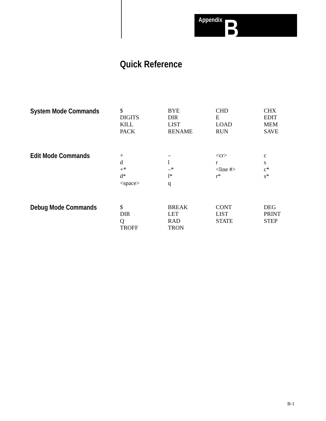

# **Quick Reference**

| <b>System Mode Commands</b> | \$<br><b>DIGITS</b><br><b>KILL</b><br><b>PACK</b> | <b>BYE</b><br><b>DIR</b><br><b>LIST</b><br><b>RENAME</b> | <b>CHD</b><br>${\bf E}$<br><b>LOAD</b><br><b>RUN</b>   | <b>CHX</b><br><b>EDIT</b><br><b>MEM</b><br><b>SAVE</b> |
|-----------------------------|---------------------------------------------------|----------------------------------------------------------|--------------------------------------------------------|--------------------------------------------------------|
| <b>Edit Mode Commands</b>   | $+$<br>d<br>$+^*$<br>$d^*$<br><space></space>     | $-*$<br>$1*$<br>q                                        | $<$ cr $>$<br>r<br>$\langle$ line # $\rangle$<br>$r^*$ | $\mathbf c$<br>S<br>$c^*$<br>$s^*$                     |
| <b>Debug Mode Commands</b>  | \$<br><b>DIR</b><br>Q<br><b>TROFF</b>             | <b>BREAK</b><br><b>LET</b><br><b>RAD</b><br><b>TRON</b>  | <b>CONT</b><br><b>LIST</b><br><b>STATE</b>             | <b>DEG</b><br><b>PRINT</b><br><b>STEP</b>              |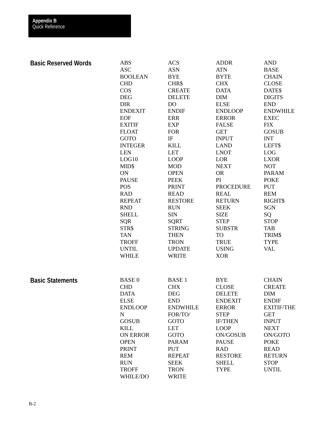| <b>Basic Reserved Words</b> | <b>ABS</b>      | <b>ACS</b>      | <b>ADDR</b>      | <b>AND</b>        |
|-----------------------------|-----------------|-----------------|------------------|-------------------|
|                             | <b>ASC</b>      | <b>ASN</b>      | <b>ATN</b>       | <b>BASE</b>       |
|                             | <b>BOOLEAN</b>  | <b>BYE</b>      | <b>BYTE</b>      | <b>CHAIN</b>      |
|                             | <b>CHD</b>      | CHR\$           | <b>CHX</b>       | <b>CLOSE</b>      |
|                             | <b>COS</b>      | <b>CREATE</b>   | <b>DATA</b>      | DATE\$            |
|                             | <b>DEG</b>      | <b>DELETE</b>   | <b>DIM</b>       | <b>DIGITS</b>     |
|                             | <b>DIR</b>      | <b>DO</b>       | <b>ELSE</b>      | <b>END</b>        |
|                             | <b>ENDEXIT</b>  | <b>ENDIF</b>    | <b>ENDLOOP</b>   | <b>ENDWHILE</b>   |
|                             | <b>EOF</b>      | <b>ERR</b>      | <b>ERROR</b>     | <b>EXEC</b>       |
|                             | <b>EXITIF</b>   | <b>EXP</b>      | <b>FALSE</b>     | <b>FIX</b>        |
|                             | <b>FLOAT</b>    | <b>FOR</b>      | <b>GET</b>       | <b>GOSUB</b>      |
|                             | GOTO            | $_{\rm IF}$     | <b>INPUT</b>     | <b>INT</b>        |
|                             | <b>INTEGER</b>  | <b>KILL</b>     | <b>LAND</b>      | LEFT\$            |
|                             | <b>LEN</b>      | <b>LET</b>      | <b>LNOT</b>      | <b>LOG</b>        |
|                             | LOG10           | <b>LOOP</b>     | LOR              | <b>LXOR</b>       |
|                             | MID\$           | <b>MOD</b>      | <b>NEXT</b>      | <b>NOT</b>        |
|                             | ON              | <b>OPEN</b>     | <b>OR</b>        | <b>PARAM</b>      |
|                             | <b>PAUSE</b>    | <b>PEEK</b>     | PI               | <b>POKE</b>       |
|                             | <b>POS</b>      | <b>PRINT</b>    | <b>PROCEDURE</b> | <b>PUT</b>        |
|                             | <b>RAD</b>      | <b>READ</b>     | <b>REAL</b>      | <b>REM</b>        |
|                             | <b>REPEAT</b>   | <b>RESTORE</b>  | <b>RETURN</b>    | <b>RIGHT\$</b>    |
|                             | <b>RND</b>      | <b>RUN</b>      | <b>SEEK</b>      | <b>SGN</b>        |
|                             | <b>SHELL</b>    | <b>SIN</b>      | <b>SIZE</b>      | SQ                |
|                             | <b>SQR</b>      | <b>SQRT</b>     | <b>STEP</b>      | <b>STOP</b>       |
|                             | STR\$           | <b>STRING</b>   | <b>SUBSTR</b>    | <b>TAB</b>        |
|                             | <b>TAN</b>      | <b>THEN</b>     | TO               |                   |
|                             |                 |                 |                  | TRIM\$            |
|                             | <b>TROFF</b>    | <b>TRON</b>     | <b>TRUE</b>      | <b>TYPE</b>       |
|                             | <b>UNTIL</b>    | <b>UPDATE</b>   | <b>USING</b>     | <b>VAL</b>        |
|                             | <b>WHILE</b>    | <b>WRITE</b>    | <b>XOR</b>       |                   |
| <b>Basic Statements</b>     | <b>BASE 0</b>   | <b>BASE 1</b>   | <b>BYE</b>       | <b>CHAIN</b>      |
|                             | <b>CHD</b>      | <b>CHX</b>      | <b>CLOSE</b>     | <b>CREATE</b>     |
|                             | <b>DATA</b>     | <b>DEG</b>      | <b>DELETE</b>    | <b>DIM</b>        |
|                             | <b>ELSE</b>     | <b>END</b>      | <b>ENDEXIT</b>   | <b>ENDIF</b>      |
|                             | <b>ENDLOOP</b>  | <b>ENDWHILE</b> | <b>ERROR</b>     | <b>EXITIF/THE</b> |
|                             | ${\bf N}$       | FOR/TO/         | <b>STEP</b>      | <b>GET</b>        |
|                             | <b>GOSUB</b>    | <b>GOTO</b>     | <b>IF/THEN</b>   | <b>INPUT</b>      |
|                             | <b>KILL</b>     | <b>LET</b>      | <b>LOOP</b>      | <b>NEXT</b>       |
|                             | <b>ON ERROR</b> | <b>GOTO</b>     | <b>ON/GOSUB</b>  | ON/GOTO           |
|                             | <b>OPEN</b>     | <b>PARAM</b>    | <b>PAUSE</b>     | <b>POKE</b>       |
|                             | <b>PRINT</b>    | <b>PUT</b>      | <b>RAD</b>       | <b>READ</b>       |
|                             | <b>REM</b>      | <b>REPEAT</b>   | <b>RESTORE</b>   | <b>RETURN</b>     |
|                             | <b>RUN</b>      | <b>SEEK</b>     | <b>SHELL</b>     | <b>STOP</b>       |
|                             | <b>TROFF</b>    | <b>TRON</b>     | <b>TYPE</b>      | <b>UNTIL</b>      |
|                             | WHILE/DO        | <b>WRITE</b>    |                  |                   |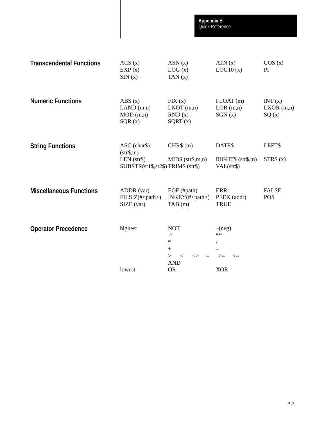| <b>Transcendental Functions</b> | ACS(x)<br>EXP(x)<br>SIM(x)                                                     | ASN(x)<br>LOG(x)<br>TAN $(x)$                                                                                                    | ATN(x)<br>LOG10(x)                               | COS(x)<br>PI                 |
|---------------------------------|--------------------------------------------------------------------------------|----------------------------------------------------------------------------------------------------------------------------------|--------------------------------------------------|------------------------------|
| <b>Numeric Functions</b>        | $\text{ABS}(x)$<br>LAND(m,n)<br>MOD(m,n)<br>SQR(x)                             | $\overline{FIX}(x)$<br>$LNOT$ (m,n)<br>RND(x)<br>SQRT(x)                                                                         | $FLOAT$ (m)<br>LOR(m,n)<br>SGN(x)                | INT(x)<br>LXOR(m,n)<br>SQ(x) |
| <b>String Functions</b>         | ASC (char\$)<br>(str\$, m)<br>LEN (str\$)<br>SUBSTR(st1\$,st2\$)TRIM\$ (str\$) | CHR\$ (m)<br>$MID\$ $(str\$ , m, n)                                                                                              | DATE\$<br>RIGHT\$ (str\$, m)<br>VAL(str\$)       | LEFT\$<br>STR\$ (x)          |
| <b>Miscellaneous Functions</b>  | ADDR (var)<br>$FILSIZ(\#)$<br>SIZE (var)                                       | $EOF$ (#path)<br>$INKEY(\#)$<br>TAB(m)                                                                                           | <b>ERR</b><br>PEEK (addr)<br><b>TRUE</b>         | <b>FALSE</b><br><b>POS</b>   |
| <b>Operator Precedence</b>      | highest<br>lowest                                                              | <b>NOT</b><br>$\boldsymbol{\wedge}$<br>$\ast$<br>$+$<br>$\geq$<br>$\,<\,$<br>$\Leftrightarrow$<br>$=$<br><b>AND</b><br><b>OR</b> | $-(neg)$<br>$**$<br>$>=$<br>$\leq$<br><b>XOR</b> |                              |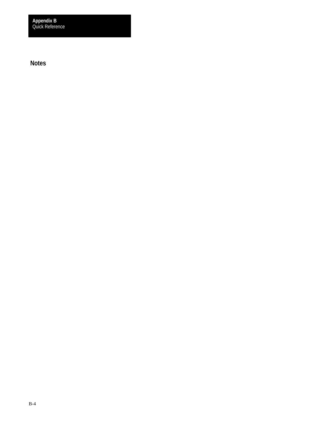Quick Reference **Appendix B**

**Notes**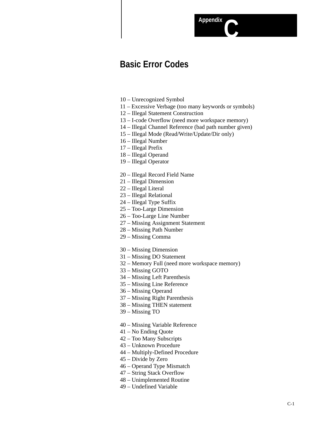## **Basic Error Codes**

- 10 Unrecognized Symbol
- 11 Excessive Verbage (too many keywords or symbols)

**AppendixC**

- 12 Illegal Statement Construction
- 13 I-code Overflow (need more workspace memory)
- 14 Illegal Channel Reference (bad path number given)
- 15 Illegal Mode (Read/Write/Update/Dir only)
- 16 Illegal Number
- 17 Illegal Prefix
- 18 Illegal Operand
- 19 Illegal Operator
- 20 Illegal Record Field Name
- 21 Illegal Dimension
- 22 Illegal Literal
- 23 Illegal Relational
- 24 Illegal Type Suffix
- 25 Too-Large Dimension
- 26 Too-Large Line Number
- 27 Missing Assignment Statement
- 28 Missing Path Number
- 29 Missing Comma
- 30 Missing Dimension
- 31 Missing DO Statement
- 32 Memory Full (need more workspace memory)
- 33 Missing GOTO
- 34 Missing Left Parenthesis
- 35 Missing Line Reference
- 36 Missing Operand
- 37 Missing Right Parenthesis
- 38 Missing THEN statement
- 39 Missing TO
- 40 Missing Variable Reference
- 41 No Ending Quote
- 42 Too Many Subscripts
- 43 Unknown Procedure
- 44 Multiply-Defined Procedure
- 45 Divide by Zero
- 46 Operand Type Mismatch
- 47 String Stack Overflow
- 48 Unimplemented Routine
- 49 Undefined Variable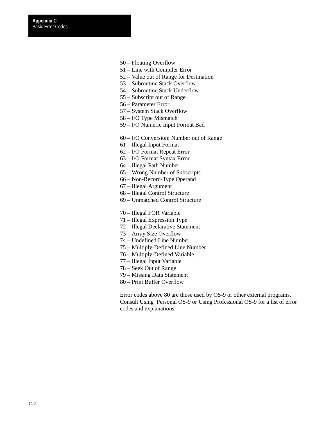- 50 Floating Overflow
- 51 Line with Compiler Error
- 52 Value out of Range for Destination
- 53 Subroutine Stack Overflow
- 54 Subroutine Stack Underflow
- 55 Subscript out of Range
- 56 Parameter Error
- 57 System Stack Overflow
- 58 I/O Type Mismatch
- 59 I/O Numeric Input Format Bad
- 60 I/O Conversion: Number out of Range
- 61 Illegal Input Format
- 62 I/O Format Repeat Error
- 63 I/O Format Syntax Error
- 64 Illegal Path Number
- 65 Wrong Number of Subscripts
- 66 Non-Record-Type Operand
- 67 Illegal Argument
- 68 Illegal Control Structure
- 69 Unmatched Control Structure
- 70 Illegal FOR Variable
- 71 Illegal Expression Type
- 72 Illegal Declarative Statement
- 73 Array Size Overflow
- 74 Undefined Line Number
- 75 Multiply-Defined Line Number
- 76 Multiply-Defined Variable
- 77 Illegal Input Variable
- 78 Seek Out of Range
- 79 Missing Data Statement
- 80 Print Buffer Overflow

Error codes above 80 are those used by OS-9 or other external programs. Consult Using Personal OS-9 or Using Professional OS-9 for a list of error codes and explanations.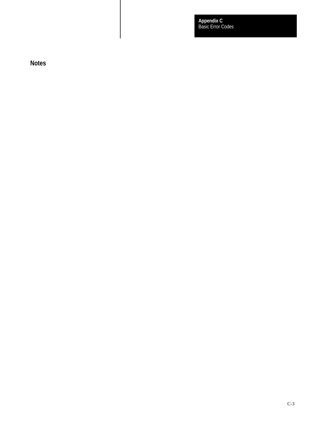Basic Error Codes **Appendix C**

**Notes**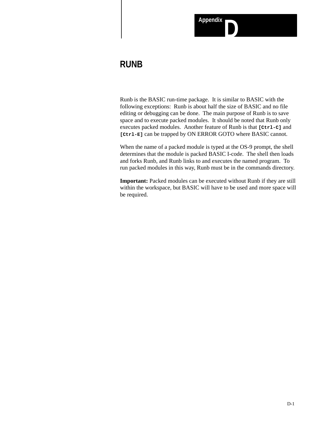

## **RUNB**

Runb is the BASIC run-time package. It is similar to BASIC with the following exceptions: Runb is about half the size of BASIC and no file editing or debugging can be done. The main purpose of Runb is to save space and to execute packed modules. It should be noted that Runb only executes packed modules. Another feature of Runb is that **[Ctrl-C]** and **[Ctrl-E]** can be trapped by ON ERROR GOTO where BASIC cannot.

When the name of a packed module is typed at the OS-9 prompt, the shell determines that the module is packed BASIC I-code. The shell then loads and forks Runb, and Runb links to and executes the named program. To run packed modules in this way, Runb must be in the commands directory.

Important: Packed modules can be executed without Runb if they are still within the workspace, but BASIC will have to be used and more space will be required.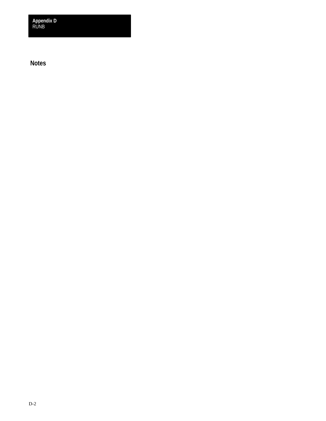RUNB **Appendix D**

**Notes**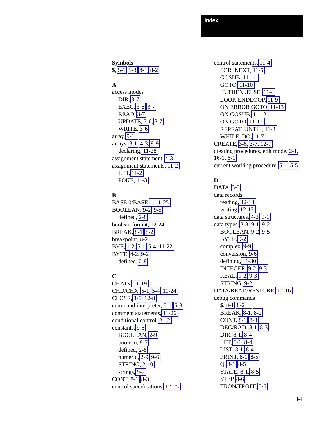#### **Index**

**Symbols** \$, [5-1,](#page-66-0) [5-3,](#page-68-0) [8-1,](#page-86-0) [8-2](#page-87-0)

### **A**

access modes DIR, [3-7](#page-47-0) EXEC, [3-6,](#page-46-0) [3-7](#page-47-0) READ, [3-7](#page-47-0) UPDATE, [3-6,](#page-46-0) [3-7](#page-47-0) WRITE, [3-6](#page-46-0) array, [9-1](#page-94-0) arrays, [3-1,](#page-41-0) [4-3,](#page-62-0) [9-9](#page-102-0) declaring[, 11-28](#page-137-0) assignment statement, [4-3](#page-62-0) assignment statements, [11-2](#page-111-0) LET, [11-2](#page-111-0) POKE, [11-3](#page-112-0)

### **B**

BASE 0/BASE [1](#page-10-0)[, 11-25](#page-134-0) BOOLEAN, [9-2,](#page-95-0) [9-5](#page-98-0) defined, [2-8](#page-23-0) boolean format[, 12-24](#page-165-0) BREAK, [8-1,](#page-86-0) [8-2](#page-87-0) breakpoint, [8-2](#page-87-0) BYE, [1-2,](#page-12-0) [5-1,](#page-66-0) [5-4,](#page-69-0) [11-22](#page-131-0) BYTE, [4-2,](#page-61-0) [9-2](#page-95-0) defined, [2-8](#page-23-0)

### **C**

CHAIN[, 11-19](#page-128-0) CHD/CHX, [5-1,](#page-66-0) [5-4,](#page-69-0) [11-24](#page-133-0) CLOSE, [3-6,](#page-46-0) [12-8](#page-149-0) command interpreter, [5-1,](#page-66-0) [5-3](#page-68-0) comment statements[, 11-26](#page-135-0) conditional control, [2-12](#page-27-0) constants, [9-6](#page-99-0) BOOLEAN, [2-9](#page-24-0) boolean, [9-7](#page-100-0) defined, [2-8](#page-23-0) numeric, [2-9,](#page-24-0) [9-6](#page-99-0) STRING, [2-10](#page-25-0) strings, [9-7](#page-100-0) CONT, [8-1,](#page-86-0) [8-3](#page-88-0) control specifications[, 12-25](#page-166-0)

control statements, [11-4](#page-113-0) FOR..NEXT, [11-5](#page-114-0) GOSUB[, 11-11](#page-120-0) GOTO[, 11-10](#page-119-0) IF..THEN..ELSE, [11-4](#page-113-0) LOOP..ENDLOOP, [11-9](#page-118-0) ON ERROR GOTO[, 11-13](#page-122-0) ON GOSUB[, 11-12](#page-121-0) ON GOTO[, 11-12](#page-121-0) REPEAT..UNTIL, [11-8](#page-117-0) WHILE..DO, [11-7](#page-116-0) CREATE, [3-6,](#page-46-0) [3-7,](#page-47-0) [12-7](#page-148-0) creating procedures, edit mode, [2-1,](#page-16-0) 16-1, [6-1](#page-77-0) current working procedure, [5-1,](#page-66-0) [5-5](#page-70-0)

### **D**

DATA, [3-3](#page-43-0) data records reading[, 12-13](#page-154-0) writing[, 12-13](#page-154-0) data structures, [4-3,](#page-62-0) [9-1](#page-94-0) data types, [2-8,](#page-23-0) [9-1,](#page-94-0) [9-2](#page-95-0) BOOLEAN, [9-2,](#page-95-0) [9-5](#page-98-0) BYTE, [9-2](#page-95-0) complex, [9-9](#page-102-0) conversion, [9-6](#page-99-0) defining[, 11-30](#page-139-0) INTEGER, [9-2,](#page-95-0) [9-3](#page-96-0) REAL, [9-2,](#page-95-0) [9-3](#page-96-0) STRING, [9-2](#page-95-0) DATA/READ/RESTORE, [12-16](#page-157-0) debug commands \$, [8-1,](#page-86-0) [8-2](#page-87-0) BREAK, [8-1,](#page-86-0) [8-2](#page-87-0) CONT, [8-1,](#page-86-0) [8-3](#page-88-0) DEG/RAD, [8-1,](#page-86-0) [8-3](#page-88-0) DIR, [8-1,](#page-86-0) [8-4](#page-89-0) LET, [8-1,](#page-86-0) [8-4](#page-89-0) LIST, [8-1,](#page-86-0) [8-4](#page-89-0) PRINT, [8-1,](#page-86-0) [8-5](#page-90-0) Q, [8-1,](#page-86-0) [8-5](#page-90-0) STATE, [8-1,](#page-86-0) [8-5](#page-90-0) STEP, [8-6](#page-91-0) TRON/TROFF, [8-6](#page-91-0)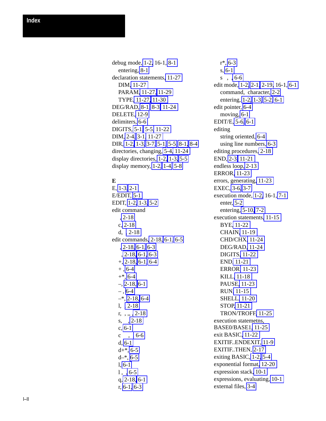debug mode, [1-2,](#page-12-0) 16-1, [8-1](#page-86-0) entering, [8-1](#page-86-0) declaration statements[, 11-27](#page-136-0) DIM[, 11-27](#page-136-0) PARAM[, 11-27,](#page-136-0) [11-29](#page-138-0) TYPE[, 11-27,](#page-136-0) [11-30](#page-139-0) DEG/RAD, [8-1,](#page-86-0) [8-3,](#page-88-0) [11-24](#page-133-0) DELETE, [12-9](#page-150-0) delimiters, [6-6](#page-82-0) DIGITS, [5-1,](#page-66-0) [5-5,](#page-70-0) [11-22](#page-131-0) DIM, [2-4,](#page-19-0) [3-1,](#page-41-0) [11-27](#page-136-0) DIR, [1-2,](#page-12-0) [1-3,](#page-13-0) [3-7,](#page-47-0) [5-1,](#page-66-0) [5-5,](#page-70-0) [8-1,](#page-86-0) [8-4](#page-89-0) directories, changing, [5-4,](#page-69-0) [11-24](#page-133-0) display directories, [1-2,](#page-12-0) [1-3,](#page-13-0) [5-5](#page-70-0) display memory, [1-2,](#page-12-0) [1-4,](#page-14-0) [5-8](#page-73-0)

### **E**

E, [1-3,](#page-13-0) [2-1](#page-16-0) E/EDIT, [5-1](#page-66-0) EDIT, [1-2,](#page-12-0) [1-3,](#page-13-0) [5-2](#page-67-0) edit command , [2-18](#page-33-0) c, [2-18](#page-33-0) d, [, 2-18](#page-33-0) edit commands[, 2-18,](#page-33-0) [6-1,](#page-77-0) [6-5](#page-81-0) , [2-18,](#page-33-0) [6-1,](#page-77-0) [6-3](#page-79-0) , [2-18,](#page-33-0) [6-1,](#page-77-0) [6-3](#page-79-0) +, [2-18,](#page-33-0) [6-1,](#page-77-0) [6-4](#page-80-0)  $+$ , [6-4](#page-80-0)  $+*, 6-4$  $+*, 6-4$ –, [2-18,](#page-33-0) [6-1](#page-77-0)  $-$ , [6-4](#page-80-0)  $-$ \*, [2-18,](#page-33-0) [6-4](#page-80-0) l, [, 2-18](#page-33-0) r, , ,, [, 2-18](#page-33-0) s, , [2-18](#page-33-0) c, [6-1](#page-77-0) c ,  $, 6-6$ d, [6-1](#page-77-0)  $d+*, 6-5$  $d+*, 6-5$  $d-*$ , [6-5](#page-81-0) l, [6-1](#page-77-0)  $1, , 6-5$  $1, , 6-5$ q, [2-18,](#page-33-0) [6-1](#page-77-0) r, [6-1,](#page-77-0) [6-3](#page-79-0)

r\*, [6-3](#page-79-0) s, [6-1](#page-77-0) s , [, 6-6](#page-82-0) edit mode, [1-2,](#page-12-0) [2-1,](#page-16-0) [2-19,](#page-34-0) 16-1, [6-1](#page-77-0) command, character, [2-2](#page-17-0) entering, [1-2,](#page-12-0) [1-3,](#page-13-0) [5-2,](#page-67-0) [6-1](#page-77-0) edit pointer, [6-4](#page-80-0) moving, [6-1](#page-77-0) EDIT/E, [5-6,](#page-71-0) [6-1](#page-77-0) editing string oriented, [6-4](#page-80-0) using line numbers, [6-3](#page-79-0) editing procedures[, 2-18](#page-33-0) END, [2-3,](#page-18-0) [11-21](#page-130-0) endless loop, [2-13](#page-28-0) ERROR[, 11-23](#page-132-0) errors, generating[, 11-23](#page-132-0) EXEC, [3-6,](#page-46-0) [3-7](#page-47-0) execution mode, [1-2,](#page-12-0) 16-1, [7-1](#page-84-0) enter, [5-2](#page-67-0) entering, [5-10,](#page-75-0) [7-2](#page-85-0) execution statements[, 11-15](#page-124-0) BYE[, 11-22](#page-131-0) CHAIN[, 11-19](#page-128-0) CHD/CHX[, 11-24](#page-133-0) DEG/RAD[, 11-24](#page-133-0) DIGITS[, 11-22](#page-131-0) END[, 11-21](#page-130-0) ERROR[, 11-23](#page-132-0) KILL[, 11-18](#page-127-0) PAUSE[, 11-23](#page-132-0) RUN[, 11-15](#page-124-0) SHELL[, 11-20](#page-129-0) STOP[, 11-21](#page-130-0) TRON/TROFF[, 11-25](#page-134-0) execution statemetns, BASE0/BASE1[, 11-25](#page-134-0) exit BASIC[, 11-22](#page-131-0) EXITIF..ENDEXIT, [11-9](#page-118-0) EXITIF..THEN, [2-17](#page-32-0) exiting BASIC, [1-2,](#page-12-0) [5-4](#page-69-0) exponential format[, 12-20](#page-161-0) expression stack[, 10-1](#page-104-0) expressions, evaluating, [10-1](#page-104-0) external files, [3-4](#page-44-0)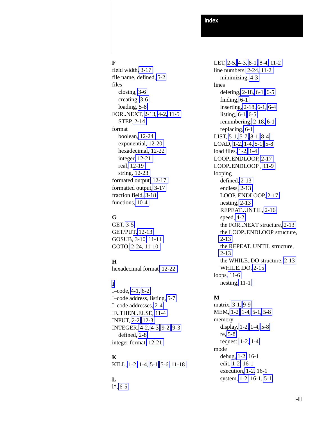### **F**

field width[, 3-17](#page-57-0) file name, defined, [5-2](#page-67-0) files closing, [3-6](#page-46-0) creating, [3-6](#page-46-0) loading, [5-8](#page-73-0) FOR..NEXT, [2-13,](#page-28-0) [4-2,](#page-61-0) [11-5](#page-114-0) STEP, [2-14](#page-29-0) format boolean, [12-24](#page-165-0) exponential[, 12-20](#page-161-0) hexadecimal[, 12-22](#page-163-0) integer[, 12-21](#page-162-0) real[, 12-19](#page-160-0) string[, 12-23](#page-164-0) formated output[, 12-17](#page-158-0) formatted output, [3-17](#page-57-0) fraction field, [3-18](#page-58-0) functions[, 10-4](#page-107-0)

### **G**

GET, [3-5](#page-45-0) GET/PUT, [12-13](#page-154-0) GOSUB[, 3-10,](#page-50-0) [11-11](#page-120-0) GOTO, [2-24,](#page-39-0) [11-10](#page-119-0)

### **H**

hexadecimal format[, 12-22](#page-163-0)

## **[I](#page-5-0)**

I–code, [4-1,](#page-60-0) [6-2](#page-78-0) I–code address, listing, [5-7](#page-72-0) I–code addresses, [2-4](#page-19-0) IF..THEN..ELSE, [11-4](#page-113-0) INPUT, [2-2,](#page-17-0) [12-3](#page-144-0) INTEGER, [4-2,](#page-61-0) [4-3,](#page-62-0) [9-2,](#page-95-0) [9-3](#page-96-0) defined, [2-8](#page-23-0) integer format[, 12-21](#page-162-0)

### **K**

KILL, [1-2,](#page-12-0) [1-4,](#page-14-0) [5-1,](#page-66-0) [5-6,](#page-71-0) [11-18](#page-127-0)

## **L**

l\*, [6-5](#page-81-0)

LET, [2-5,](#page-20-0) [4-3,](#page-62-0) [8-1,](#page-86-0) [8-4,](#page-89-0) [11-2](#page-111-0) line numbers, [2-24,](#page-39-0) [11-2](#page-111-0) minimizing, [4-3](#page-62-0) lines deleting, [2-18,](#page-33-0) [6-1,](#page-77-0) [6-5](#page-81-0) finding, [6-1](#page-77-0) inserting, [2-18,](#page-33-0) [6-1,](#page-77-0) [6-4](#page-80-0) listing, [6-1,](#page-77-0) [6-5](#page-81-0) renumbering, [2-18,](#page-33-0) [6-1](#page-77-0) replacing, [6-1](#page-77-0) LIST, [5-1,](#page-66-0) [5-7,](#page-72-0) [8-1,](#page-86-0) [8-4](#page-89-0) LOAD, [1-2,](#page-12-0) [1-4,](#page-14-0) [5-1,](#page-66-0) [5-8](#page-73-0) load files, [1-2,](#page-12-0) [1-4](#page-14-0) LOOP..ENDLOOP, [2-17](#page-32-0) LOOP..ENDLOOP , [11-9](#page-118-0) looping defined, [2-13](#page-28-0) endless, [2-13](#page-28-0) LOOP..ENDLOOP, [2-17](#page-32-0) nesting, [2-13](#page-28-0) REPEAT..UNTIL, [2-16](#page-31-0) speed, [4-2](#page-61-0) the FOR..NEXT structure, [2-13](#page-28-0) the LOOP..ENDLOOP structure, [2-13](#page-28-0) the REPEAT..UNTIL structure, [2-13](#page-28-0) the WHILE..DO structure, [2-13](#page-28-0) WHILE..DO, [2-15](#page-30-0) loops[, 11-6](#page-115-0) nesting[, 11-1](#page-110-0)

### **M**

matrix, [3-1,](#page-41-0) [9-9](#page-102-0) MEM, [1-2,](#page-12-0) [1-4,](#page-14-0) [5-1,](#page-66-0) [5-8](#page-73-0) memory display, [1-2,](#page-12-0) [1-4,](#page-14-0) [5-8](#page-73-0) re, [5-8](#page-73-0) request, [1-2,](#page-12-0) [1-4](#page-14-0) mode debug, [1-2,](#page-12-0) 16-1 edit, [1-2,](#page-12-0) 16-1 execution, [1-2,](#page-12-0) 16-1 system, [1-2,](#page-12-0) 16-1, [5-1](#page-66-0)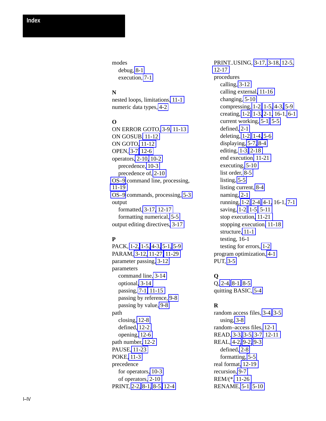modes debug, [8-1](#page-86-0) execution, [7-1](#page-84-0)

### **N**

nested loops, limitations[, 11-1](#page-110-0) numeric data types, [4-2](#page-61-0)

### **O**

ON ERROR GOTO, [3-9,](#page-49-0) [11-13](#page-122-0) ON GOSUB[, 11-12](#page-121-0) ON GOTO[, 11-12](#page-121-0) OPEN, [3-7,](#page-47-0) [12-6](#page-147-0) operators[, 2-10,](#page-25-0) [10-2](#page-105-0) precedence, [10-3](#page-106-0) precedence of, [2-10](#page-25-0) [OS–9](#page-0-0) command line, processing, [11-19](#page-128-0) [OS–9](#page-0-0) commands, processing, [5-3](#page-68-0) output formatted, [3-17,](#page-57-0) [12-17](#page-158-0) formatting numerical, [5-5](#page-70-0) output editing directives[, 3-17](#page-57-0)

### **P**

PACK, [1-2,](#page-12-0) [1-5,](#page-15-0) [4-3,](#page-62-0) [5-1,](#page-66-0) [5-9](#page-74-0) PARAM, [3-12,](#page-52-0) [11-27,](#page-136-0) [11-29](#page-138-0) parameter passing, [3-12](#page-52-0) parameters command line, [3-14](#page-54-0) optional[, 3-14](#page-54-0) passing, [7-1,](#page-84-0) [11-15](#page-124-0) passing by reference, [9-8](#page-101-0) passing by value, [9-8](#page-101-0) path closing, [12-8](#page-149-0) defined[, 12-2](#page-143-0) opening, [12-6](#page-147-0) path number[, 12-2](#page-143-0) PAUSE[, 11-23](#page-132-0) POKE, [11-3](#page-112-0) precedence for operators, [10-3](#page-106-0) of operators[, 2-10](#page-25-0) PRINT, [2-2,](#page-17-0) [8-1,](#page-86-0) [8-5,](#page-90-0) [12-4](#page-145-0)

PRINT..USING, [3-17,](#page-57-0) [3-18,](#page-58-0) [12-5,](#page-146-0) [12-17](#page-158-0) procedures calling, [3-12](#page-52-0) calling external[, 11-16](#page-125-0) changing, [5-10](#page-75-0) compressing, [1-2,](#page-12-0) [1-5,](#page-15-0) [4-3,](#page-62-0) [5-9](#page-74-0) creating, [1-2,](#page-12-0) [1-3,](#page-13-0) [2-1,](#page-16-0) 16-1, [6-1](#page-77-0) current working, [5-1,](#page-66-0) [5-5](#page-70-0) defined, [2-1](#page-16-0) deleting, [1-2,](#page-12-0) [1-4,](#page-14-0) [5-6](#page-71-0) displaying, [5-7,](#page-72-0) [8-4](#page-89-0) editing, [1-3,](#page-13-0) [2-18](#page-33-0) end execution[, 11-21](#page-130-0) executing, [5-10](#page-75-0) list order, [8-5](#page-90-0) listing, [5-5](#page-70-0) listing current, [8-4](#page-89-0) naming, [2-1](#page-16-0) running, [1-2,](#page-12-0) [2-4,](#page-19-0) [4-1,](#page-60-0) 16-1, [7-1](#page-84-0) saving, [1-2,](#page-12-0) [1-5,](#page-15-0) [5-11](#page-76-0) stop execution[, 11-21](#page-130-0) stopping execution[, 11-18](#page-127-0) structure, [11-1](#page-110-0) testing, 16-1 testing for errors, [1-2](#page-12-0) program optimization, [4-1](#page-60-0) PUT, [3-5](#page-45-0)

### **Q**

Q, [2-4,](#page-19-0) [8-1,](#page-86-0) [8-5](#page-90-0) quitting BASIC, [5-4](#page-69-0)

### **R**

random access files, [3-4,](#page-44-0) [3-5](#page-45-0) using, [3-8](#page-48-0) random–access files, [12-1](#page-142-0) READ, [3-3,](#page-43-0) [3-5,](#page-45-0) [3-7,](#page-47-0) [12-11](#page-152-0) REAL, [4-2,](#page-61-0) [9-2,](#page-95-0) [9-3](#page-96-0) defined, [2-8](#page-23-0) formatting, [5-5](#page-70-0) real format[, 12-19](#page-160-0) recursion, [9-7](#page-100-0) REM/(\*[, 11-26](#page-135-0) RENAME, [5-1,](#page-66-0) [5-10](#page-75-0)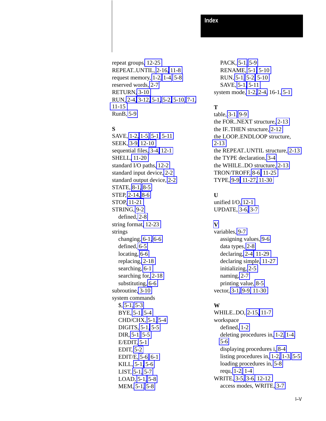**Index**

repeat groups[, 12-25](#page-166-0) REPEAT..UNTIL, [2-16,](#page-31-0) [11-8](#page-117-0) request memory, [1-2,](#page-12-0) [1-4,](#page-14-0) [5-8](#page-73-0) reserved words, [2-7](#page-22-0) RETURN[, 3-10](#page-50-0) RUN, [2-4,](#page-19-0) [3-12,](#page-52-0) [5-1,](#page-66-0) [5-2,](#page-67-0) [5-10,](#page-75-0) [7-1,](#page-84-0) [11-15](#page-124-0) RunB, [5-9](#page-74-0)

### **S**

SAVE, [1-2,](#page-12-0) [1-5,](#page-15-0) [5-1,](#page-66-0) [5-11](#page-76-0) SEEK, [3-9,](#page-49-0) [12-10](#page-151-0) sequential files, [3-4,](#page-44-0) [12-1](#page-142-0) SHELL[, 11-20](#page-129-0) standard I/O paths, [12-2](#page-143-0) standard input device, [2-2](#page-17-0) standard output device, [2-2](#page-17-0) STATE, [8-1,](#page-86-0) [8-5](#page-90-0) STEP, [2-14,](#page-29-0) [8-6](#page-91-0) STOP, [11-21](#page-130-0) STRING, [9-2](#page-95-0) defined, [2-8](#page-23-0) string format[, 12-23](#page-164-0) strings changing, [6-1,](#page-77-0) [6-6](#page-82-0) defined, [6-5](#page-81-0) locating, [6-6](#page-82-0) replacing[, 2-18](#page-33-0) searching, [6-1](#page-77-0) searching for, [2-18](#page-33-0) substituting, [6-6](#page-82-0) subroutine, [3-10](#page-50-0) system commands \$, [5-1,](#page-66-0) [5-3](#page-68-0) BYE, [5-1,](#page-66-0) [5-4](#page-69-0) CHD/CHX, [5-1,](#page-66-0) [5-4](#page-69-0) DIGITS, [5-1,](#page-66-0) [5-5](#page-70-0) DIR, [5-1,](#page-66-0) [5-5](#page-70-0) E/EDIT, [5-1](#page-66-0) EDIT, [5-2](#page-67-0) EDIT/E, [5-6,](#page-71-0) [6-1](#page-77-0) KILL, [5-1,](#page-66-0) [5-6](#page-71-0) LIST, [5-1,](#page-66-0) [5-7](#page-72-0) LOAD, [5-1,](#page-66-0) [5-8](#page-73-0) MEM, [5-1,](#page-66-0) [5-8](#page-73-0)

PACK, [5-1,](#page-66-0) [5-9](#page-74-0) RENAME, [5-1,](#page-66-0) [5-10](#page-75-0) RUN, [5-1,](#page-66-0) [5-2,](#page-67-0) [5-10](#page-75-0) SAVE, [5-1,](#page-66-0) [5-11](#page-76-0) system mode, [1-2,](#page-12-0) [2-4,](#page-19-0) 16-1, [5-1](#page-66-0)

### **T**

table, [3-1,](#page-41-0) [9-9](#page-102-0) the FOR..NEXT structure, [2-13](#page-28-0) the IF..THEN structure, [2-12](#page-27-0) the LOOP..ENDLOOP structure, [2-13](#page-28-0) the REPEAT..UNTIL structure, [2-13](#page-28-0) the TYPE declaration, [3-4](#page-44-0) the WHILE..DO structure, [2-13](#page-28-0) TRON/TROFF, [8-6,](#page-91-0) [11-25](#page-134-0) TYPE, [9-9,](#page-102-0) [11-27,](#page-136-0) [11-30](#page-139-0)

### **U**

unified I/O, [12-1](#page-142-0) UPDATE, [3-6,](#page-46-0) [3-7](#page-47-0)

### **[V](#page-9-0)**

variables, [9-7](#page-100-0) assigning values, [9-6](#page-99-0) data types, [2-8](#page-23-0) declaring, [2-4,](#page-19-0) [11-29](#page-138-0) declaring simple[, 11-27](#page-136-0) initializing, [2-5](#page-20-0) naming, [2-7](#page-22-0) printing value, [8-5](#page-90-0) vector, [3-1,](#page-41-0) [9-9,](#page-102-0) [11-30](#page-139-0)

### **W**

WHILE..DO, [2-15,](#page-30-0) [11-7](#page-116-0) workspace defined, [1-2](#page-12-0) deleting procedures in, [1-2,](#page-12-0) [1-4,](#page-14-0) [5-6](#page-71-0) displaying procedures i, [8-4](#page-89-0) listing procedures in, [1-2,](#page-12-0) [1-3,](#page-13-0) [5-5](#page-70-0) loading procedures in, [5-8](#page-73-0) requ, [1-2,](#page-12-0) [1-4](#page-14-0) WRITE, [3-5,](#page-45-0) [3-6,](#page-46-0) [12-12](#page-153-0) access modes, WRITE, [3-7](#page-47-0)